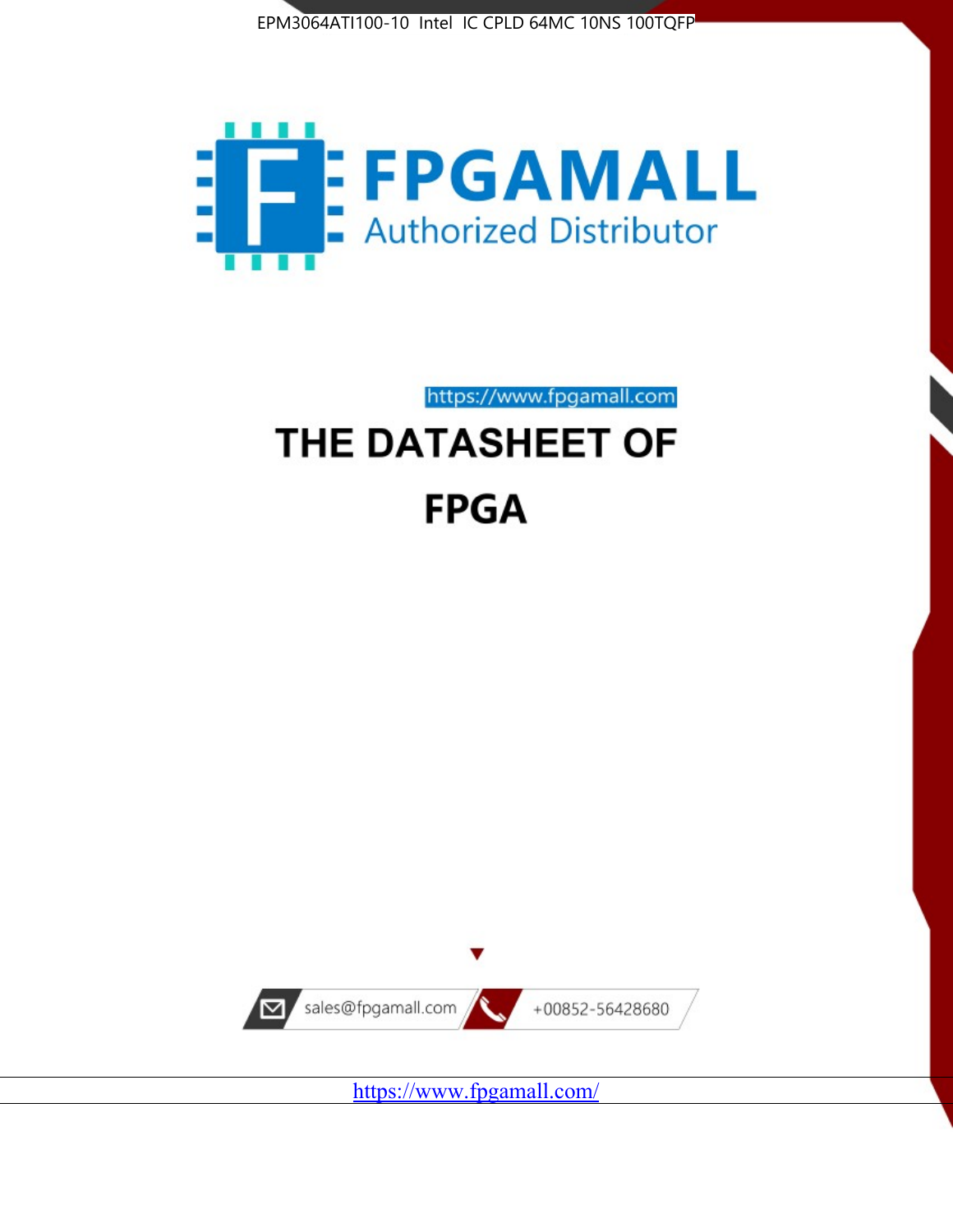



https://www.fpgamall.com

# THE DATASHEET OF **FPGA**



<https://www.fpgamall.com/>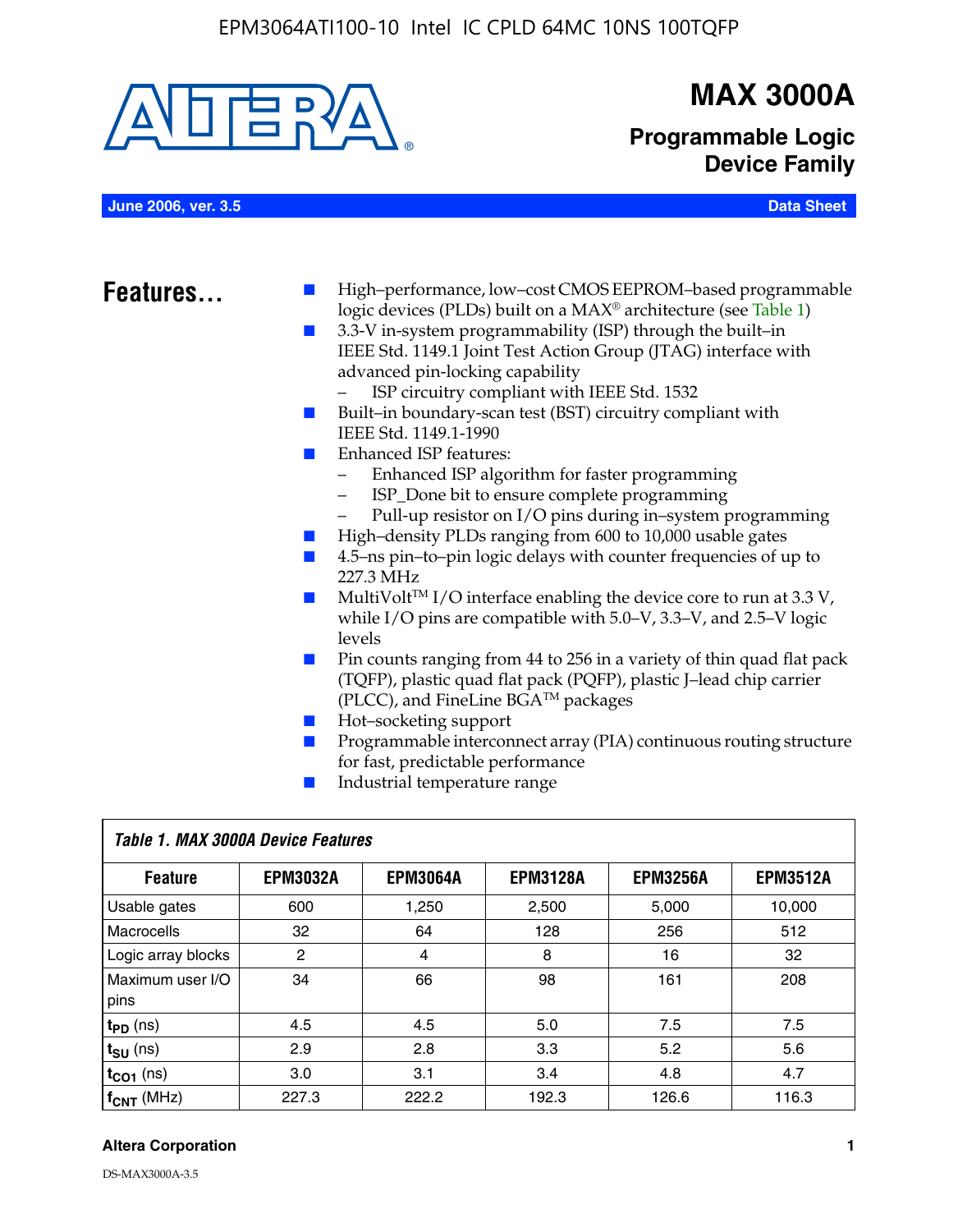

### **MAX 3000A**

**Programmable Logic Device Family**

**June 2006, ver. 3.5 Data Sheet**

- **Features.** I High–performance, low–cost CMOS EEPROM–based programmable logic devices (PLDs) built on a MAX® architecture (see Table 1)
	- 3.3-V in-system programmability (ISP) through the built–in IEEE Std. 1149.1 Joint Test Action Group (JTAG) interface with advanced pin-locking capability
		- ISP circuitry compliant with IEEE Std. 1532
	- Built–in boundary-scan test (BST) circuitry compliant with IEEE Std. 1149.1-1990
	- Enhanced ISP features:
		- Enhanced ISP algorithm for faster programming
		- ISP\_Done bit to ensure complete programming
		- Pull-up resistor on I/O pins during in–system programming
	- High–density PLDs ranging from 600 to 10,000 usable gates
	- 4.5–ns pin–to–pin logic delays with counter frequencies of up to 227.3 MHz
	- $\blacksquare$  MultiVolt<sup>TM</sup> I/O interface enabling the device core to run at 3.3 V, while I/O pins are compatible with 5.0–V, 3.3–V, and 2.5–V logic levels
	- Pin counts ranging from 44 to 256 in a variety of thin quad flat pack (TQFP), plastic quad flat pack (PQFP), plastic J–lead chip carrier (PLCC), and FineLine BGATM packages
	- Hot–socketing support
	- Programmable interconnect array (PIA) continuous routing structure for fast, predictable performance
	- Industrial temperature range

| Table 1. MAX 3000A Device Features |                 |                 |                 |                 |                 |  |
|------------------------------------|-----------------|-----------------|-----------------|-----------------|-----------------|--|
| <b>Feature</b>                     | <b>EPM3032A</b> | <b>EPM3064A</b> | <b>EPM3128A</b> | <b>EPM3256A</b> | <b>EPM3512A</b> |  |
| Usable gates                       | 600             | 1,250           | 2,500           | 5,000           | 10.000          |  |
| <b>Macrocells</b>                  | 32              | 64              | 128             | 256             | 512             |  |
| Logic array blocks                 | 2               | 4               | 8               | 16              | 32              |  |
| Maximum user I/O<br>pins           | 34              | 66              | 98              | 161             | 208             |  |
| $t_{PD}$ (ns)                      | 4.5             | 4.5             | 5.0             | 7.5             | 7.5             |  |
| $t_{\text{SU}}$ (ns)               | 2.9             | 2.8             | 3.3             | 5.2             | 5.6             |  |
| $t_{CO1}$ (ns)                     | 3.0             | 3.1             | 3.4             | 4.8             | 4.7             |  |
| $f_{CNT}$ (MHz)                    | 227.3           | 222.2           | 192.3           | 126.6           | 116.3           |  |

#### **Altera Corporation 1**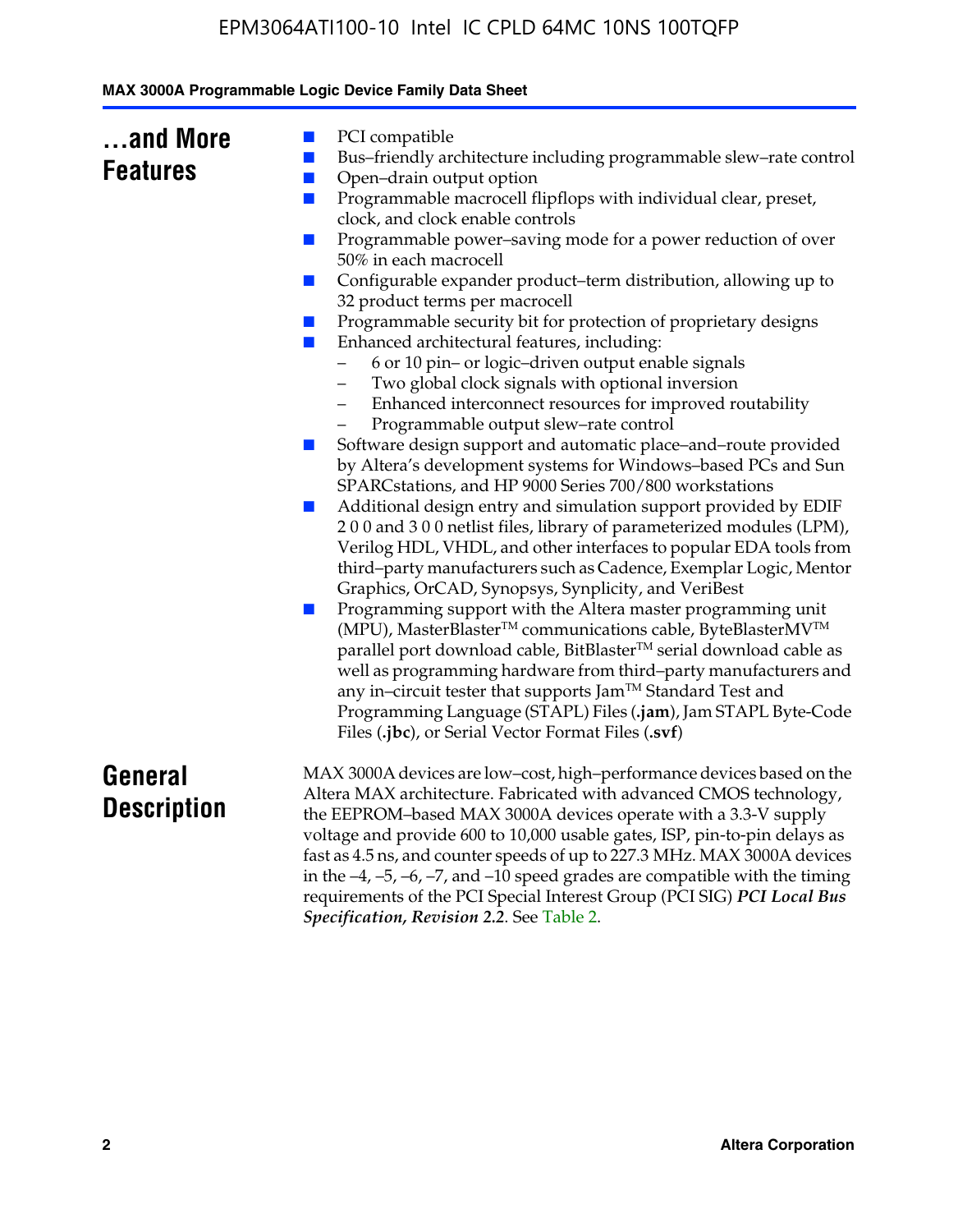| MAX 3000A Programmable Logic Device Family Data Sheet |  |  |
|-------------------------------------------------------|--|--|
|                                                       |  |  |

| and More        |  |
|-----------------|--|
| <b>Features</b> |  |

- PCI compatible
- Bus–friendly architecture including programmable slew–rate control
- Open–drain output option
- Programmable macrocell flipflops with individual clear, preset, clock, and clock enable controls
- Programmable power–saving mode for a power reduction of over 50% in each macrocell
- Configurable expander product–term distribution, allowing up to 32 product terms per macrocell
- Programmable security bit for protection of proprietary designs
- Enhanced architectural features, including:
	- 6 or 10 pin– or logic–driven output enable signals
	- Two global clock signals with optional inversion
	- Enhanced interconnect resources for improved routability
	- Programmable output slew–rate control
- Software design support and automatic place–and–route provided by Altera's development systems for Windows–based PCs and Sun SPARCstations, and HP 9000 Series 700/800 workstations
- Additional design entry and simulation support provided by EDIF 2 0 0 and 3 0 0 netlist files, library of parameterized modules (LPM), Verilog HDL, VHDL, and other interfaces to popular EDA tools from third–party manufacturers such as Cadence, Exemplar Logic, Mentor Graphics, OrCAD, Synopsys, Synplicity, and VeriBest
- Programming support with the Altera master programming unit (MPU), MasterBlaster™ communications cable, ByteBlasterMV™ parallel port download cable, BitBlaster™ serial download cable as well as programming hardware from third–party manufacturers and any in–circuit tester that supports Jam™ Standard Test and Programming Language (STAPL) Files (**.jam**), Jam STAPL Byte-Code Files (**.jbc**), or Serial Vector Format Files (**.svf**)

### **General Description**

MAX 3000A devices are low–cost, high–performance devices based on the Altera MAX architecture. Fabricated with advanced CMOS technology, the EEPROM–based MAX 3000A devices operate with a 3.3-V supply voltage and provide 600 to 10,000 usable gates, ISP, pin-to-pin delays as fast as 4.5 ns, and counter speeds of up to 227.3 MHz. MAX 3000A devices in the  $-4$ ,  $-5$ ,  $-6$ ,  $-7$ , and  $-10$  speed grades are compatible with the timing requirements of the PCI Special Interest Group (PCI SIG) *PCI Local Bus Specification, Revision 2.2*. See Table 2.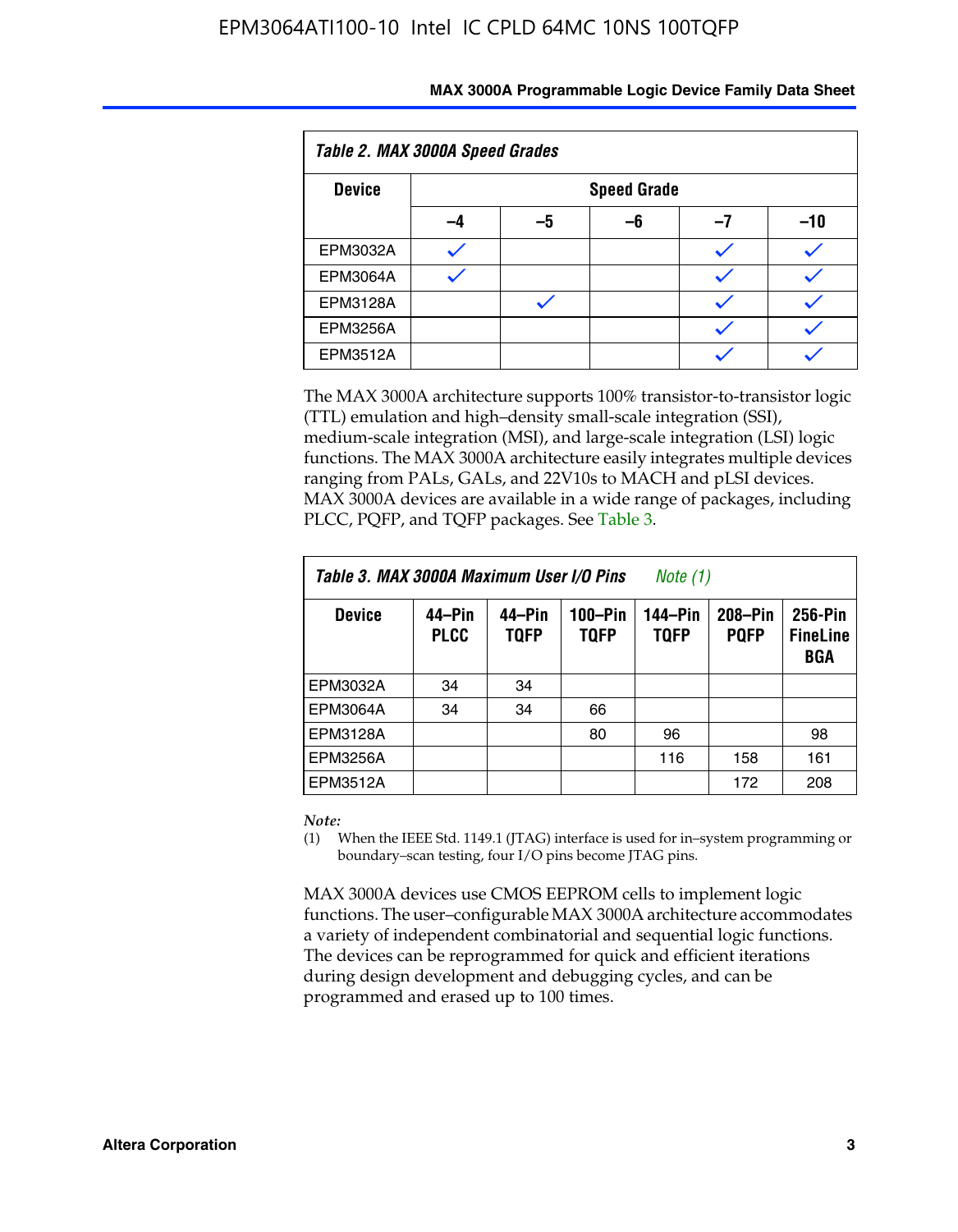| Table 2. MAX 3000A Speed Grades |    |                    |    |    |     |  |
|---------------------------------|----|--------------------|----|----|-----|--|
| <b>Device</b>                   |    | <b>Speed Grade</b> |    |    |     |  |
|                                 | -4 | –5                 | -6 | -7 | -10 |  |
| <b>EPM3032A</b>                 |    |                    |    |    |     |  |
| <b>EPM3064A</b>                 |    |                    |    |    |     |  |
| <b>EPM3128A</b>                 |    |                    |    |    |     |  |
| <b>EPM3256A</b>                 |    |                    |    |    |     |  |
| EPM3512A                        |    |                    |    |    |     |  |

The MAX 3000A architecture supports 100% transistor-to-transistor logic (TTL) emulation and high–density small-scale integration (SSI), medium-scale integration (MSI), and large-scale integration (LSI) logic functions. The MAX 3000A architecture easily integrates multiple devices ranging from PALs, GALs, and 22V10s to MACH and pLSI devices. MAX 3000A devices are available in a wide range of packages, including PLCC, PQFP, and TQFP packages. See Table 3.

| Table 3. MAX 3000A Maximum User I/O Pins | Note (1)              |                       |                        |                        |                        |                                   |
|------------------------------------------|-----------------------|-----------------------|------------------------|------------------------|------------------------|-----------------------------------|
| <b>Device</b>                            | 44–Pin<br><b>PLCC</b> | 44–Pin<br><b>TQFP</b> | 100-Pin<br><b>TQFP</b> | 144-Pin<br><b>TQFP</b> | 208-Pin<br><b>PQFP</b> | 256-Pin<br><b>FineLine</b><br>BGA |
| EPM3032A                                 | 34                    | 34                    |                        |                        |                        |                                   |
| <b>EPM3064A</b>                          | 34                    | 34                    | 66                     |                        |                        |                                   |
| EPM3128A                                 |                       |                       | 80                     | 96                     |                        | 98                                |
| EPM3256A                                 |                       |                       |                        | 116                    | 158                    | 161                               |
| EPM3512A                                 |                       |                       |                        |                        | 172                    | 208                               |

#### *Note:*

(1) When the IEEE Std. 1149.1 (JTAG) interface is used for in–system programming or boundary–scan testing, four I/O pins become JTAG pins.

MAX 3000A devices use CMOS EEPROM cells to implement logic functions. The user–configurable MAX 3000A architecture accommodates a variety of independent combinatorial and sequential logic functions. The devices can be reprogrammed for quick and efficient iterations during design development and debugging cycles, and can be programmed and erased up to 100 times.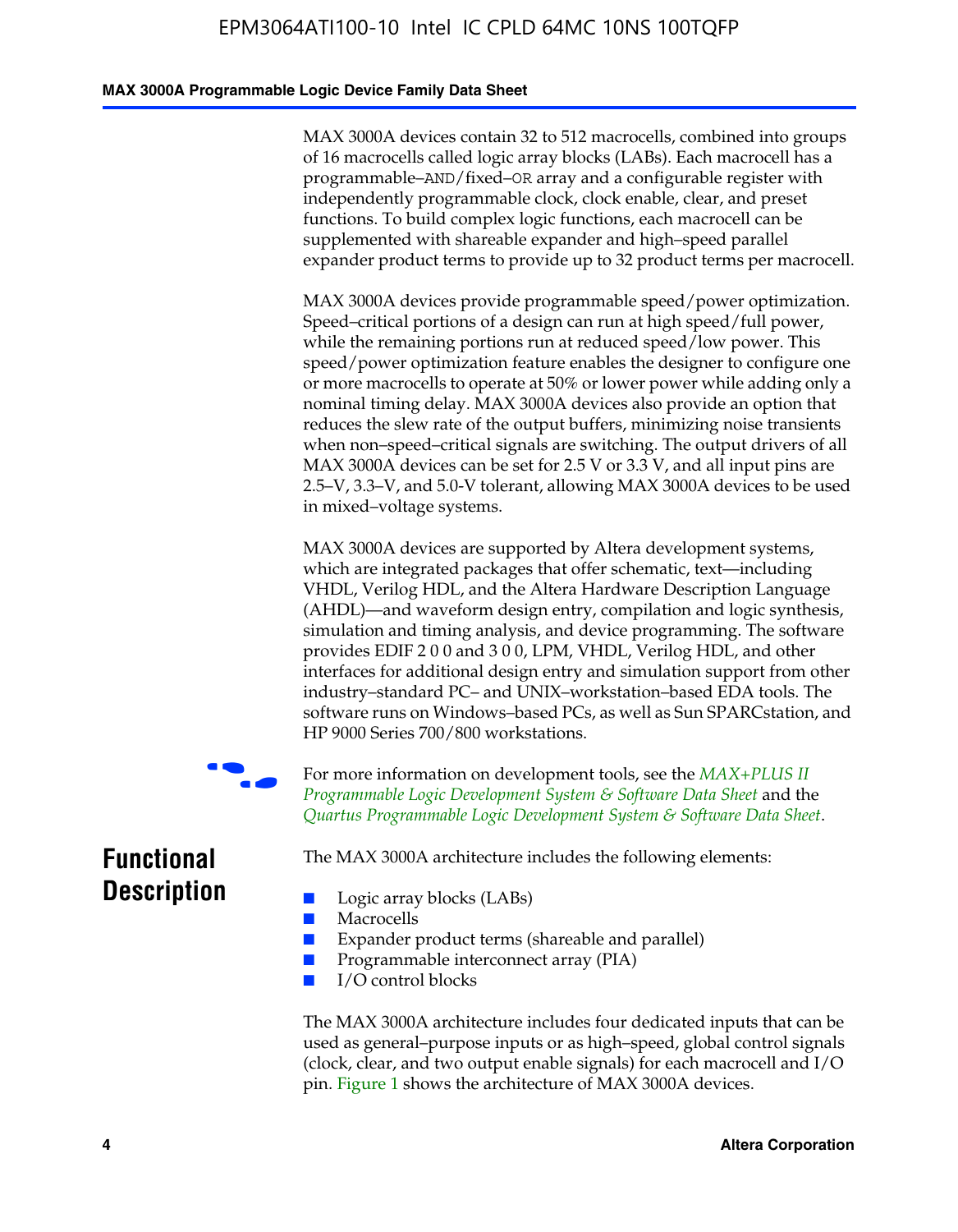#### **MAX 3000A Programmable Logic Device Family Data Sheet**

MAX 3000A devices contain 32 to 512 macrocells, combined into groups of 16 macrocells called logic array blocks (LABs). Each macrocell has a programmable–AND/fixed–OR array and a configurable register with independently programmable clock, clock enable, clear, and preset functions. To build complex logic functions, each macrocell can be supplemented with shareable expander and high–speed parallel expander product terms to provide up to 32 product terms per macrocell.

MAX 3000A devices provide programmable speed/power optimization. Speed–critical portions of a design can run at high speed/full power, while the remaining portions run at reduced speed/low power. This speed/power optimization feature enables the designer to configure one or more macrocells to operate at 50% or lower power while adding only a nominal timing delay. MAX 3000A devices also provide an option that reduces the slew rate of the output buffers, minimizing noise transients when non–speed–critical signals are switching. The output drivers of all MAX 3000A devices can be set for 2.5 V or 3.3 V, and all input pins are 2.5–V, 3.3–V, and 5.0-V tolerant, allowing MAX 3000A devices to be used in mixed–voltage systems.

MAX 3000A devices are supported by Altera development systems, which are integrated packages that offer schematic, text—including VHDL, Verilog HDL, and the Altera Hardware Description Language (AHDL)—and waveform design entry, compilation and logic synthesis, simulation and timing analysis, and device program[ming. The software](http://www.altera.com/literature/ds/dsmii.pdf)  [provides EDIF 2 0 0 and 3 0 0, LPM, VHDL, Verilog HDL, an](http://www.altera.com/literature/ds/dsmii.pdf)d other [interfaces for additional design entry and simulation support from ot](http://www.altera.com/literature/ds/quartus.pdf)her industry–standard PC– and UNIX–workstation–based EDA tools. The software runs on Windows–based PCs, as well as Sun SPARCstation, and HP 9000 Series 700/800 workstations.

For more information on development tools, see the *MAX+PLUS II Programmable Logic Development System & Software Data Sheet* and the *Quartus Programmable Logic Development System & Software Data Sheet*.

**Functional Description**

The MAX 3000A architecture includes the following elements:

- Macrocells
- Expander product terms (shareable and parallel)
- Programmable interconnect array (PIA)
- I/O control blocks

■ Logic array blocks (LABs)

The MAX 3000A architecture includes four dedicated inputs that can be used as general–purpose inputs or as high–speed, global control signals (clock, clear, and two output enable signals) for each macrocell and I/O pin. Figure 1 shows the architecture of MAX 3000A devices.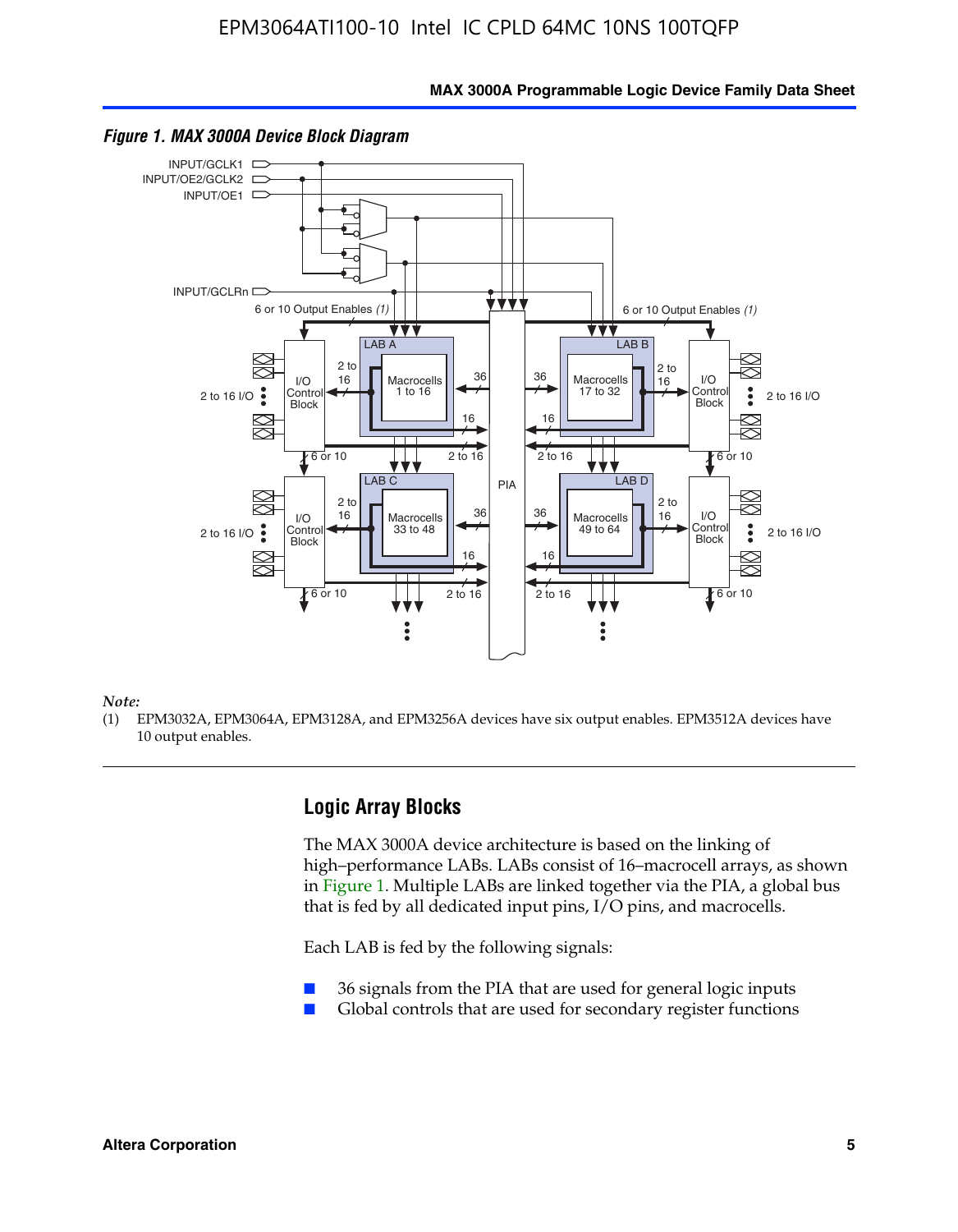**MAX 3000A Programmable Logic Device Family Data Sheet**



*Figure 1. MAX 3000A Device Block Diagram*

*Note:*

(1) EPM3032A, EPM3064A, EPM3128A, and EPM3256A devices have six output enables. EPM3512A devices have 10 output enables.

#### **Logic Array Blocks**

The MAX 3000A device architecture is based on the linking of high–performance LABs. LABs consist of 16–macrocell arrays, as shown in Figure 1. Multiple LABs are linked together via the PIA, a global bus that is fed by all dedicated input pins, I/O pins, and macrocells.

Each LAB is fed by the following signals:

- 36 signals from the PIA that are used for general logic inputs
- Global controls that are used for secondary register functions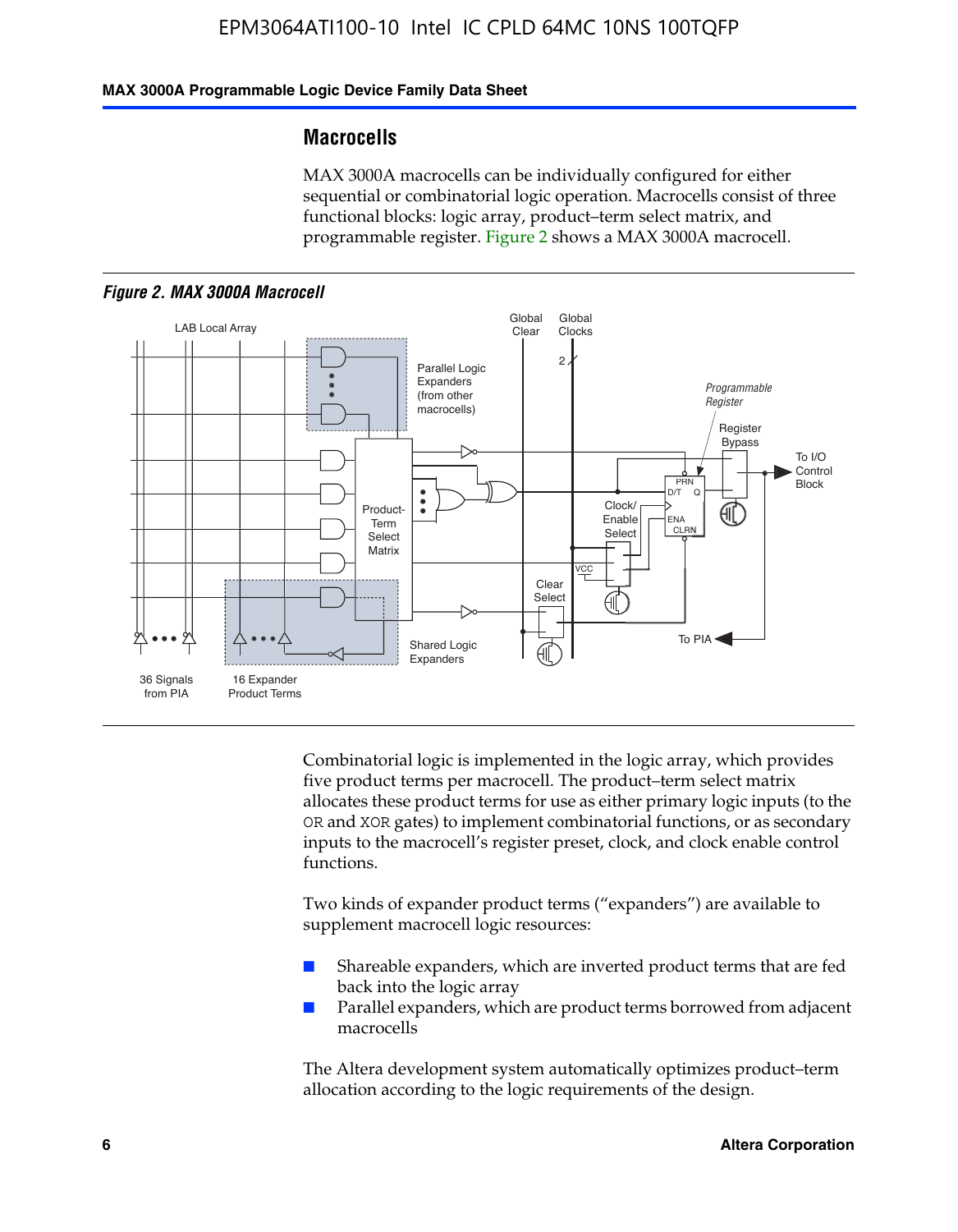#### **MAX 3000A Programmable Logic Device Family Data Sheet**

#### **Macrocells**

MAX 3000A macrocells can be individually configured for either sequential or combinatorial logic operation. Macrocells consist of three functional blocks: logic array, product–term select matrix, and programmable register. Figure 2 shows a MAX 3000A macrocell.





Combinatorial logic is implemented in the logic array, which provides five product terms per macrocell. The product–term select matrix allocates these product terms for use as either primary logic inputs (to the OR and XOR gates) to implement combinatorial functions, or as secondary inputs to the macrocell's register preset, clock, and clock enable control functions.

Two kinds of expander product terms ("expanders") are available to supplement macrocell logic resources:

- Shareable expanders, which are inverted product terms that are fed back into the logic array
- Parallel expanders, which are product terms borrowed from adjacent macrocells

The Altera development system automatically optimizes product–term allocation according to the logic requirements of the design.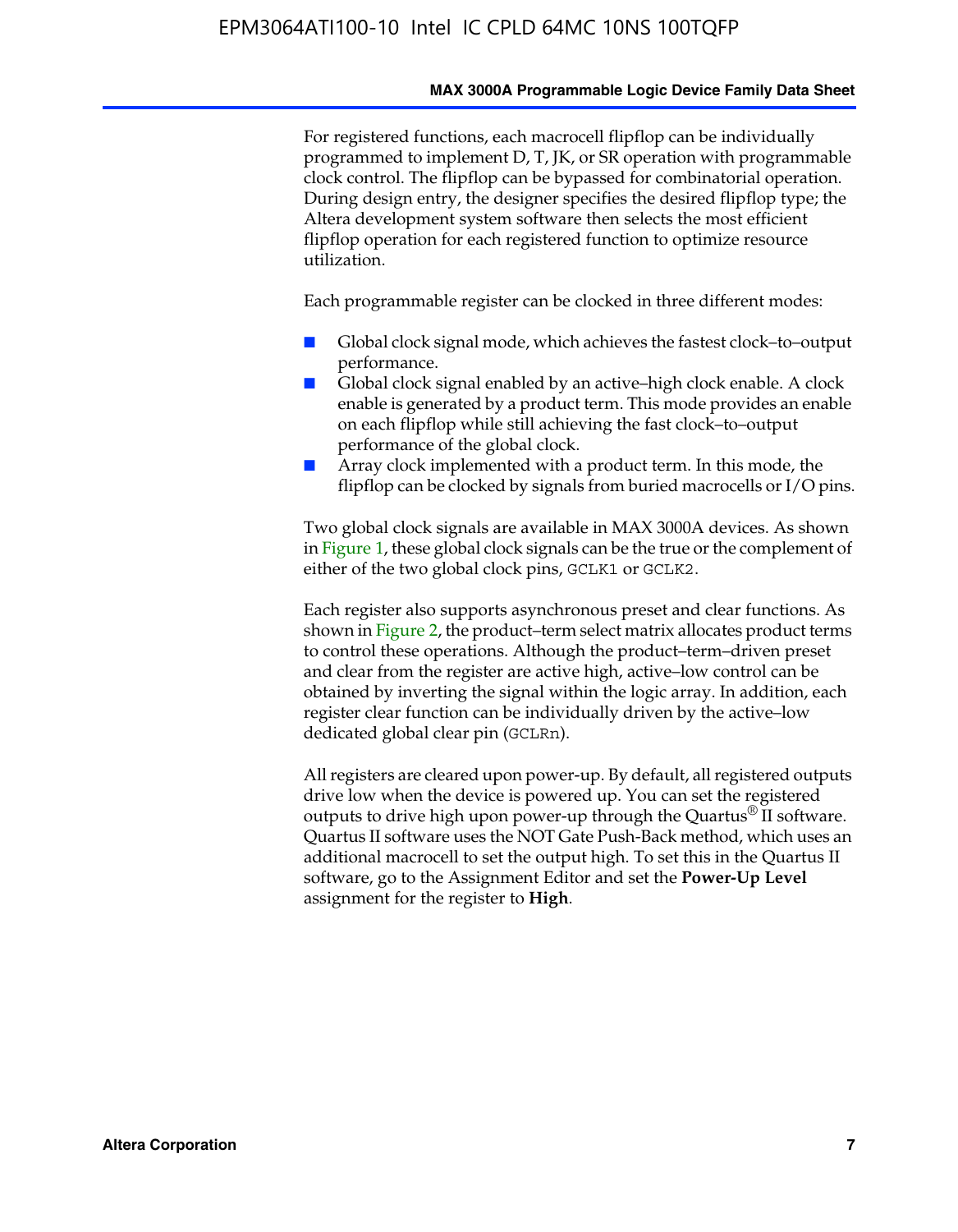#### **MAX 3000A Programmable Logic Device Family Data Sheet**

For registered functions, each macrocell flipflop can be individually programmed to implement D, T, JK, or SR operation with programmable clock control. The flipflop can be bypassed for combinatorial operation. During design entry, the designer specifies the desired flipflop type; the Altera development system software then selects the most efficient flipflop operation for each registered function to optimize resource utilization.

Each programmable register can be clocked in three different modes:

- Global clock signal mode, which achieves the fastest clock–to–output performance.
- Global clock signal enabled by an active–high clock enable. A clock enable is generated by a product term. This mode provides an enable on each flipflop while still achieving the fast clock–to–output performance of the global clock.
- Array clock implemented with a product term. In this mode, the flipflop can be clocked by signals from buried macrocells or I/O pins.

Two global clock signals are available in MAX 3000A devices. As shown in Figure 1, these global clock signals can be the true or the complement of either of the two global clock pins, GCLK1 or GCLK2.

Each register also supports asynchronous preset and clear functions. As shown in Figure 2, the product–term select matrix allocates product terms to control these operations. Although the product–term–driven preset and clear from the register are active high, active–low control can be obtained by inverting the signal within the logic array. In addition, each register clear function can be individually driven by the active–low dedicated global clear pin (GCLRn).

All registers are cleared upon power-up. By default, all registered outputs drive low when the device is powered up. You can set the registered outputs to drive high upon power-up through the Quartus<sup>®</sup> II software. Quartus II software uses the NOT Gate Push-Back method, which uses an additional macrocell to set the output high. To set this in the Quartus II software, go to the Assignment Editor and set the **Power-Up Level** assignment for the register to **High**.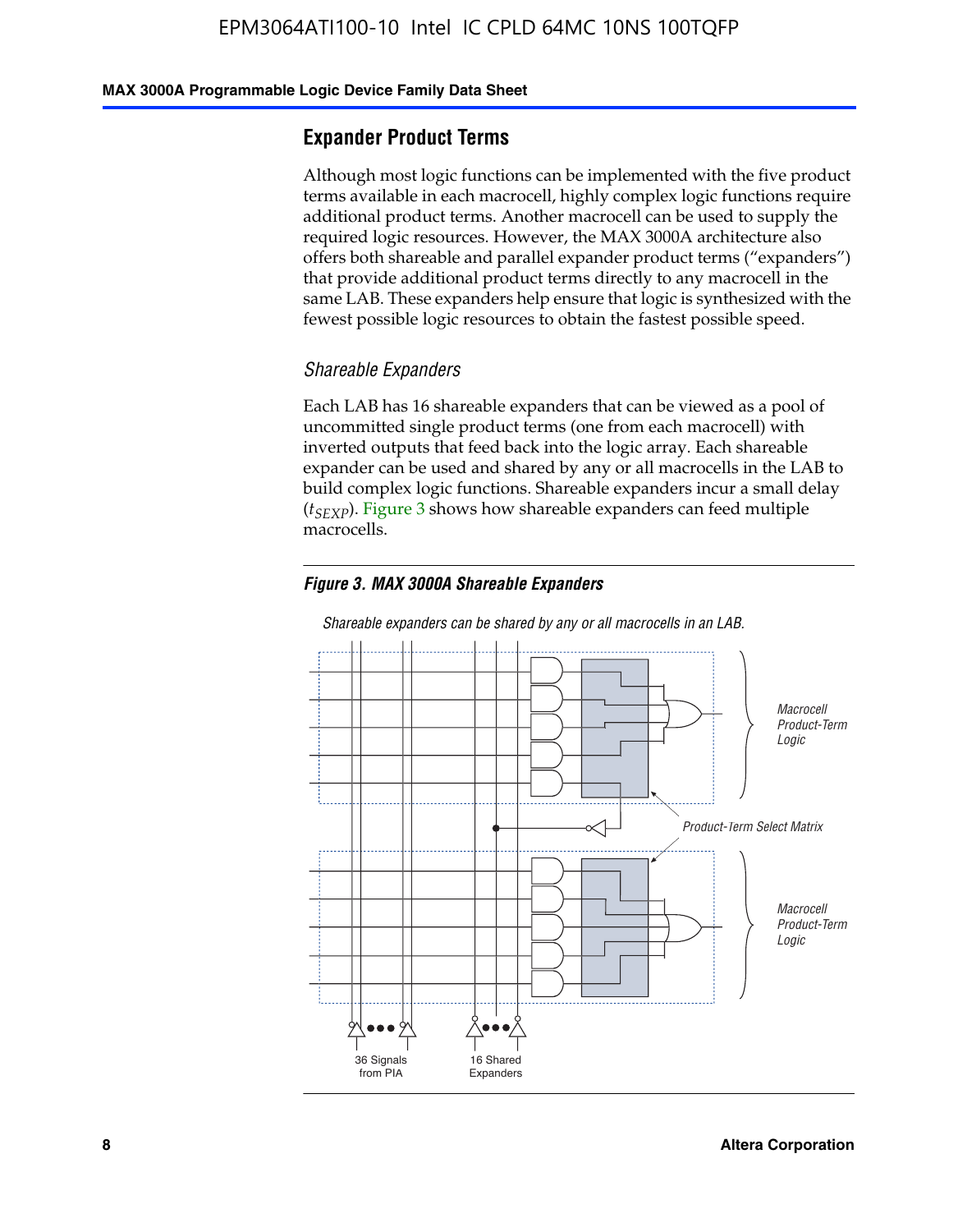#### **MAX 3000A Programmable Logic Device Family Data Sheet**

#### **Expander Product Terms**

Although most logic functions can be implemented with the five product terms available in each macrocell, highly complex logic functions require additional product terms. Another macrocell can be used to supply the required logic resources. However, the MAX 3000A architecture also offers both shareable and parallel expander product terms ("expanders") that provide additional product terms directly to any macrocell in the same LAB. These expanders help ensure that logic is synthesized with the fewest possible logic resources to obtain the fastest possible speed.

#### *Shareable Expanders*

Each LAB has 16 shareable expanders that can be viewed as a pool of uncommitted single product terms (one from each macrocell) with inverted outputs that feed back into the logic array. Each shareable expander can be used and shared by any or all macrocells in the LAB to build complex logic functions. Shareable expanders incur a small delay (*t<sub>SEXP</sub>*). Figure 3 shows how shareable expanders can feed multiple macrocells.

#### *Figure 3. MAX 3000A Shareable Expanders*



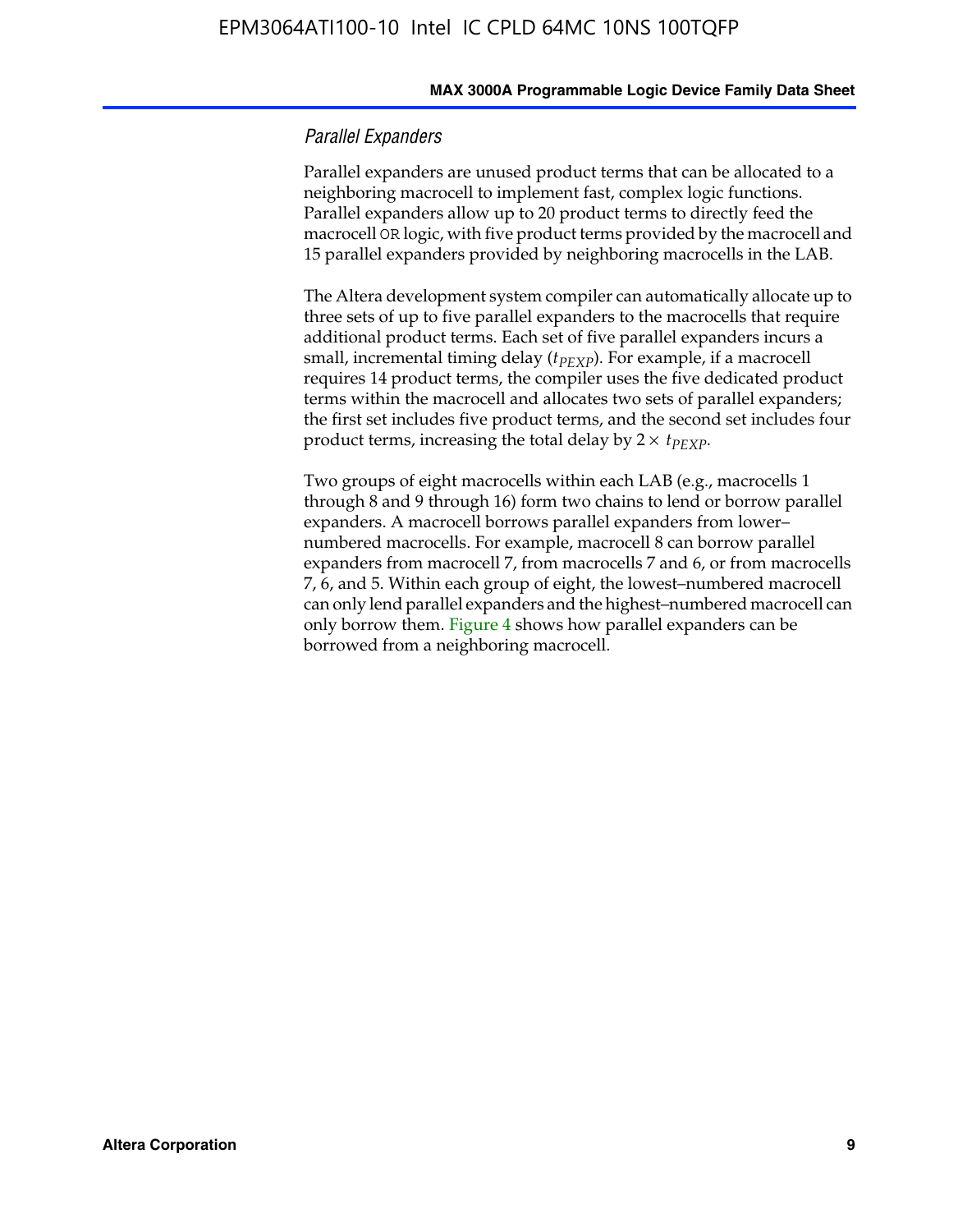#### *Parallel Expanders*

Parallel expanders are unused product terms that can be allocated to a neighboring macrocell to implement fast, complex logic functions. Parallel expanders allow up to 20 product terms to directly feed the macrocell OR logic, with five product terms provided by the macrocell and 15 parallel expanders provided by neighboring macrocells in the LAB.

The Altera development system compiler can automatically allocate up to three sets of up to five parallel expanders to the macrocells that require additional product terms. Each set of five parallel expanders incurs a small, incremental timing delay ( $t_{PEXP}$ ). For example, if a macrocell requires 14 product terms, the compiler uses the five dedicated product terms within the macrocell and allocates two sets of parallel expanders; the first set includes five product terms, and the second set includes four product terms, increasing the total delay by  $2 \times t_{PEXP}$ .

Two groups of eight macrocells within each LAB (e.g., macrocells 1 through 8 and 9 through 16) form two chains to lend or borrow parallel expanders. A macrocell borrows parallel expanders from lower– numbered macrocells. For example, macrocell 8 can borrow parallel expanders from macrocell 7, from macrocells 7 and 6, or from macrocells 7, 6, and 5. Within each group of eight, the lowest–numbered macrocell can only lend parallel expanders and the highest–numbered macrocell can only borrow them. Figure 4 shows how parallel expanders can be borrowed from a neighboring macrocell.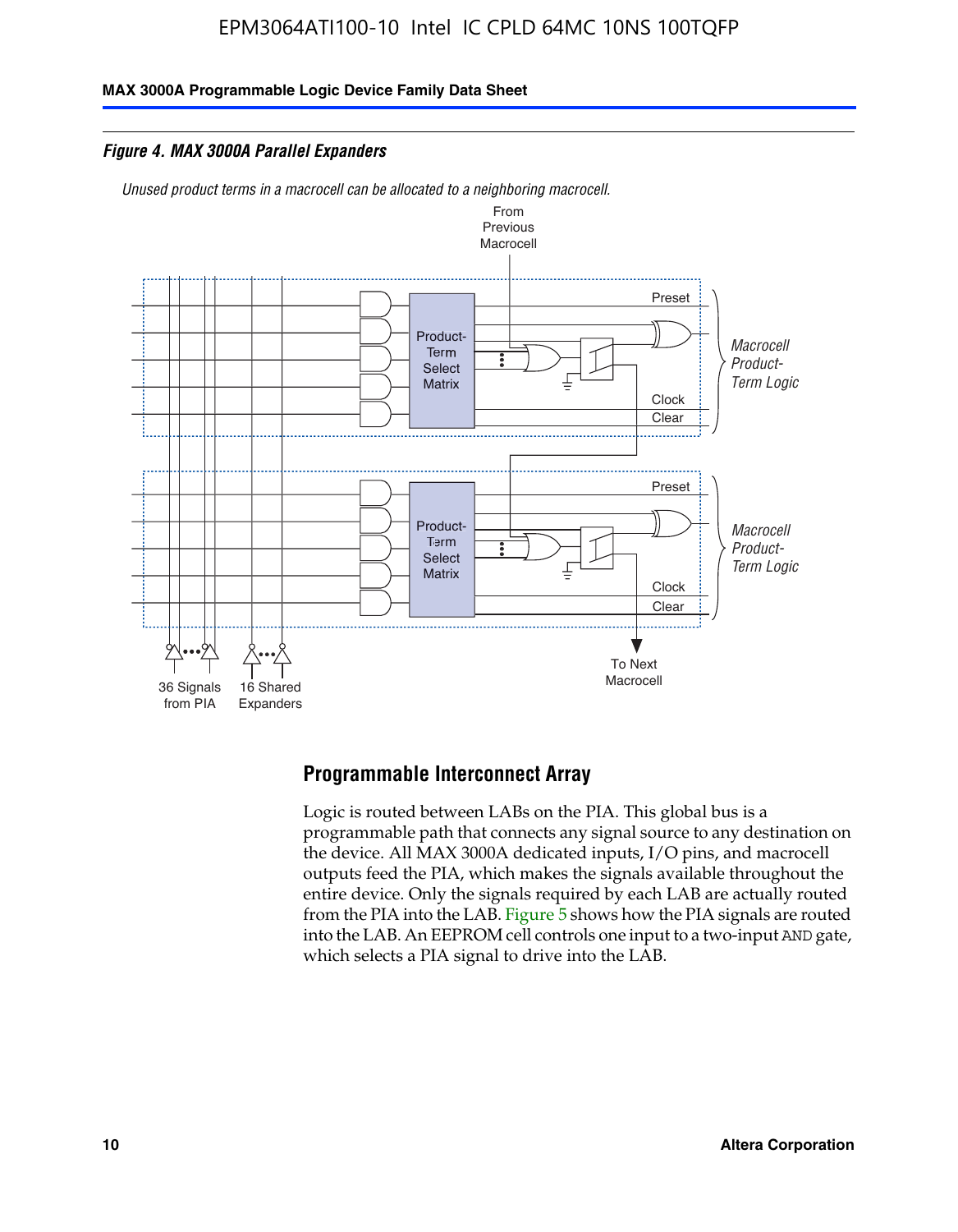**MAX 3000A Programmable Logic Device Family Data Sheet**

*Figure 4. MAX 3000A Parallel Expanders*





#### **Programmable Interconnect Array**

Logic is routed between LABs on the PIA. This global bus is a programmable path that connects any signal source to any destination on the device. All MAX 3000A dedicated inputs, I/O pins, and macrocell outputs feed the PIA, which makes the signals available throughout the entire device. Only the signals required by each LAB are actually routed from the PIA into the LAB. Figure 5 shows how the PIA signals are routed into the LAB. An EEPROM cell controls one input to a two-input AND gate, which selects a PIA signal to drive into the LAB.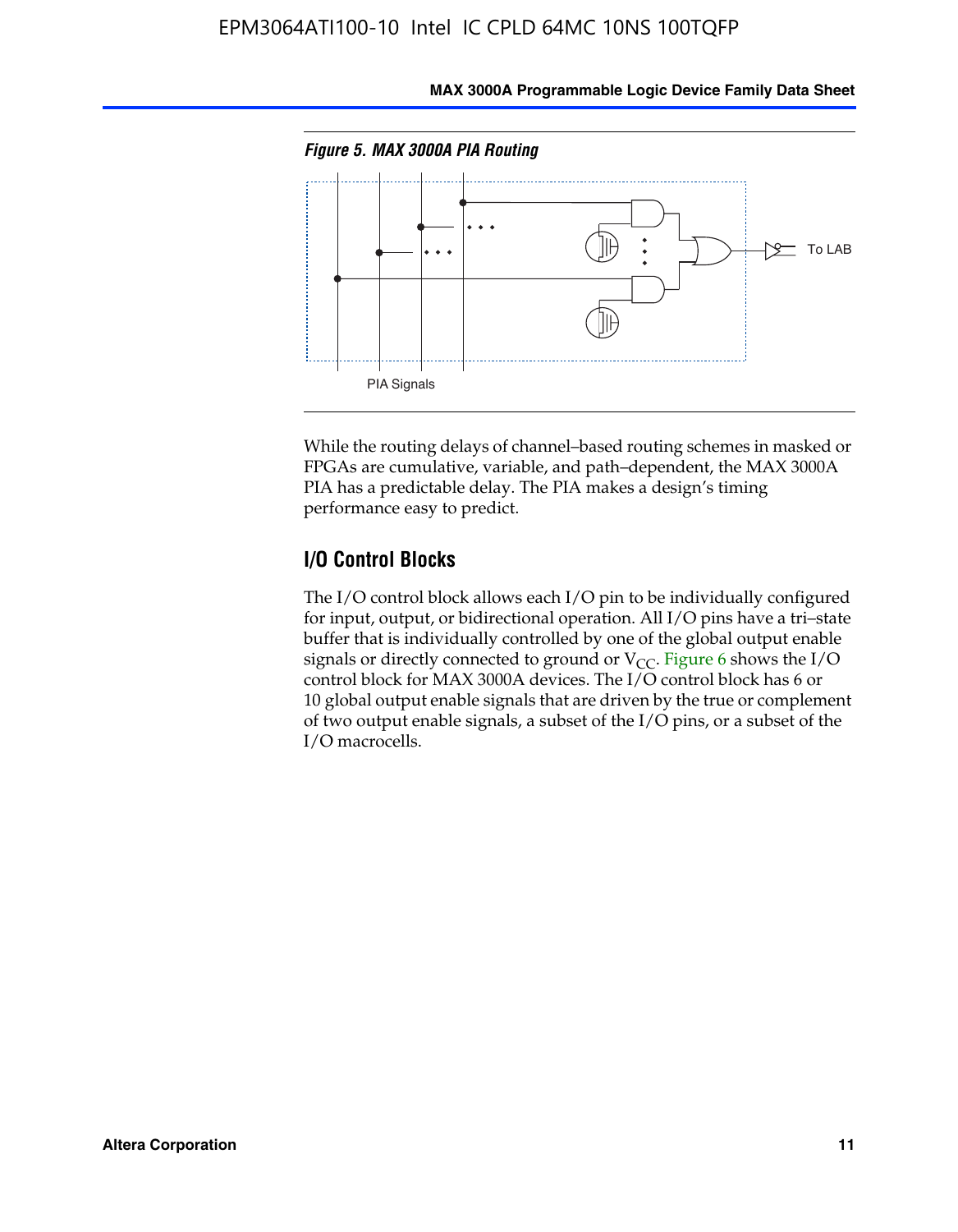

**MAX 3000A Programmable Logic Device Family Data Sheet**

While the routing delays of channel–based routing schemes in masked or FPGAs are cumulative, variable, and path–dependent, the MAX 3000A PIA has a predictable delay. The PIA makes a design's timing performance easy to predict.

#### **I/O Control Blocks**

The I/O control block allows each I/O pin to be individually configured for input, output, or bidirectional operation. All I/O pins have a tri–state buffer that is individually controlled by one of the global output enable signals or directly connected to ground or  $V_{CC}$ . Figure 6 shows the I/O control block for MAX 3000A devices. The I/O control block has 6 or 10 global output enable signals that are driven by the true or complement of two output enable signals, a subset of the I/O pins, or a subset of the I/O macrocells.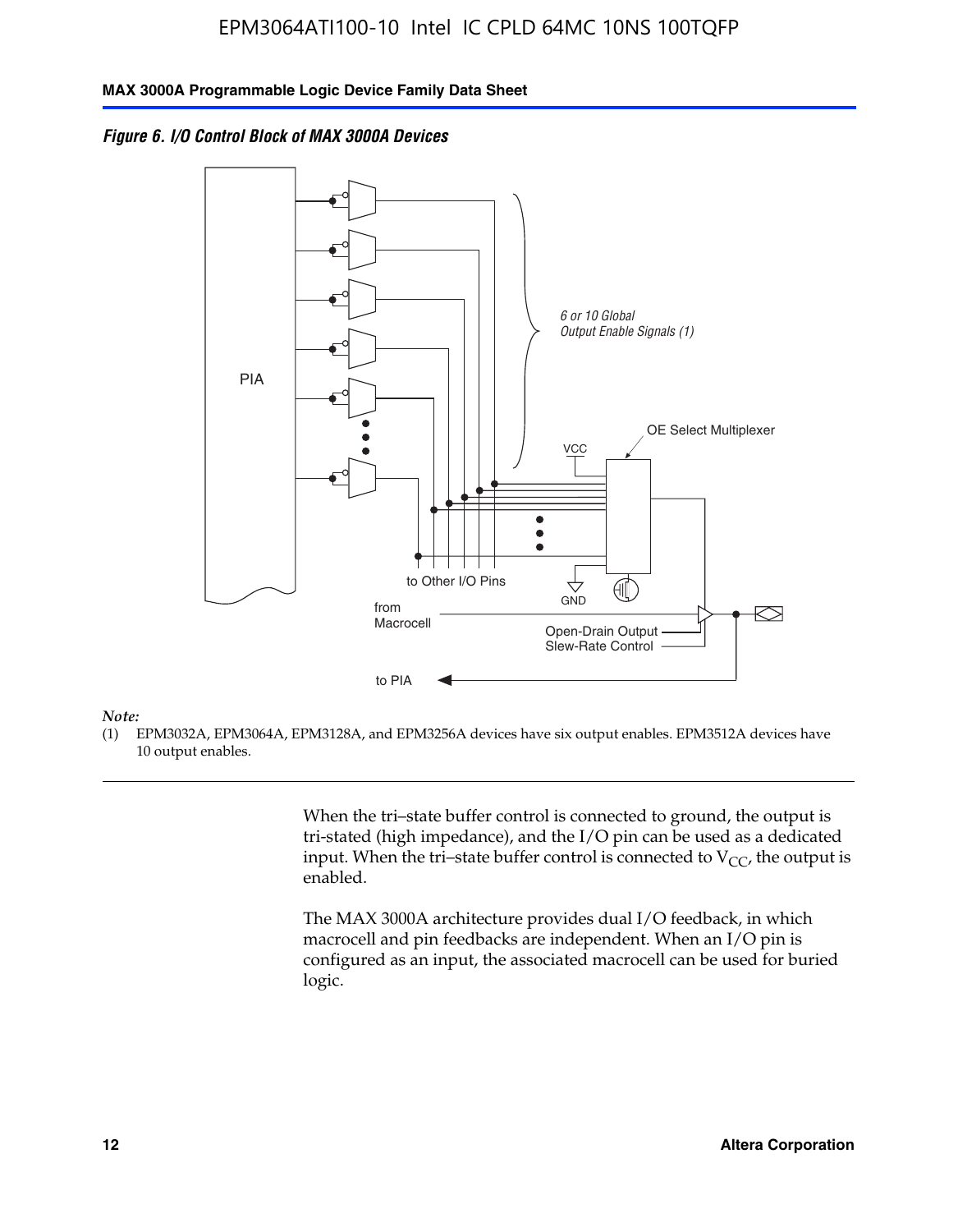*Figure 6. I/O Control Block of MAX 3000A Devices*



#### *Note:*

(1) EPM3032A, EPM3064A, EPM3128A, and EPM3256A devices have six output enables. EPM3512A devices have 10 output enables.

> When the tri–state buffer control is connected to ground, the output is tri-stated (high impedance), and the I/O pin can be used as a dedicated input. When the tri–state buffer control is connected to  $V_{CC}$ , the output is enabled.

The MAX 3000A architecture provides dual I/O feedback, in which macrocell and pin feedbacks are independent. When an I/O pin is configured as an input, the associated macrocell can be used for buried logic.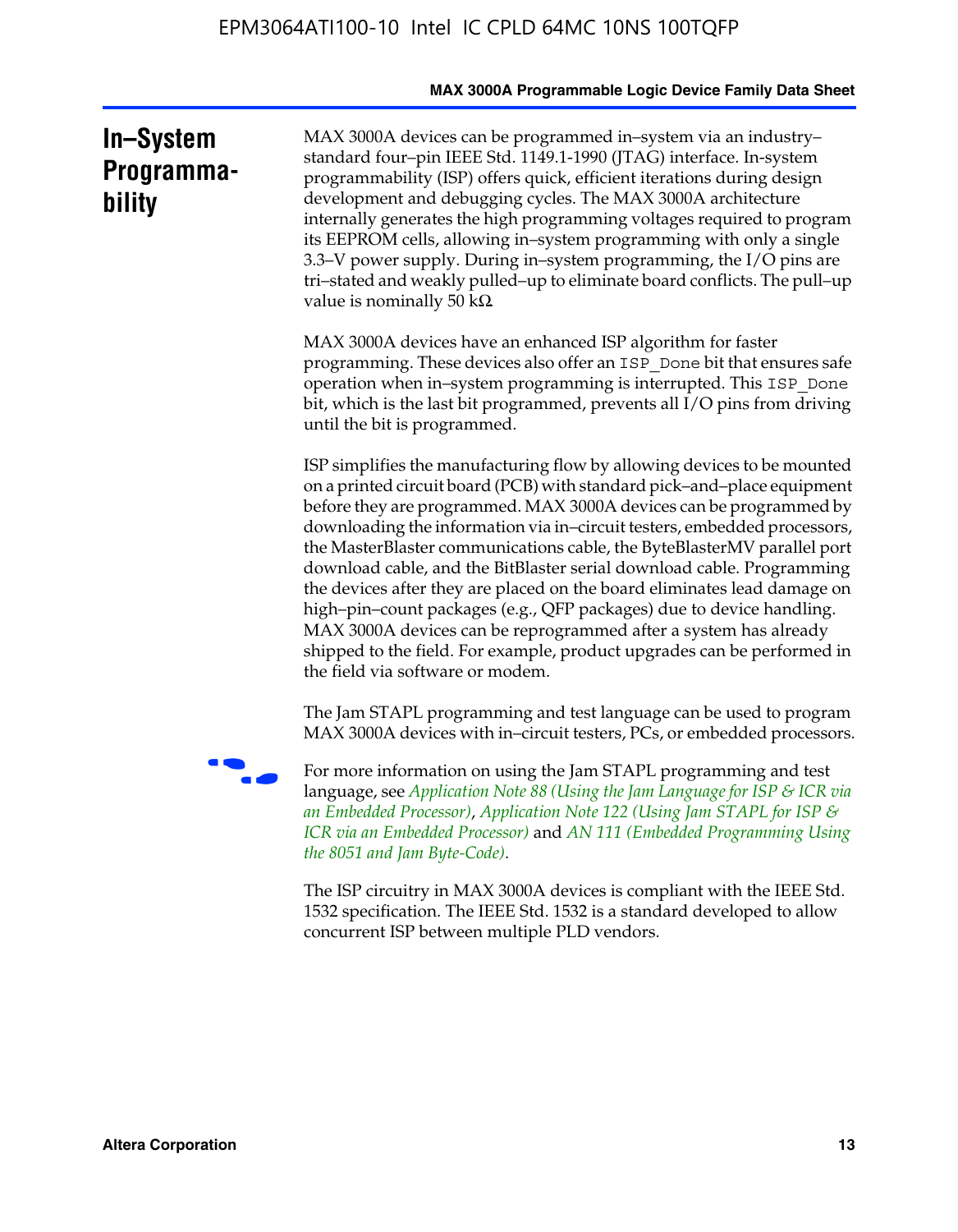|                                   | MAX 3000A Programmable Logic Device Family Data Sheet                                                                                                                                                                                                                                                                                                                                                                                                                                                                                                                                                                                                                                                                                                                                           |
|-----------------------------------|-------------------------------------------------------------------------------------------------------------------------------------------------------------------------------------------------------------------------------------------------------------------------------------------------------------------------------------------------------------------------------------------------------------------------------------------------------------------------------------------------------------------------------------------------------------------------------------------------------------------------------------------------------------------------------------------------------------------------------------------------------------------------------------------------|
| In-System<br>Programma-<br>bility | MAX 3000A devices can be programmed in-system via an industry-<br>standard four-pin IEEE Std. 1149.1-1990 (JTAG) interface. In-system<br>programmability (ISP) offers quick, efficient iterations during design<br>development and debugging cycles. The MAX 3000A architecture<br>internally generates the high programming voltages required to program<br>its EEPROM cells, allowing in-system programming with only a single<br>3.3–V power supply. During in–system programming, the I/O pins are<br>tri-stated and weakly pulled-up to eliminate board conflicts. The pull-up<br>value is nominally 50 k $\Omega$                                                                                                                                                                         |
|                                   | MAX 3000A devices have an enhanced ISP algorithm for faster<br>programming. These devices also offer an ISP_Done bit that ensures safe<br>operation when in-system programming is interrupted. This ISP_Done<br>bit, which is the last bit programmed, prevents all I/O pins from driving<br>until the bit is programmed.                                                                                                                                                                                                                                                                                                                                                                                                                                                                       |
|                                   | ISP simplifies the manufacturing flow by allowing devices to be mounted<br>on a printed circuit board (PCB) with standard pick-and-place equipment<br>before they are programmed. MAX 3000A devices can be programmed by<br>downloading the information via in-circuit testers, embedded processors,<br>the MasterBlaster communications cable, the ByteBlasterMV parallel port<br>download cable, and the BitBlaster serial download cable. Programming<br>the devices after they are placed on the board eliminates lead damage on<br>high-pin-count packages (e.g., QFP packages) due to device handling.<br>MAX 3000A devices can be reprogrammed after a system has already<br>shipped to the field. For example, product upgrades can be performed in<br>the field via software or modem. |
|                                   | The Jam STAPL programming and test language can be used to program<br>MAX 3000A devices with in-circuit testers, PCs, or embedded processors.                                                                                                                                                                                                                                                                                                                                                                                                                                                                                                                                                                                                                                                   |
|                                   | For more information on using the Jam STAPL programming and test<br>language, see Application Note 88 (Using the Jam Language for ISP & ICR via<br>an Embedded Processor), Application Note 122 (Using Jam STAPL for ISP &<br>ICR via an Embedded Processor) and AN 111 (Embedded Programming Using<br>the 8051 and Jam Byte-Code).                                                                                                                                                                                                                                                                                                                                                                                                                                                             |
|                                   | The ISP circuitry in MAX 3000A devices is compliant with the IEEE Std.<br>1532 specification. The IEEE Std. 1532 is a standard developed to allow<br>concurrent ISP between multiple PLD vendors.                                                                                                                                                                                                                                                                                                                                                                                                                                                                                                                                                                                               |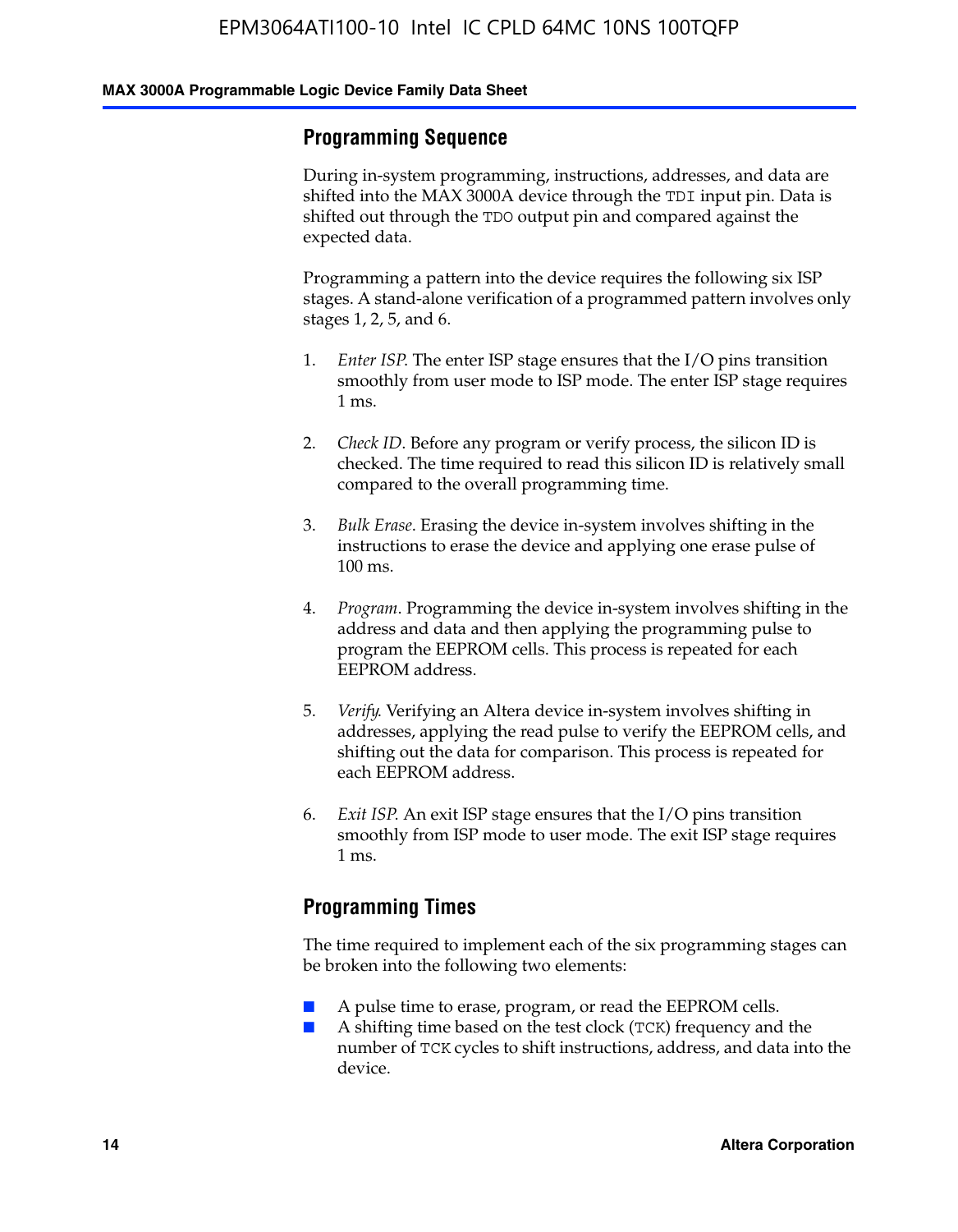#### **Programming Sequence**

During in-system programming, instructions, addresses, and data are shifted into the MAX 3000A device through the TDI input pin. Data is shifted out through the TDO output pin and compared against the expected data.

Programming a pattern into the device requires the following six ISP stages. A stand-alone verification of a programmed pattern involves only stages 1, 2, 5, and 6.

- 1. *Enter ISP*. The enter ISP stage ensures that the I/O pins transition smoothly from user mode to ISP mode. The enter ISP stage requires 1 ms.
- 2. *Check ID*. Before any program or verify process, the silicon ID is checked. The time required to read this silicon ID is relatively small compared to the overall programming time.
- 3. *Bulk Erase*. Erasing the device in-system involves shifting in the instructions to erase the device and applying one erase pulse of 100 ms.
- 4. *Program*. Programming the device in-system involves shifting in the address and data and then applying the programming pulse to program the EEPROM cells. This process is repeated for each EEPROM address.
- 5. *Verify*. Verifying an Altera device in-system involves shifting in addresses, applying the read pulse to verify the EEPROM cells, and shifting out the data for comparison. This process is repeated for each EEPROM address.
- 6. *Exit ISP*. An exit ISP stage ensures that the I/O pins transition smoothly from ISP mode to user mode. The exit ISP stage requires 1 ms.

#### **Programming Times**

The time required to implement each of the six programming stages can be broken into the following two elements:

- A pulse time to erase, program, or read the EEPROM cells.
- A shifting time based on the test clock (TCK) frequency and the number of TCK cycles to shift instructions, address, and data into the device.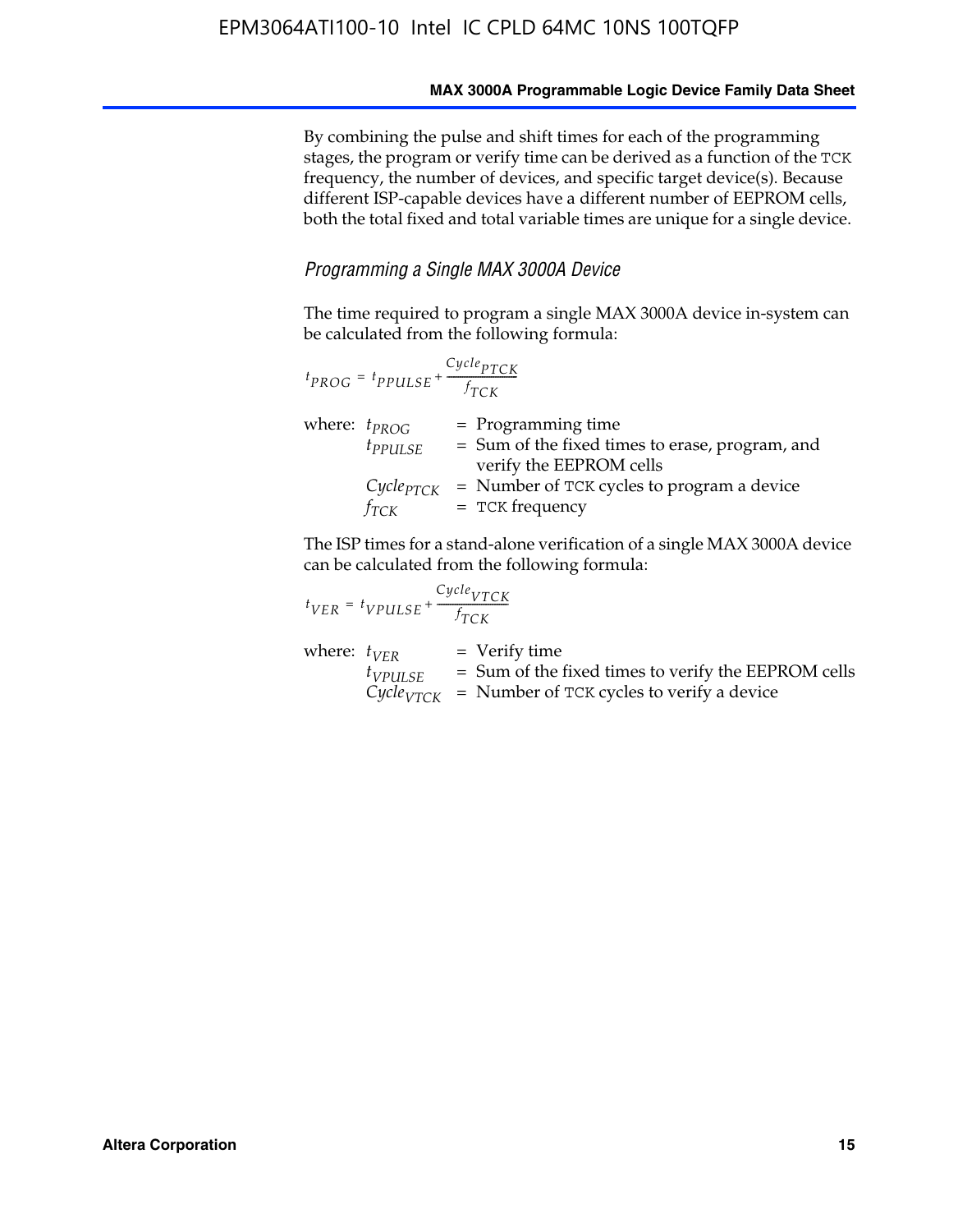By combining the pulse and shift times for each of the programming stages, the program or verify time can be derived as a function of the TCK frequency, the number of devices, and specific target device(s). Because different ISP-capable devices have a different number of EEPROM cells, both the total fixed and total variable times are unique for a single device.

#### *Programming a Single MAX 3000A Device*

The time required to program a single MAX 3000A device in-system can be calculated from the following formula:

| $t_{PROG} = t_{PPULSE} + \frac{Cycle_{PTCK}}{f_{TCK}}$ |                                                                                                    |
|--------------------------------------------------------|----------------------------------------------------------------------------------------------------|
| where: $t_{PROG}$<br>$t_{PPULSE}$                      | $=$ Programming time<br>= Sum of the fixed times to erase, program, and<br>verify the EEPROM cells |
| $Cycle_{PTCK}$<br>fтск                                 | = Number of TCK cycles to program a device<br>$=$ TCK frequency                                    |

The ISP times for a stand-alone verification of a single MAX 3000A device can be calculated from the following formula:

| $t_{VER} = t_{VPULSE} + \frac{t_{TCK}}{f_{TCK}}$ | $Cycle_{VTCK}$                                                                                                                    |
|--------------------------------------------------|-----------------------------------------------------------------------------------------------------------------------------------|
| where: $t_{VFR}$<br>$t_{VPULSE}$                 | $=$ Verify time<br>$=$ Sum of the fixed times to verify the EEPROM cells<br>$CycleVTCK$ = Number of TCK cycles to verify a device |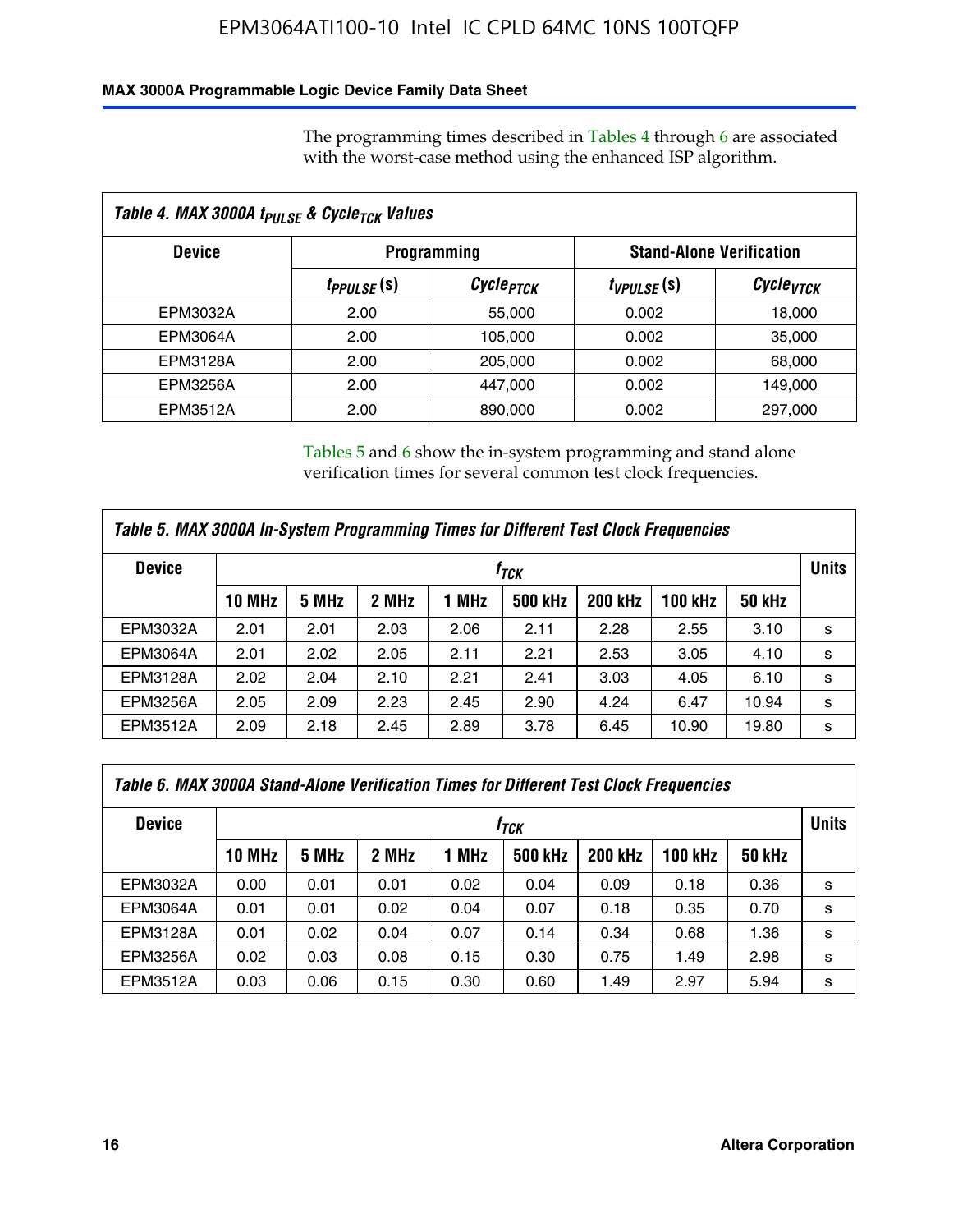#### **MAX 3000A Programmable Logic Device Family Data Sheet**

The programming times described in Tables 4 through 6 are associated with the worst-case method using the enhanced ISP algorithm.

| Table 4. MAX 3000A t <sub>PULSE</sub> & Cycle <sub>TCK</sub> Values |                               |                       |                 |                                 |  |  |
|---------------------------------------------------------------------|-------------------------------|-----------------------|-----------------|---------------------------------|--|--|
| <b>Device</b>                                                       |                               | <b>Programming</b>    |                 | <b>Stand-Alone Verification</b> |  |  |
|                                                                     | <i>t<sub>PPULSE</sub></i> (s) | Cycle <sub>PTCK</sub> | $t_{VPULSE}(s)$ | Cycle <sub>vTCK</sub>           |  |  |
| EPM3032A                                                            | 2.00                          | 55,000                | 0.002           | 18,000                          |  |  |
| EPM3064A                                                            | 2.00                          | 105,000               | 0.002           | 35,000                          |  |  |
| EPM3128A                                                            | 2.00                          | 205,000               | 0.002           | 68,000                          |  |  |
| <b>EPM3256A</b>                                                     | 2.00                          | 447.000               | 0.002           | 149,000                         |  |  |
| EPM3512A                                                            | 2.00                          | 890,000               | 0.002           | 297,000                         |  |  |

Tables 5 and 6 show the in-system programming and stand alone verification times for several common test clock frequencies.

| Table 5. MAX 3000A In-System Programming Times for Different Test Clock Frequencies |               |       |       |       |                |                |              |               |   |
|-------------------------------------------------------------------------------------|---------------|-------|-------|-------|----------------|----------------|--------------|---------------|---|
| <b>Device</b>                                                                       | $f_{TCK}$     |       |       |       |                |                | <b>Units</b> |               |   |
|                                                                                     | <b>10 MHz</b> | 5 MHz | 2 MHz | 1 MHz | <b>500 kHz</b> | <b>200 kHz</b> | 100 kHz      | <b>50 kHz</b> |   |
| EPM3032A                                                                            | 2.01          | 2.01  | 2.03  | 2.06  | 2.11           | 2.28           | 2.55         | 3.10          | s |
| <b>EPM3064A</b>                                                                     | 2.01          | 2.02  | 2.05  | 2.11  | 2.21           | 2.53           | 3.05         | 4.10          | s |
| <b>EPM3128A</b>                                                                     | 2.02          | 2.04  | 2.10  | 2.21  | 2.41           | 3.03           | 4.05         | 6.10          | s |
| <b>EPM3256A</b>                                                                     | 2.05          | 2.09  | 2.23  | 2.45  | 2.90           | 4.24           | 6.47         | 10.94         | s |
| EPM3512A                                                                            | 2.09          | 2.18  | 2.45  | 2.89  | 3.78           | 6.45           | 10.90        | 19.80         | s |

| Table 6. MAX 3000A Stand-Alone Verification Times for Different Test Clock Frequencies |               |       |       |       |                |                |                |               |   |
|----------------------------------------------------------------------------------------|---------------|-------|-------|-------|----------------|----------------|----------------|---------------|---|
| <b>Device</b>                                                                          | $f_{TCK}$     |       |       |       |                |                |                | <b>Units</b>  |   |
|                                                                                        | <b>10 MHz</b> | 5 MHz | 2 MHz | 1 MHz | <b>500 kHz</b> | <b>200 kHz</b> | <b>100 kHz</b> | <b>50 kHz</b> |   |
| EPM3032A                                                                               | 0.00          | 0.01  | 0.01  | 0.02  | 0.04           | 0.09           | 0.18           | 0.36          | s |
| <b>EPM3064A</b>                                                                        | 0.01          | 0.01  | 0.02  | 0.04  | 0.07           | 0.18           | 0.35           | 0.70          | s |
| EPM3128A                                                                               | 0.01          | 0.02  | 0.04  | 0.07  | 0.14           | 0.34           | 0.68           | 1.36          | s |
| <b>EPM3256A</b>                                                                        | 0.02          | 0.03  | 0.08  | 0.15  | 0.30           | 0.75           | 1.49           | 2.98          | s |
| EPM3512A                                                                               | 0.03          | 0.06  | 0.15  | 0.30  | 0.60           | 1.49           | 2.97           | 5.94          | s |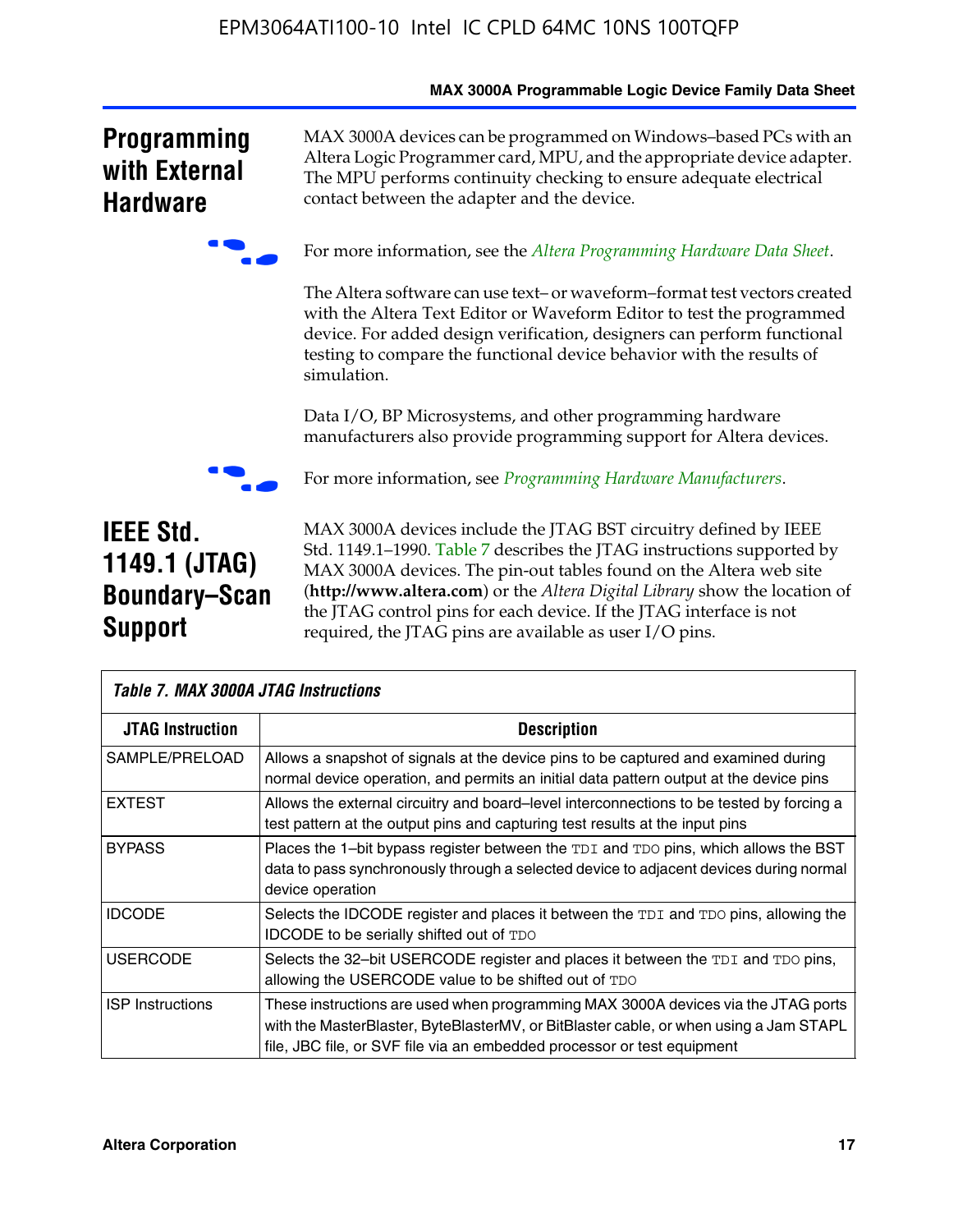|                                                                             | <b>MAX SUUDA FIUGIAIIIIIADIE LUGIC DEVICE FAIIIII) DATA SIIEEI</b>                                                                                                                                                                                                                                                                                                                                                               |
|-----------------------------------------------------------------------------|----------------------------------------------------------------------------------------------------------------------------------------------------------------------------------------------------------------------------------------------------------------------------------------------------------------------------------------------------------------------------------------------------------------------------------|
| <b>Programming</b><br>with External<br><b>Hardware</b>                      | MAX 3000A devices can be programmed on Windows-based PCs with an<br>Altera Logic Programmer card, MPU, and the appropriate device adapter.<br>The MPU performs continuity checking to ensure adequate electrical<br>contact between the adapter and the device.                                                                                                                                                                  |
|                                                                             | For more information, see the Altera Programming Hardware Data Sheet.                                                                                                                                                                                                                                                                                                                                                            |
|                                                                             | The Altera software can use text- or waveform-format test vectors created<br>with the Altera Text Editor or Waveform Editor to test the programmed<br>device. For added design verification, designers can perform functional<br>testing to compare the functional device behavior with the results of<br>simulation.                                                                                                            |
|                                                                             | Data I/O, BP Microsystems, and other programming hardware<br>manufacturers also provide programming support for Altera devices.                                                                                                                                                                                                                                                                                                  |
|                                                                             | For more information, see <i>Programming Hardware Manufacturers</i> .                                                                                                                                                                                                                                                                                                                                                            |
| <b>IEEE Std.</b><br>1149.1 (JTAG)<br><b>Boundary-Scan</b><br><b>Support</b> | MAX 3000A devices include the JTAG BST circuitry defined by IEEE<br>Std. 1149.1-1990. Table 7 describes the JTAG instructions supported by<br>MAX 3000A devices. The pin-out tables found on the Altera web site<br>(http://www.altera.com) or the Altera Digital Library show the location of<br>the JTAG control pins for each device. If the JTAG interface is not<br>required, the JTAG pins are available as user I/O pins. |

| <b>Table 7. MAX 3000A JTAG Instructions</b> |                                                                                                                                                                                                                                                       |  |  |  |  |  |  |
|---------------------------------------------|-------------------------------------------------------------------------------------------------------------------------------------------------------------------------------------------------------------------------------------------------------|--|--|--|--|--|--|
| <b>JTAG Instruction</b>                     | <b>Description</b>                                                                                                                                                                                                                                    |  |  |  |  |  |  |
| SAMPLE/PRELOAD                              | Allows a snapshot of signals at the device pins to be captured and examined during<br>normal device operation, and permits an initial data pattern output at the device pins                                                                          |  |  |  |  |  |  |
| <b>EXTEST</b>                               | Allows the external circuitry and board–level interconnections to be tested by forcing a<br>test pattern at the output pins and capturing test results at the input pins                                                                              |  |  |  |  |  |  |
| <b>BYPASS</b>                               | Places the 1-bit bypass register between the TDI and TDO pins, which allows the BST<br>data to pass synchronously through a selected device to adjacent devices during normal<br>device operation                                                     |  |  |  |  |  |  |
| <b>IDCODE</b>                               | Selects the IDCODE register and places it between the TDI and TDO pins, allowing the<br><b>IDCODE</b> to be serially shifted out of TDO                                                                                                               |  |  |  |  |  |  |
| <b>USERCODE</b>                             | Selects the 32-bit USERCODE register and places it between the TDI and TDO pins,<br>allowing the USERCODE value to be shifted out of TDO                                                                                                              |  |  |  |  |  |  |
| <b>ISP</b> Instructions                     | These instructions are used when programming MAX 3000A devices via the JTAG ports<br>with the MasterBlaster, ByteBlasterMV, or BitBlaster cable, or when using a Jam STAPL<br>file, JBC file, or SVF file via an embedded processor or test equipment |  |  |  |  |  |  |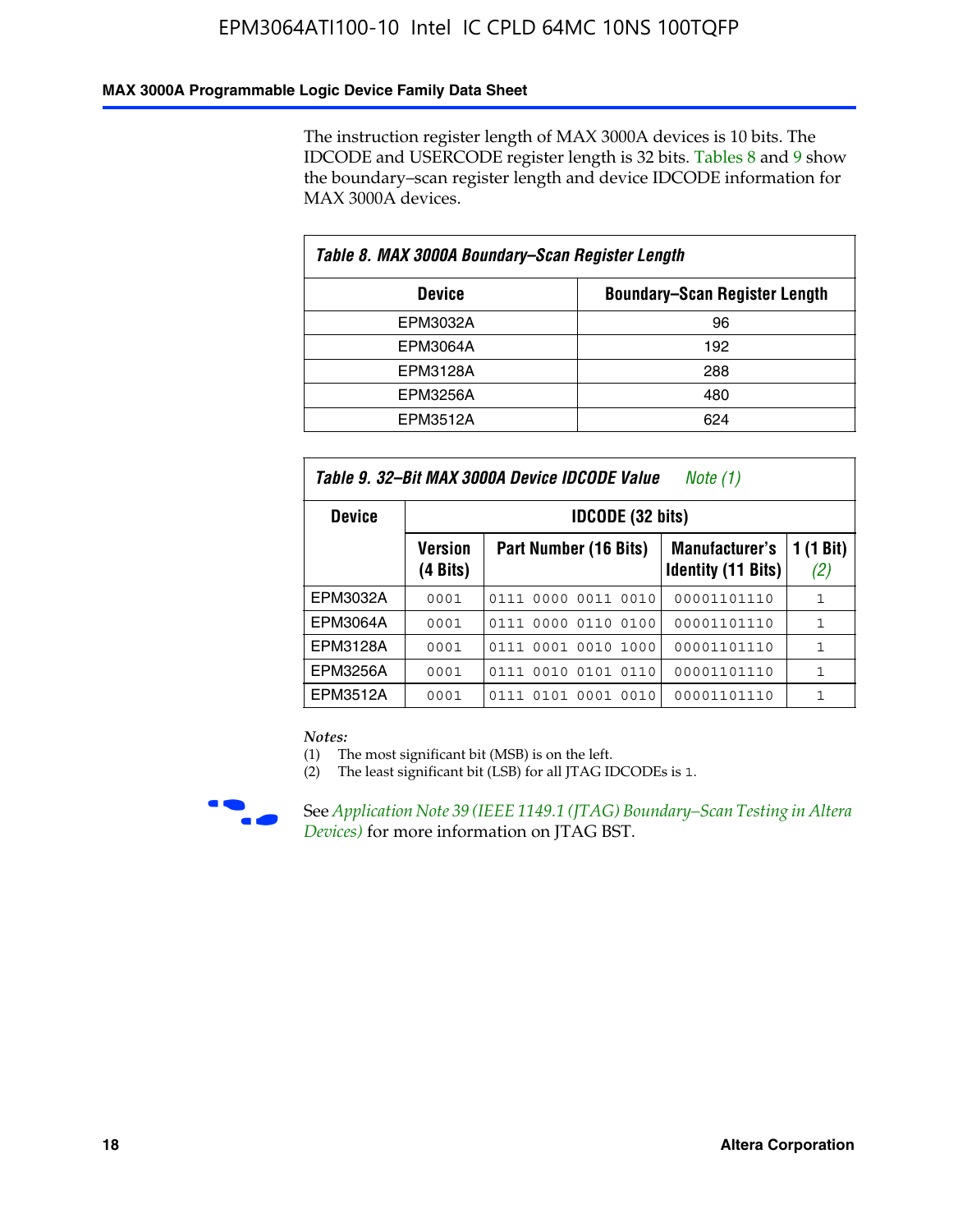#### **MAX 3000A Programmable Logic Device Family Data Sheet**

The instruction register length of MAX 3000A devices is 10 bits. The IDCODE and USERCODE register length is 32 bits. Tables 8 and 9 show the boundary–scan register length and device IDCODE information for MAX 3000A devices.

| Table 8. MAX 3000A Boundary–Scan Register Length |                                      |  |  |  |  |  |
|--------------------------------------------------|--------------------------------------|--|--|--|--|--|
| <b>Device</b>                                    | <b>Boundary-Scan Register Length</b> |  |  |  |  |  |
| EPM3032A                                         | 96                                   |  |  |  |  |  |
| EPM3064A                                         | 192                                  |  |  |  |  |  |
| EPM3128A                                         | 288                                  |  |  |  |  |  |
| EPM3256A                                         | 480                                  |  |  |  |  |  |
| EPM3512A                                         | 624                                  |  |  |  |  |  |

| Table 9. 32–Bit MAX 3000A Device IDCODE Value<br>Note (1) |                            |                                                                                          |             |   |  |  |  |  |  |  |
|-----------------------------------------------------------|----------------------------|------------------------------------------------------------------------------------------|-------------|---|--|--|--|--|--|--|
| <b>Device</b>                                             |                            | <b>IDCODE (32 bits)</b>                                                                  |             |   |  |  |  |  |  |  |
|                                                           | <b>Version</b><br>(4 Bits) | 1 (1 Bit)<br>Part Number (16 Bits)<br><b>Manufacturer's</b><br><b>Identity (11 Bits)</b> |             |   |  |  |  |  |  |  |
| EPM3032A                                                  | 0001                       | 0111 0000 0011 0010                                                                      | 00001101110 | 1 |  |  |  |  |  |  |
| <b>EPM3064A</b>                                           | 0001                       | 0111 0000 0110 0100                                                                      | 00001101110 | 1 |  |  |  |  |  |  |
| EPM3128A                                                  | 0001                       | 0111 0001 0010 1000                                                                      | 00001101110 | 1 |  |  |  |  |  |  |
| EPM3256A                                                  | 0001                       | 0010 0101 0110<br>0111                                                                   | 00001101110 | 1 |  |  |  |  |  |  |
| EPM3512A                                                  | 0001                       | 0001<br>0101<br>0010<br>0111                                                             | 00001101110 | 1 |  |  |  |  |  |  |

#### *Notes:*

(1) The most significant bit (MSB) is on the left.

(2) The least significant bit (LSB) for all JTAG IDCODEs is 1.



**F See Application Note 39 (IEEE 1149.1 (JTAG) Boundary–Scan Testing in Altera** *Devices)* for more information on JTAG BST.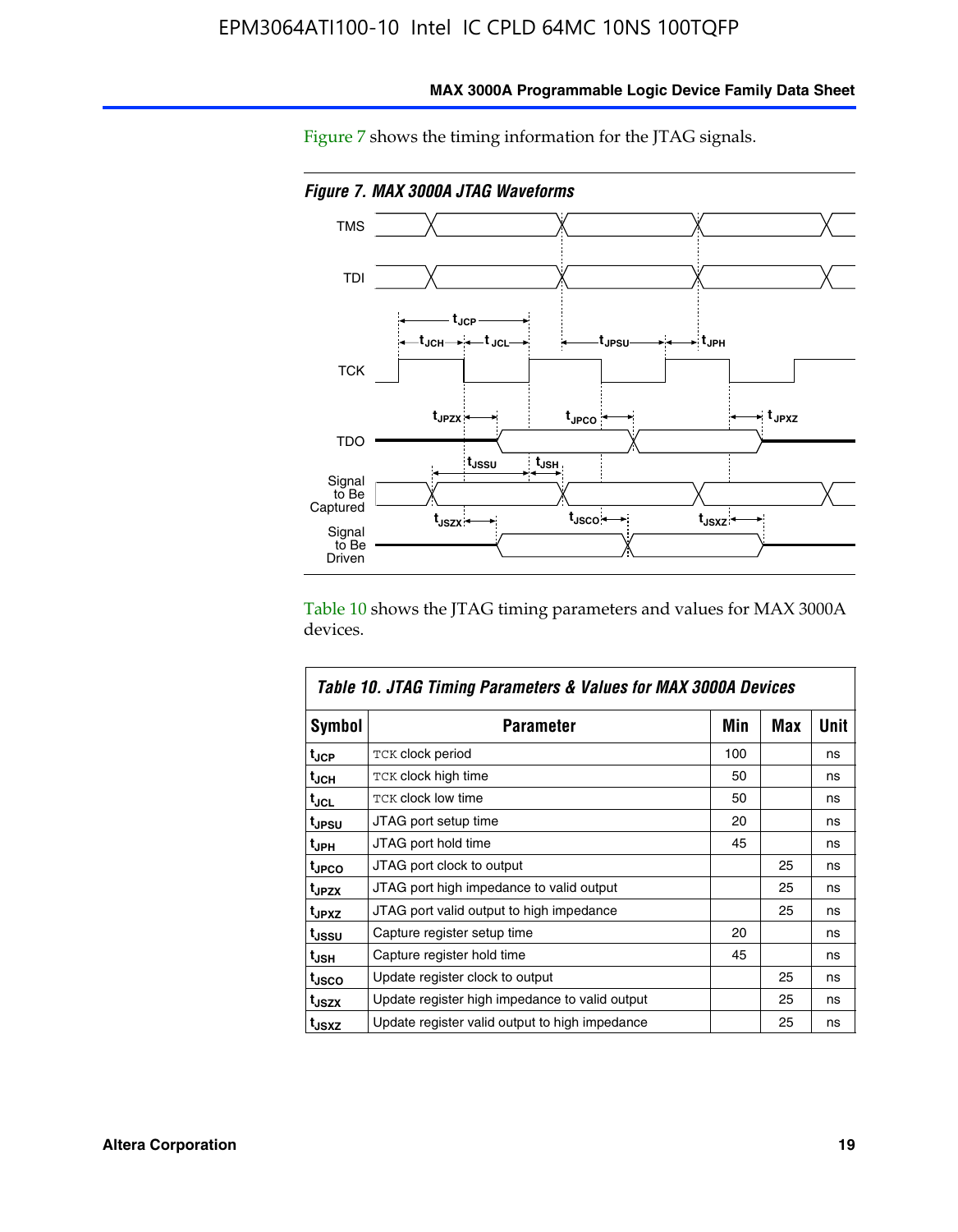

**MAX 3000A Programmable Logic Device Family Data Sheet**

Figure 7 shows the timing information for the JTAG signals.

Table 10 shows the JTAG timing parameters and values for MAX 3000A devices.

|                   | Table 10. JTAG Timing Parameters & Values for MAX 3000A Devices |     |     |      |
|-------------------|-----------------------------------------------------------------|-----|-----|------|
| <b>Symbol</b>     | <b>Parameter</b>                                                | Min | Max | Unit |
| t <sub>JCP</sub>  | TCK clock period                                                | 100 |     | ns   |
| t <sub>JCH</sub>  | TCK clock high time                                             | 50  |     | ns   |
| t <sub>JCL</sub>  | <b>TCK clock low time</b>                                       | 50  |     | ns   |
| t <sub>JPSU</sub> | JTAG port setup time                                            | 20  |     | ns   |
| t <sub>JPH</sub>  | JTAG port hold time                                             | 45  |     | ns   |
| <sup>t</sup> JPCO | JTAG port clock to output                                       |     | 25  | ns   |
| t <sub>JPZX</sub> | JTAG port high impedance to valid output                        |     | 25  | ns   |
| t <sub>JPXZ</sub> | JTAG port valid output to high impedance                        |     | 25  | ns   |
| tussu             | Capture register setup time                                     | 20  |     | ns   |
| t <sub>JSH</sub>  | Capture register hold time                                      | 45  |     | ns   |
| t <sub>JSCO</sub> | Update register clock to output                                 |     | 25  | ns   |
| t <sub>JSZX</sub> | Update register high impedance to valid output                  |     | 25  | ns   |
| t <sub>JSXZ</sub> | Update register valid output to high impedance                  |     | 25  | ns   |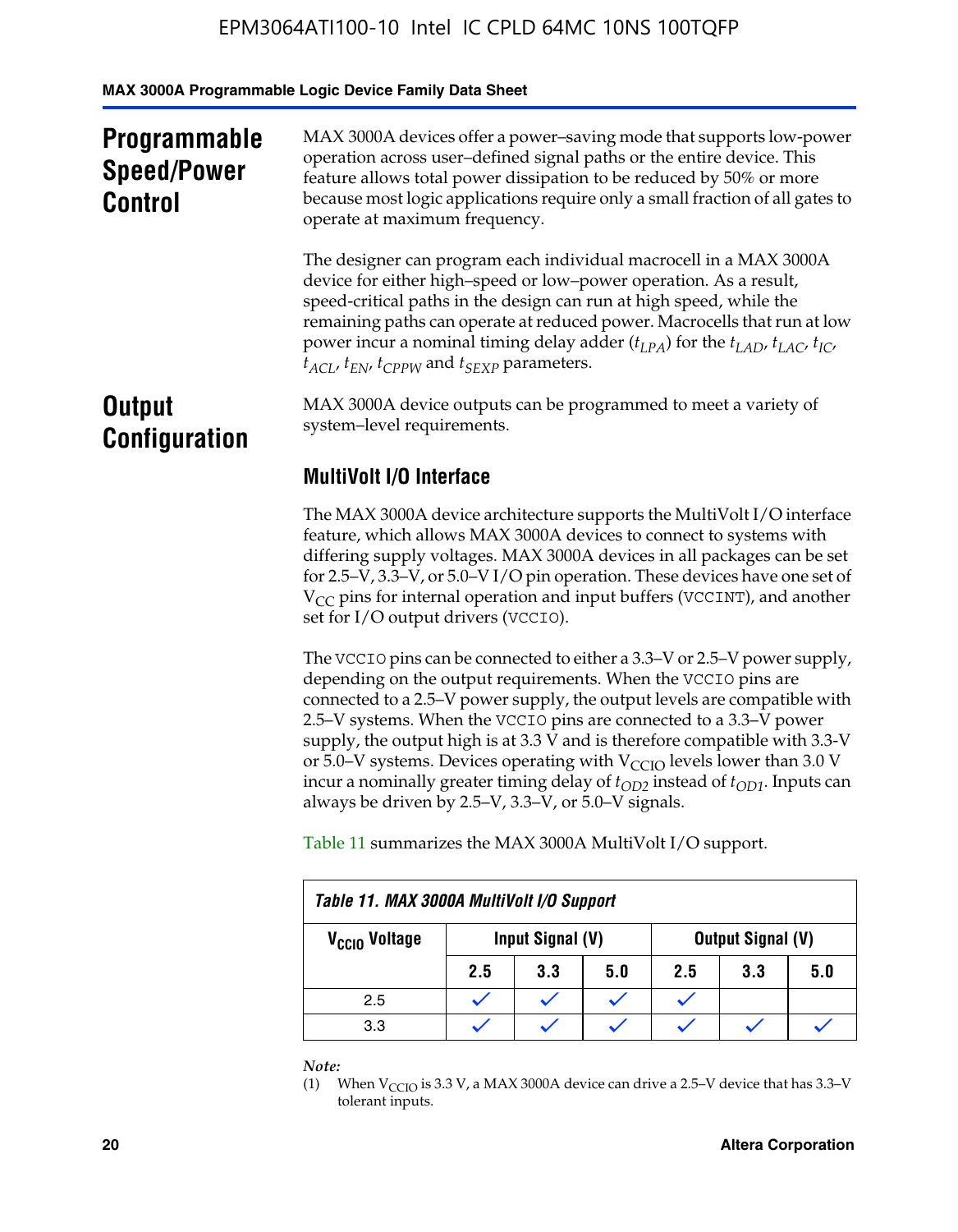**MAX 3000A Programmable Logic Device Family Data Sheet**

| <b>Programmable</b><br><b>Speed/Power</b><br><b>Control</b> | MAX 3000A devices offer a power-saving mode that supports low-power<br>operation across user-defined signal paths or the entire device. This<br>feature allows total power dissipation to be reduced by 50% or more<br>because most logic applications require only a small fraction of all gates to<br>operate at maximum frequency.                                                                                                                        |  |  |  |
|-------------------------------------------------------------|--------------------------------------------------------------------------------------------------------------------------------------------------------------------------------------------------------------------------------------------------------------------------------------------------------------------------------------------------------------------------------------------------------------------------------------------------------------|--|--|--|
|                                                             | The designer can program each individual macrocell in a MAX 3000A<br>device for either high-speed or low-power operation. As a result,<br>speed-critical paths in the design can run at high speed, while the<br>remaining paths can operate at reduced power. Macrocells that run at low<br>power incur a nominal timing delay adder $(t_{LPA})$ for the $t_{LAD}$ , $t_{LAC}$ , $t_{IC}$ ,<br>$t_{ACL}$ , $t_{EN}$ , $t_{CPPW}$ and $t_{SEXP}$ parameters. |  |  |  |
| <b>Output</b><br><b>Configuration</b>                       | MAX 3000A device outputs can be programmed to meet a variety of<br>system-level requirements.                                                                                                                                                                                                                                                                                                                                                                |  |  |  |
|                                                             | <b>MultiVolt I/O Interface</b>                                                                                                                                                                                                                                                                                                                                                                                                                               |  |  |  |
|                                                             | The MAX 3000A device architecture supports the MultiVolt I/O interface<br>fortune which allows MAY 2000A dovices to connect to systems with                                                                                                                                                                                                                                                                                                                  |  |  |  |

feature, which allows MAX 3000A devices to connect to systems with differing supply voltages. MAX 3000A devices in all packages can be set for 2.5–V, 3.3–V, or 5.0–V I/O pin operation. These devices have one set of  $V_{CC}$  pins for internal operation and input buffers (VCCINT), and another set for I/O output drivers (VCCIO).

The VCCIO pins can be connected to either a 3.3–V or 2.5–V power supply, depending on the output requirements. When the VCCIO pins are connected to a 2.5–V power supply, the output levels are compatible with 2.5–V systems. When the VCCIO pins are connected to a 3.3–V power supply, the output high is at 3.3  $\bar{V}$  and is therefore compatible with 3.3-V or 5.0–V systems. Devices operating with  $V_{CCIO}$  levels lower than 3.0 V incur a nominally greater timing delay of  $t_{OD2}$  instead of  $t_{OD1}$ . Inputs can always be driven by 2.5–V, 3.3–V, or 5.0–V signals.

Table 11 summarizes the MAX 3000A MultiVolt I/O support.

| Table 11. MAX 3000A MultiVolt I/O Support                          |     |     |     |     |     |     |  |
|--------------------------------------------------------------------|-----|-----|-----|-----|-----|-----|--|
| Output Signal (V)<br>Input Signal (V)<br>V <sub>CCIO</sub> Voltage |     |     |     |     |     |     |  |
|                                                                    | 2.5 | 3.3 | 5.0 | 2.5 | 3.3 | 5.0 |  |
| 2.5                                                                |     |     |     |     |     |     |  |
| 3.3                                                                |     |     |     |     |     |     |  |

*Note:*

<sup>(1)</sup> When  $V_{\text{CCIO}}$  is 3.3 V, a MAX 3000A device can drive a 2.5–V device that has 3.3–V tolerant inputs.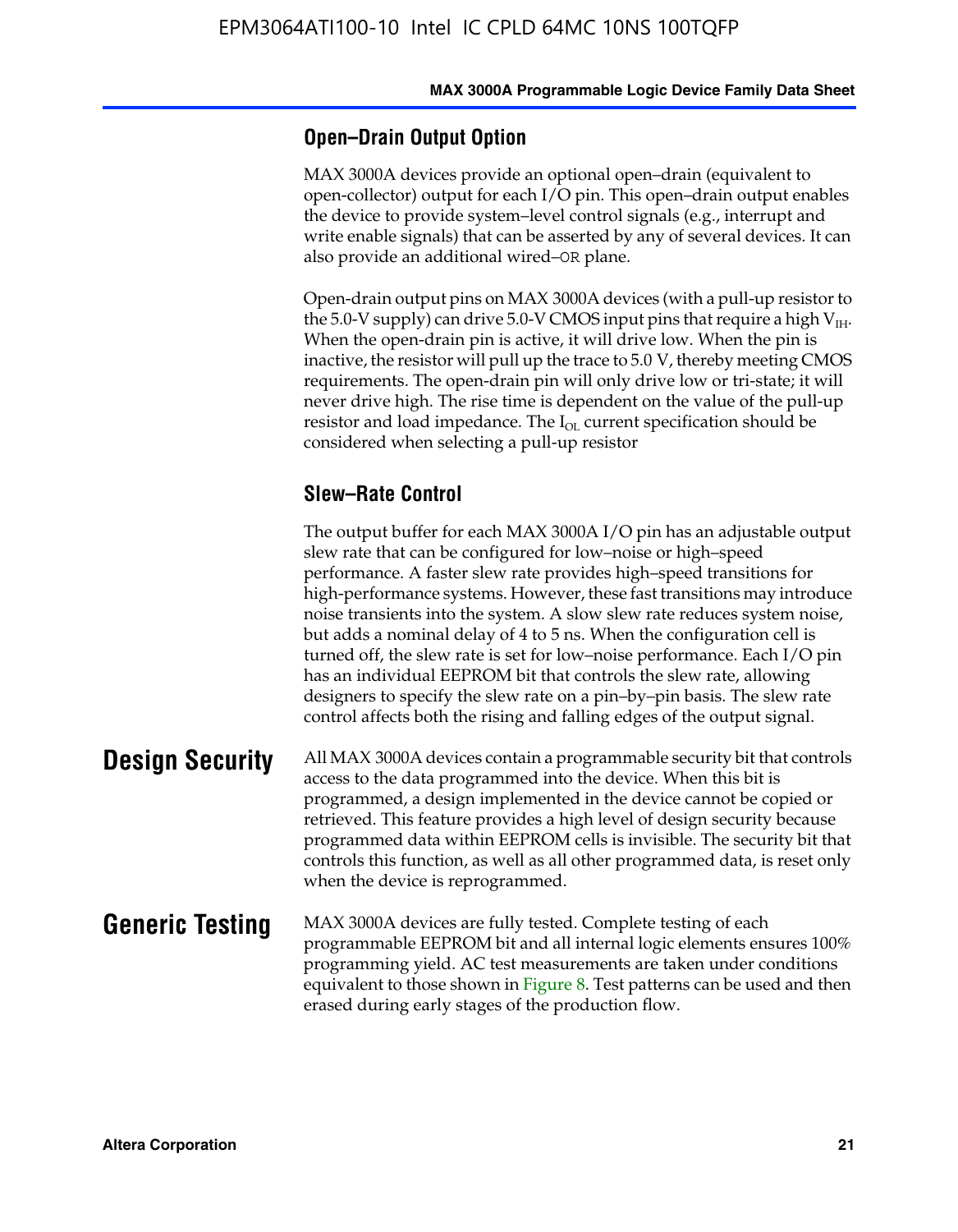#### **Open–Drain Output Option**

MAX 3000A devices provide an optional open–drain (equivalent to open-collector) output for each I/O pin. This open–drain output enables the device to provide system–level control signals (e.g., interrupt and write enable signals) that can be asserted by any of several devices. It can also provide an additional wired–OR plane.

Open-drain output pins on MAX 3000A devices (with a pull-up resistor to the 5.0-V supply) can drive 5.0-V CMOS input pins that require a high  $V_{\text{H}_{\text{H}}}$ . When the open-drain pin is active, it will drive low. When the pin is inactive, the resistor will pull up the trace to 5.0 V, thereby meeting CMOS requirements. The open-drain pin will only drive low or tri-state; it will never drive high. The rise time is dependent on the value of the pull-up resistor and load impedance. The  $I_{OL}$  current specification should be considered when selecting a pull-up resistor

#### **Slew–Rate Control**

The output buffer for each MAX 3000A I/O pin has an adjustable output slew rate that can be configured for low–noise or high–speed performance. A faster slew rate provides high–speed transitions for high-performance systems. However, these fast transitions may introduce noise transients into the system. A slow slew rate reduces system noise, but adds a nominal delay of 4 to 5 ns. When the configuration cell is turned off, the slew rate is set for low–noise performance. Each I/O pin has an individual EEPROM bit that controls the slew rate, allowing designers to specify the slew rate on a pin–by–pin basis. The slew rate control affects both the rising and falling edges of the output signal.

**Design Security** All MAX 3000A devices contain a programmable security bit that controls access to the data programmed into the device. When this bit is programmed, a design implemented in the device cannot be copied or retrieved. This feature provides a high level of design security because programmed data within EEPROM cells is invisible. The security bit that controls this function, as well as all other programmed data, is reset only when the device is reprogrammed.

#### **Generic Testing** MAX 3000A devices are fully tested. Complete testing of each programmable EEPROM bit and all internal logic elements ensures 100% programming yield. AC test measurements are taken under conditions equivalent to those shown in Figure 8. Test patterns can be used and then erased during early stages of the production flow.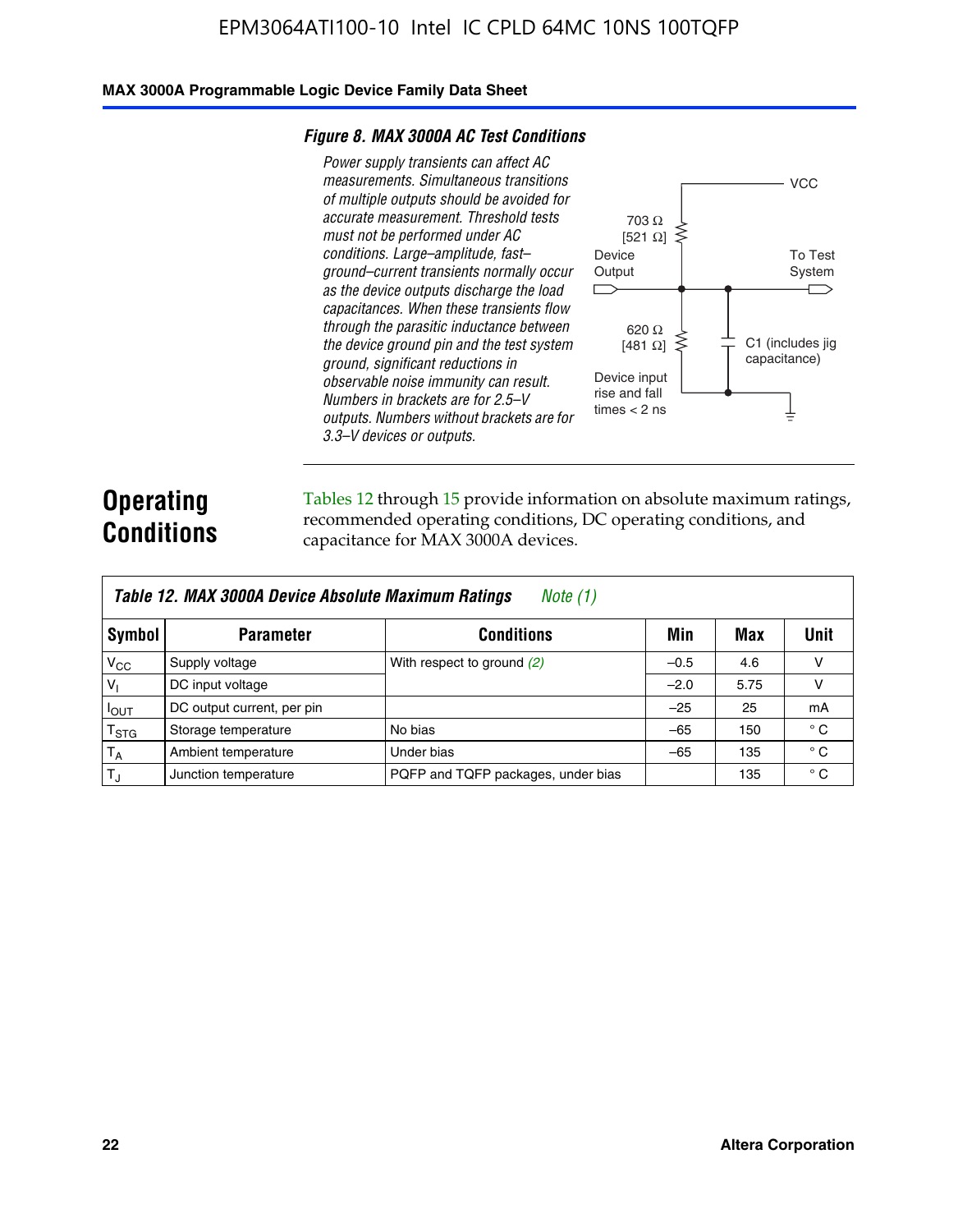#### **MAX 3000A Programmable Logic Device Family Data Sheet**

#### *Figure 8. MAX 3000A AC Test Conditions*

*Power supply transients can affect AC measurements. Simultaneous transitions of multiple outputs should be avoided for accurate measurement. Threshold tests must not be performed under AC conditions. Large–amplitude, fast– ground–current transients normally occur as the device outputs discharge the load capacitances. When these transients flow through the parasitic inductance between the device ground pin and the test system ground, significant reductions in observable noise immunity can result. Numbers in brackets are for 2.5–V outputs. Numbers without brackets are for 3.3–V devices or outputs.*



### **Operating Conditions**

Tables 12 through 15 provide information on absolute maximum ratings, recommended operating conditions, DC operating conditions, and capacitance for MAX 3000A devices.

| Table 12. MAX 3000A Device Absolute Maximum Ratings<br><i>Note</i> $(1)$ |                            |                                    |        |      |              |  |  |
|--------------------------------------------------------------------------|----------------------------|------------------------------------|--------|------|--------------|--|--|
| Symbol                                                                   | <b>Parameter</b>           | <b>Conditions</b>                  | Min    | Max  | Unit         |  |  |
| $V_{CC}$                                                                 | Supply voltage             | With respect to ground (2)         | $-0.5$ | 4.6  | v            |  |  |
| $V_1$                                                                    | DC input voltage           |                                    | $-2.0$ | 5.75 | v            |  |  |
| $I_{OUT}$                                                                | DC output current, per pin |                                    | $-25$  | 25   | mA           |  |  |
| $T_{\rm STG}$                                                            | Storage temperature        | No bias                            | $-65$  | 150  | $^{\circ}$ C |  |  |
| $T_A$                                                                    | Ambient temperature        | Under bias                         | $-65$  | 135  | $^{\circ}$ C |  |  |
| IT <sub>J</sub>                                                          | Junction temperature       | PQFP and TQFP packages, under bias |        | 135  | $^{\circ}$ C |  |  |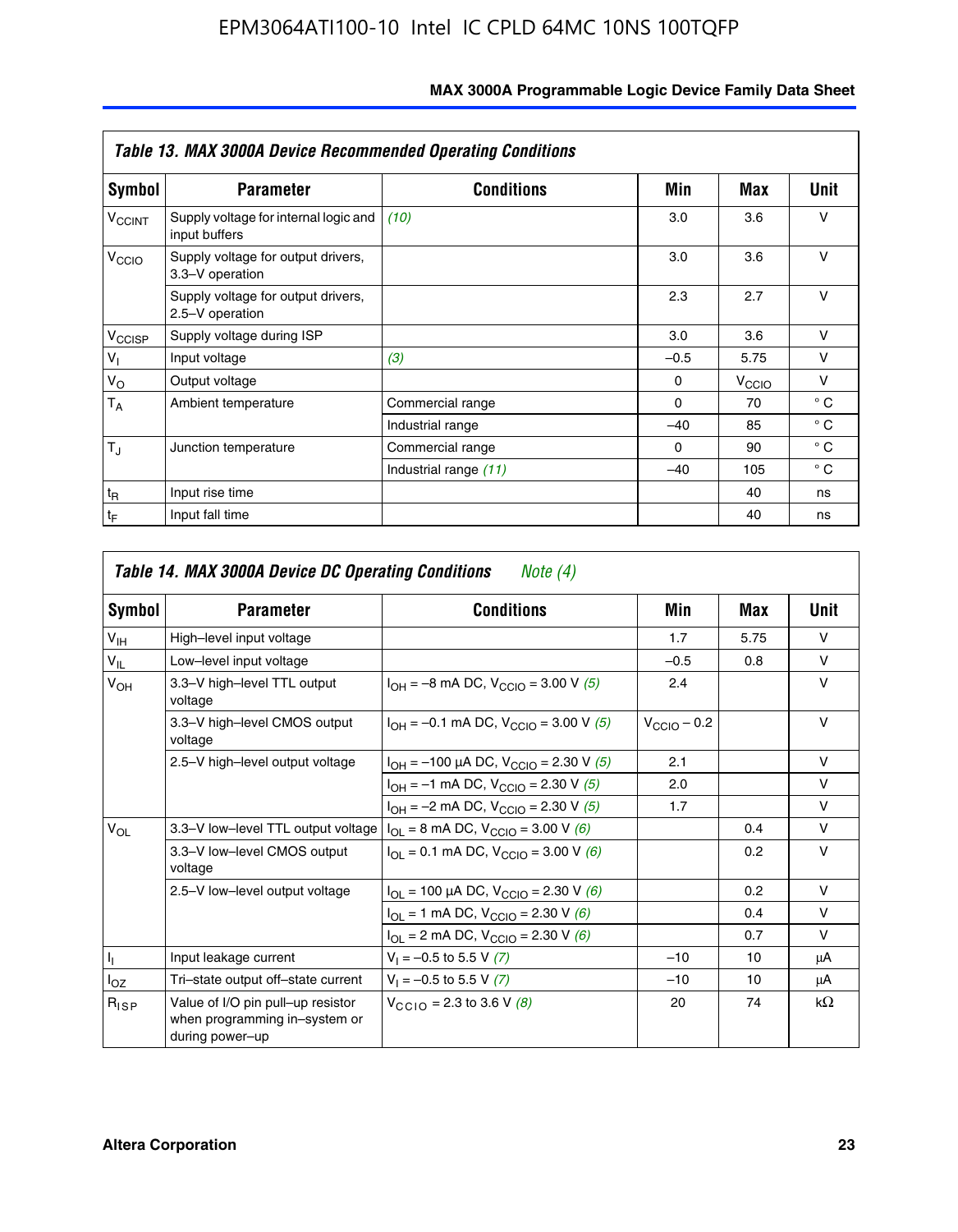|                             | <b>Table 13. MAX 3000A Device Recommended Operating Conditions</b> |                       |          |                   |              |  |  |  |
|-----------------------------|--------------------------------------------------------------------|-----------------------|----------|-------------------|--------------|--|--|--|
| Symbol                      | <b>Parameter</b>                                                   | <b>Conditions</b>     | Min      | Max               | Unit         |  |  |  |
| <b>V<sub>CCINT</sub></b>    | Supply voltage for internal logic and<br>input buffers             | (10)                  | 3.0      | 3.6               | ν            |  |  |  |
| V <sub>CCIO</sub>           | Supply voltage for output drivers,<br>3.3-V operation              |                       | 3.0      | 3.6               | v            |  |  |  |
|                             | Supply voltage for output drivers,<br>2.5-V operation              |                       | 2.3      | 2.7               | ν            |  |  |  |
| V <sub>CCISP</sub>          | Supply voltage during ISP                                          |                       | 3.0      | 3.6               | $\vee$       |  |  |  |
| $V_{\parallel}$             | Input voltage                                                      | (3)                   | $-0.5$   | 5.75              | v            |  |  |  |
| $V_{\rm O}$                 | Output voltage                                                     |                       | $\Omega$ | V <sub>CCIO</sub> | v            |  |  |  |
| $T_A$                       | Ambient temperature                                                | Commercial range      | $\Omega$ | 70                | $^{\circ}$ C |  |  |  |
|                             |                                                                    | Industrial range      | $-40$    | 85                | $^{\circ}$ C |  |  |  |
| $T_{\rm J}$                 | Junction temperature                                               | Commercial range      | $\Omega$ | 90                | $^{\circ}$ C |  |  |  |
|                             |                                                                    | Industrial range (11) | $-40$    | 105               | $^{\circ}$ C |  |  |  |
| $t_{\mathsf{R}}$            | Input rise time                                                    |                       |          | 40                | ns           |  |  |  |
| $\mathfrak{t}_{\mathsf{F}}$ | Input fall time                                                    |                       |          | 40                | ns           |  |  |  |

| Symbol          | <b>Parameter</b>                                                                      | <b>Conditions</b>                                                              | Min                     | Max  | Unit      |
|-----------------|---------------------------------------------------------------------------------------|--------------------------------------------------------------------------------|-------------------------|------|-----------|
| $V_{\text{IH}}$ | High-level input voltage                                                              |                                                                                | 1.7                     | 5.75 | $\vee$    |
| $V_{IL}$        | Low-level input voltage                                                               |                                                                                | $-0.5$                  | 0.8  | $\vee$    |
| $V_{OH}$        | 3.3-V high-level TTL output<br>voltage                                                | $I_{OH} = -8$ mA DC, $V_{CClO} = 3.00$ V (5)                                   | 2.4                     |      | $\vee$    |
|                 | 3.3-V high-level CMOS output<br>voltage                                               | $I_{OH} = -0.1$ mA DC, $V_{CClO} = 3.00$ V (5)                                 | $V_{\text{CCIO}} - 0.2$ |      | $\vee$    |
|                 | 2.5-V high-level output voltage                                                       | $I_{OH} = -100 \mu A DC$ , $V_{CCIO} = 2.30 V (5)$                             | 2.1                     |      | $\vee$    |
|                 |                                                                                       | $I_{OH} = -1$ mA DC, $V_{CGIO} = 2.30$ V (5)                                   | 2.0                     |      | $\vee$    |
|                 |                                                                                       | $I_{OH} = -2$ mA DC, $V_{CGIO} = 2.30$ V (5)                                   | 1.7                     |      | $\vee$    |
| $V_{OL}$        | 3.3-V low-level TTL output voltage                                                    | $I_{OL}$ = 8 mA DC, V <sub>CCIO</sub> = 3.00 V (6)                             |                         | 0.4  | $\vee$    |
|                 | 3.3-V low-level CMOS output<br>voltage                                                | $I_{\text{OI}} = 0.1 \text{ mA DC}, V_{\text{CCl}\Omega} = 3.00 \text{ V}$ (6) |                         | 0.2  | $\vee$    |
|                 | 2.5-V low-level output voltage                                                        | $I_{\text{OI}}$ = 100 µA DC, $V_{\text{CCl}}$ = 2.30 V (6)                     |                         | 0.2  | $\vee$    |
|                 |                                                                                       | $I_{OL}$ = 1 mA DC, $V_{CCIO}$ = 2.30 V (6)                                    |                         | 0.4  | $\vee$    |
|                 |                                                                                       | $I_{OL}$ = 2 mA DC, $V_{CCIO}$ = 2.30 V (6)                                    |                         | 0.7  | $\vee$    |
| Ч.              | Input leakage current                                                                 | $V_1 = -0.5$ to 5.5 V (7)                                                      | $-10$                   | 10   | μA        |
| $I_{OZ}$        | Tri-state output off-state current                                                    | $V_1 = -0.5$ to 5.5 V (7)                                                      | $-10$                   | 10   | μA        |
| $R_{ISP}$       | Value of I/O pin pull-up resistor<br>when programming in-system or<br>during power-up | $V_{\text{CGLO}} = 2.3 \text{ to } 3.6 \text{ V } (8)$                         | 20                      | 74   | $k\Omega$ |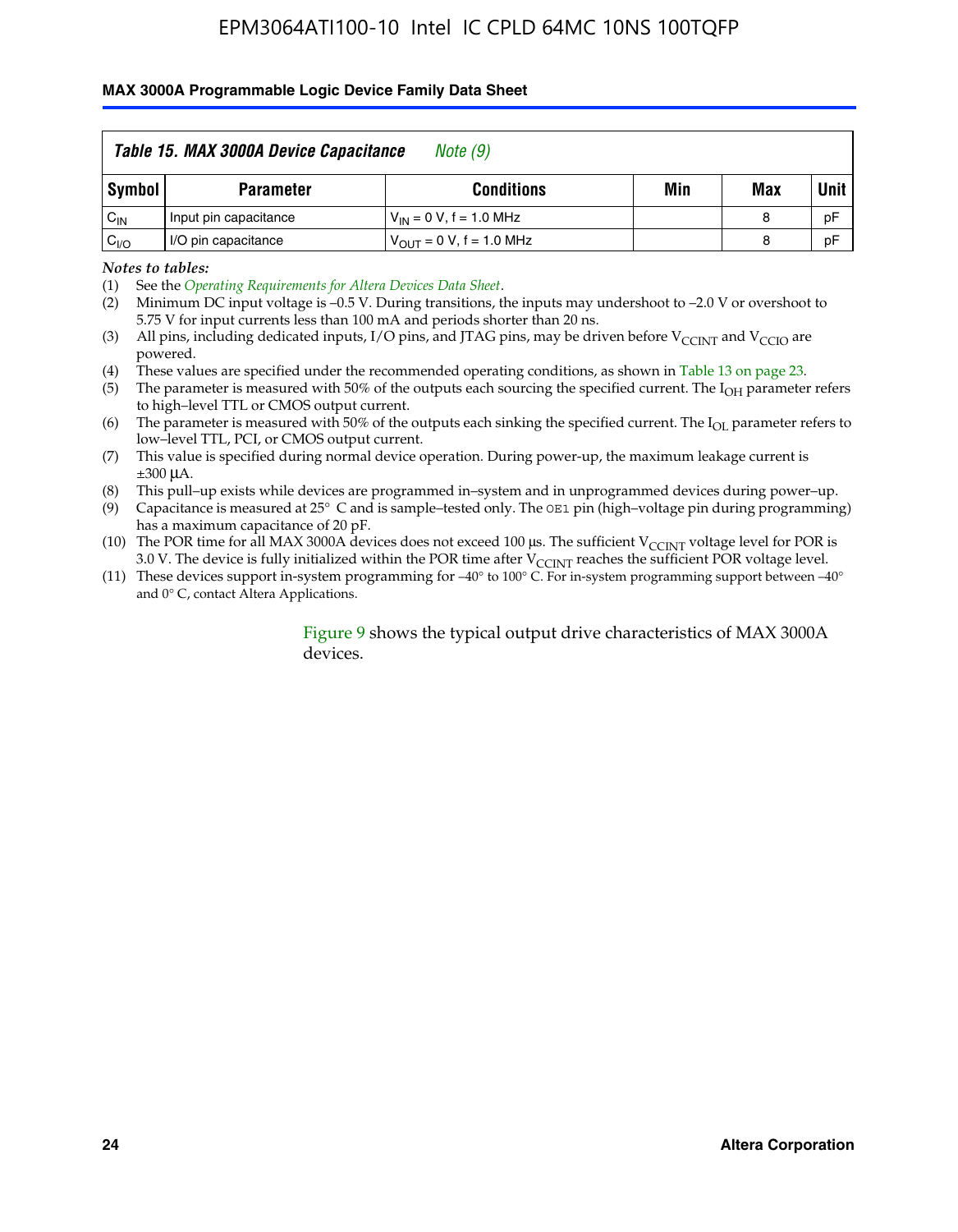#### **MAX 3000A Programmable Logic Device Family Data Sheet**

|                 | Table 15. MAX 3000A Device Capacitance<br>Note (9) |                               |     |     |             |  |  |
|-----------------|----------------------------------------------------|-------------------------------|-----|-----|-------------|--|--|
| Symbol          | <b>Parameter</b>                                   | <b>Conditions</b>             | Min | Max | <b>Unit</b> |  |  |
| $C_{\text{IN}}$ | Input pin capacitance                              | $V_{IN} = 0 V$ , f = 1.0 MHz  |     | 8   | pF          |  |  |
| $C_{VQ}$        | I/O pin capacitance                                | $V_{OUT} = 0 V$ , f = 1.0 MHz |     | 8   | pF          |  |  |

*Notes to tables:*

(2) Minimum DC input voltage is –0.5 V. During transitions, the inputs may undershoot to –2.0 V or overshoot to 5.75 V for input currents less than 100 mA and periods shorter than 20 ns.

(4) These values are specified under the recommended operating conditions, as shown in Table 13 on page 23.

(5) The parameter is measured with 50% of the outputs each sourcing the specified current. The  $I<sub>OH</sub>$  parameter refers to high–level TTL or CMOS output current.

(6) The parameter is measured with 50% of the outputs each sinking the specified current. The  $I_{OL}$  parameter refers to low–level TTL, PCI, or CMOS output current.

(7) This value is specified during normal device operation. During power-up, the maximum leakage current is ±300 μA.

(8) This pull–up exists while devices are programmed in–system and in unprogrammed devices during power–up.

- (9) Capacitance is measured at 25° C and is sample–tested only. The OE1 pin (high–voltage pin during programming) has a maximum capacitance of 20 pF.
- (10) The POR time for all MAX 3000A devices does not exceed 100  $\mu$ s. The sufficient V<sub>CCINT</sub> voltage level for POR is 3.0 V. The device is fully initialized within the POR time after  $V_{\text{CCINT}}$  reaches the sufficient POR voltage level.
- (11) These devices support in-system programming for –40° to 100° C. For in-system programming support between –40° and 0° C, contact Altera Applications.

#### Figure 9 shows the typical output drive characteristics of MAX 3000A devices.

<sup>(1)</sup> See the *Operating Requirements for Altera Devices Data Sheet*.

<sup>(3)</sup> All pins, including dedicated inputs, I/O pins, and JTAG pins, may be driven before  $V_{\text{CCINT}}$  and  $V_{\text{CCIO}}$  are powered.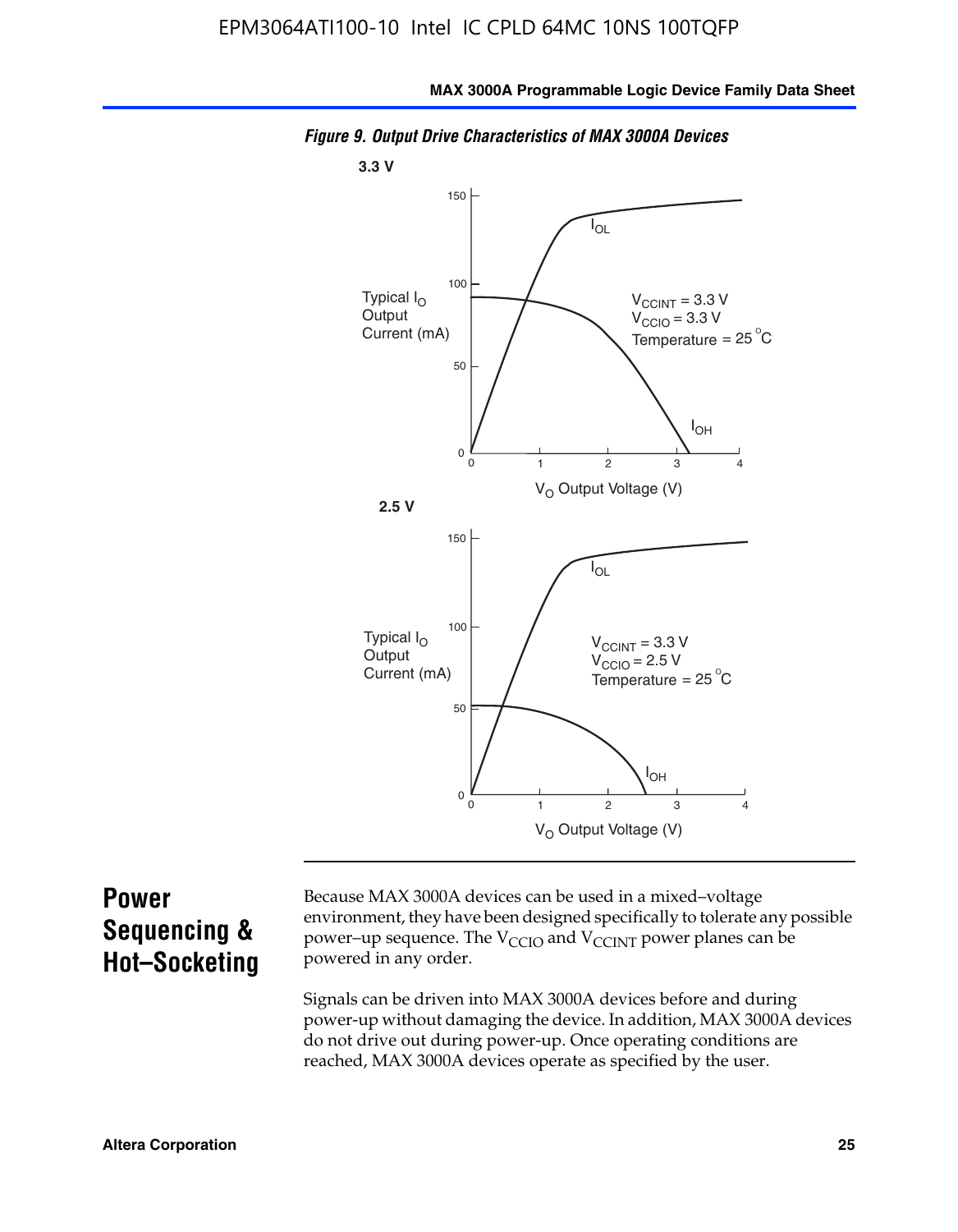

*Figure 9. Output Drive Characteristics of MAX 3000A Devices*

### **Power Sequencing & Hot–Socketing**

Because MAX 3000A devices can be used in a mixed–voltage environment, they have been designed specifically to tolerate any possible power–up sequence. The  $V_{CCIO}$  and  $V_{CCINT}$  power planes can be powered in any order.

Signals can be driven into MAX 3000A devices before and during power-up without damaging the device. In addition, MAX 3000A devices do not drive out during power-up. Once operating conditions are reached, MAX 3000A devices operate as specified by the user.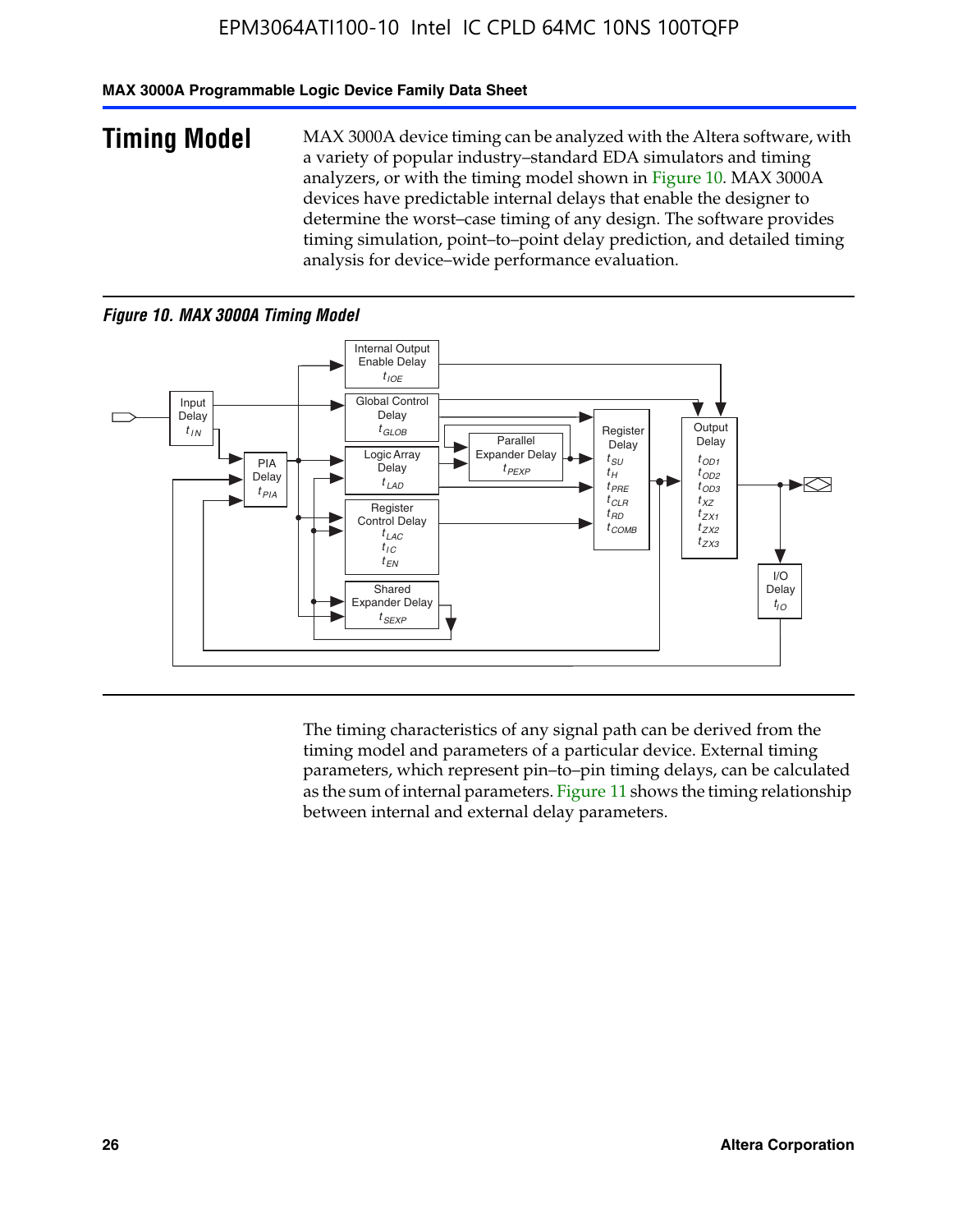#### **MAX 3000A Programmable Logic Device Family Data Sheet**

**Timing Model** MAX 3000A device timing can be analyzed with the Altera software, with a variety of popular industry–standard EDA simulators and timing analyzers, or with the timing model shown in Figure 10. MAX 3000A devices have predictable internal delays that enable the designer to determine the worst–case timing of any design. The software provides timing simulation, point–to–point delay prediction, and detailed timing analysis for device–wide performance evaluation.

#### *Figure 10. MAX 3000A Timing Model*



The timing characteristics of any signal path can be derived from the timing model and parameters of a particular device. External timing parameters, which represent pin–to–pin timing delays, can be calculated as the sum of internal parameters. Figure 11 shows the timing relationship between internal and external delay parameters.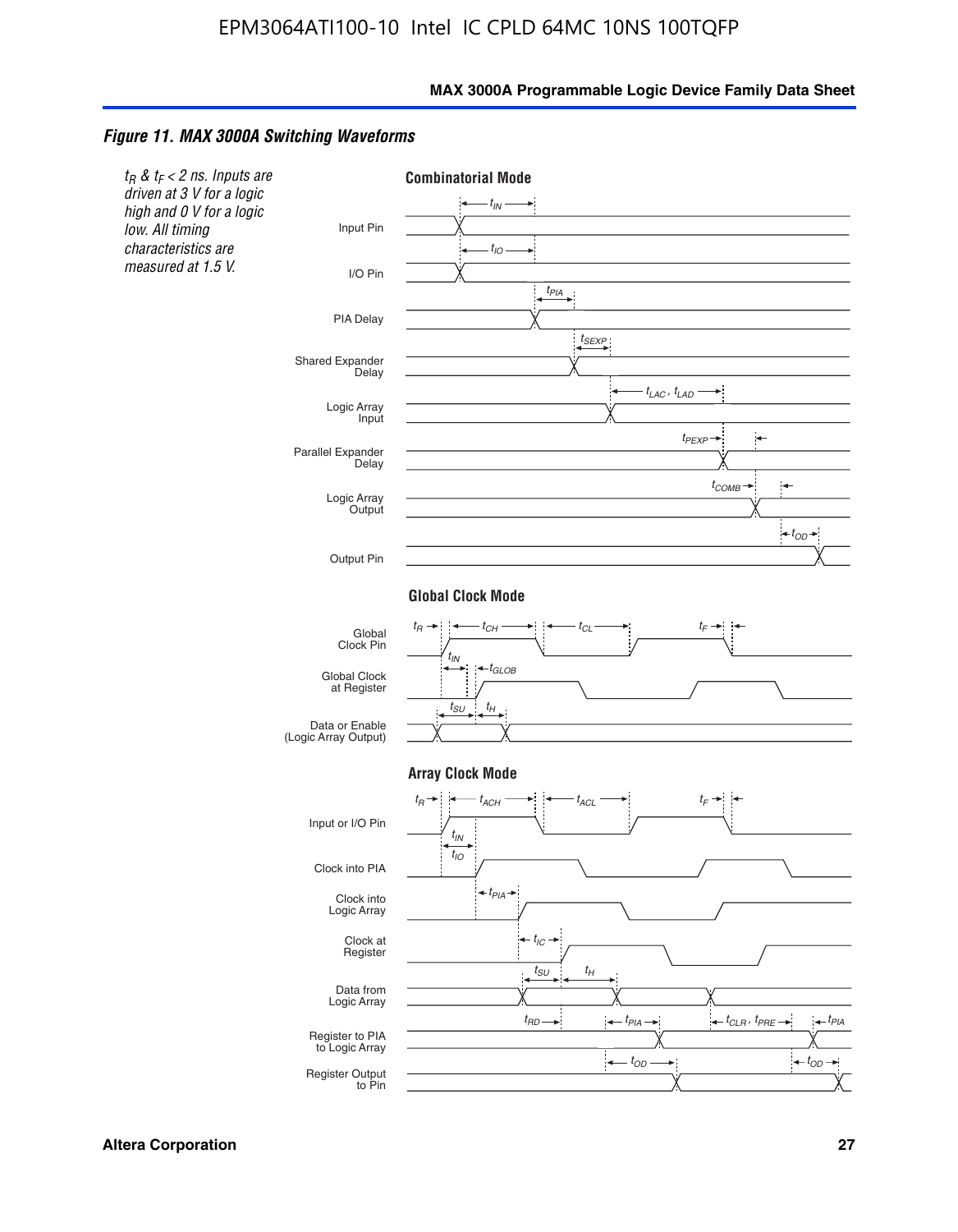#### *Figure 11. MAX 3000A Switching Waveforms*

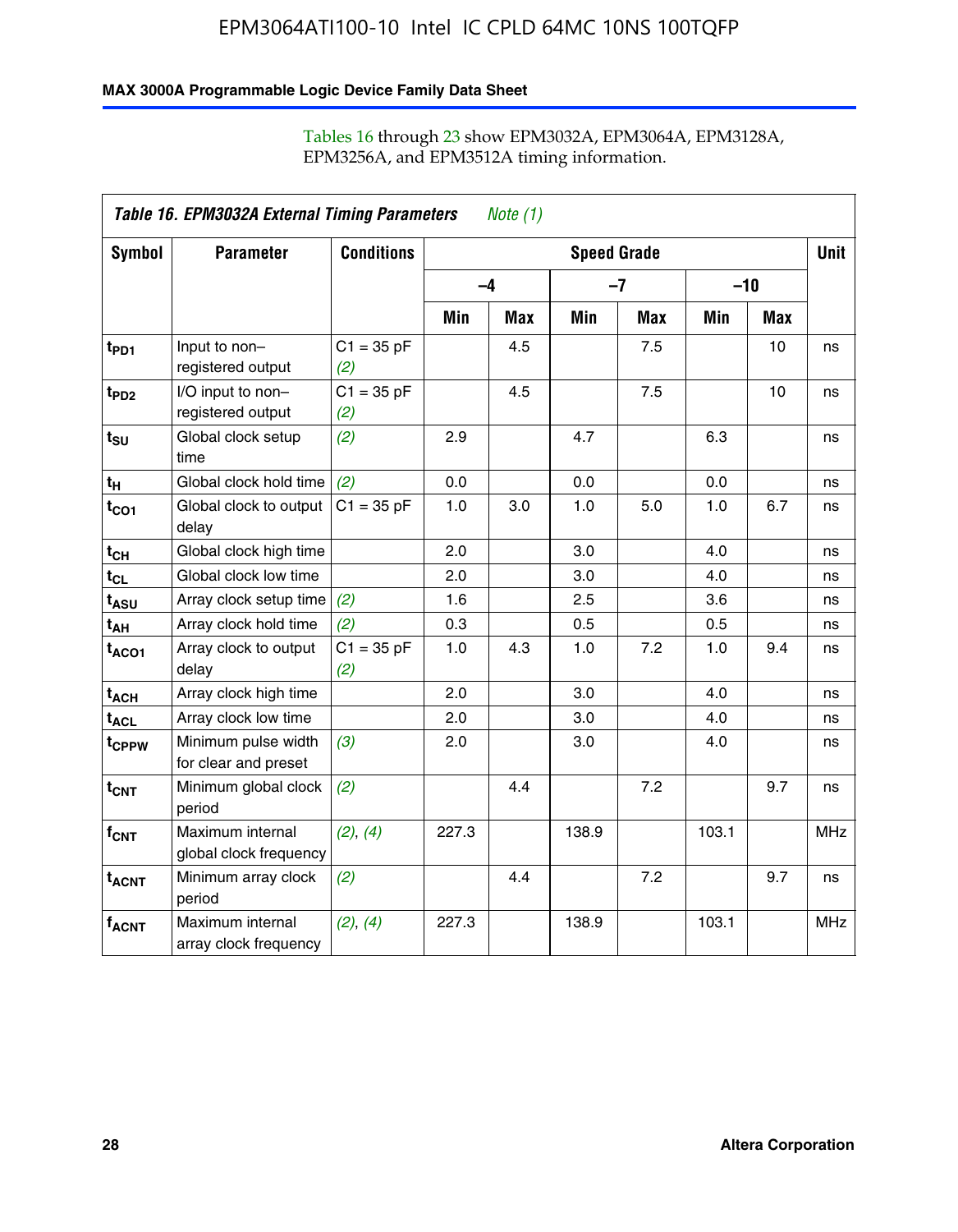#### **MAX 3000A Programmable Logic Device Family Data Sheet**

| Table 16. EPM3032A External Timing Parameters<br><i>Note</i> $(1)$ |                                             |                     |                    |            |       |            |       |            |             |
|--------------------------------------------------------------------|---------------------------------------------|---------------------|--------------------|------------|-------|------------|-------|------------|-------------|
| Symbol                                                             | <b>Parameter</b>                            | <b>Conditions</b>   | <b>Speed Grade</b> |            |       |            |       |            | <b>Unit</b> |
|                                                                    |                                             |                     | $-4$               |            |       | $-7$       | $-10$ |            |             |
|                                                                    |                                             |                     | Min                | <b>Max</b> | Min   | <b>Max</b> | Min   | <b>Max</b> |             |
| t <sub>PD1</sub>                                                   | Input to non-<br>registered output          | $C1 = 35 pF$<br>(2) |                    | 4.5        |       | 7.5        |       | 10         | ns          |
| t <sub>PD2</sub>                                                   | I/O input to non-<br>registered output      | $C1 = 35 pF$<br>(2) |                    | 4.5        |       | 7.5        |       | 10         | ns          |
| $t_{\text{SU}}$                                                    | Global clock setup<br>time                  | (2)                 | 2.9                |            | 4.7   |            | 6.3   |            | ns          |
| $t_H$                                                              | Global clock hold time                      | (2)                 | 0.0                |            | 0.0   |            | 0.0   |            | ns          |
| $t_{CO1}$                                                          | Global clock to output<br>delay             | $C1 = 35 pF$        | 1.0                | 3.0        | 1.0   | 5.0        | 1.0   | 6.7        | ns          |
| $t_{CH}$                                                           | Global clock high time                      |                     | 2.0                |            | 3.0   |            | 4.0   |            | ns          |
| $t_{CL}$                                                           | Global clock low time                       |                     | 2.0                |            | 3.0   |            | 4.0   |            | ns          |
| t <sub>ASU</sub>                                                   | Array clock setup time                      | (2)                 | 1.6                |            | 2.5   |            | 3.6   |            | ns          |
| t <sub>АН</sub>                                                    | Array clock hold time                       | (2)                 | 0.3                |            | 0.5   |            | 0.5   |            | ns          |
| $t_{ACO1}$                                                         | Array clock to output<br>delay              | $C1 = 35 pF$<br>(2) | 1.0                | 4.3        | 1.0   | 7.2        | 1.0   | 9.4        | ns          |
| t <sub>ACH</sub>                                                   | Array clock high time                       |                     | 2.0                |            | 3.0   |            | 4.0   |            | ns          |
| $\textsf{t}_{\mathsf{ACL}}$                                        | Array clock low time                        |                     | 2.0                |            | 3.0   |            | 4.0   |            | ns          |
| t <sub>CPPW</sub>                                                  | Minimum pulse width<br>for clear and preset | (3)                 | 2.0                |            | 3.0   |            | 4.0   |            | ns          |
| $t_{CNT}$                                                          | Minimum global clock<br>period              | (2)                 |                    | 4.4        |       | 7.2        |       | 9.7        | ns          |
| $f_{CNT}$                                                          | Maximum internal<br>global clock frequency  | (2), (4)            | 227.3              |            | 138.9 |            | 103.1 |            | <b>MHz</b>  |
| $t_{ACNT}$                                                         | Minimum array clock<br>period               | (2)                 |                    | 4.4        |       | 7.2        |       | 9.7        | ns          |
| $f_{ACNT}$                                                         | Maximum internal<br>array clock frequency   | (2), (4)            | 227.3              |            | 138.9 |            | 103.1 |            | <b>MHz</b>  |

#### Tables 16 through 23 show EPM3032A, EPM3064A, EPM3128A, EPM3256A, and EPM3512A timing information.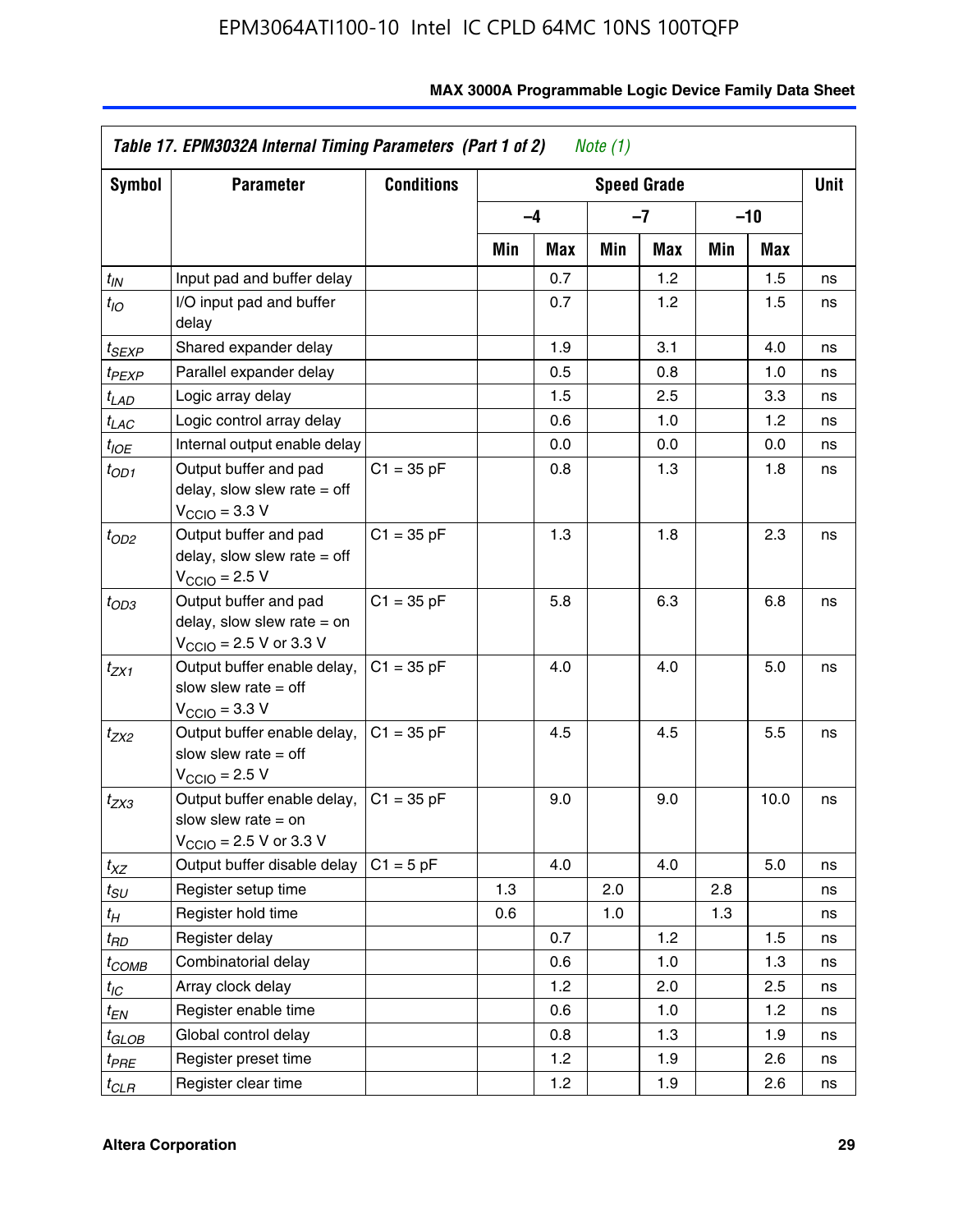| Symbol            | <b>Parameter</b>                                                                                             | <b>Conditions</b> | <b>Speed Grade</b> |      |     |     |       |      | Unit |
|-------------------|--------------------------------------------------------------------------------------------------------------|-------------------|--------------------|------|-----|-----|-------|------|------|
|                   |                                                                                                              |                   |                    | $-4$ | -7  |     | $-10$ |      |      |
|                   |                                                                                                              |                   | Min                | Max  | Min | Max | Min   | Max  |      |
| $t_{\mathit{IN}}$ | Input pad and buffer delay                                                                                   |                   |                    | 0.7  |     | 1.2 |       | 1.5  | ns   |
| $t_{IO}$          | I/O input pad and buffer<br>delay                                                                            |                   |                    | 0.7  |     | 1.2 |       | 1.5  | ns   |
| t <sub>SEXP</sub> | Shared expander delay                                                                                        |                   |                    | 1.9  |     | 3.1 |       | 4.0  | ns   |
| t <sub>PEXP</sub> | Parallel expander delay                                                                                      |                   |                    | 0.5  |     | 0.8 |       | 1.0  | ns   |
| t <sub>LAD</sub>  | Logic array delay                                                                                            |                   |                    | 1.5  |     | 2.5 |       | 3.3  | ns   |
| t <sub>LAC</sub>  | Logic control array delay                                                                                    |                   |                    | 0.6  |     | 1.0 |       | 1.2  | ns   |
| t <sub>IOE</sub>  | Internal output enable delay                                                                                 |                   |                    | 0.0  |     | 0.0 |       | 0.0  | ns   |
| $t_{OD1}$         | Output buffer and pad<br>delay, slow slew rate $=$ off<br>$V_{\text{CCIO}} = 3.3 \text{ V}$                  | $C1 = 35 pF$      |                    | 0.8  |     | 1.3 |       | 1.8  | ns   |
| $t_{OD2}$         | Output buffer and pad<br>delay, slow slew rate $=$ off<br>$V_{\text{CCIO}} = 2.5 V$                          | $C1 = 35 pF$      |                    | 1.3  |     | 1.8 |       | 2.3  | ns   |
| $t_{OD3}$         | Output buffer and pad<br>delay, slow slew rate $=$ on<br>$V_{\text{CCIO}} = 2.5 \text{ V or } 3.3 \text{ V}$ | $C1 = 35 pF$      |                    | 5.8  |     | 6.3 |       | 6.8  | ns   |
| t <sub>ZX1</sub>  | Output buffer enable delay,<br>slow slew rate $=$ off<br>$V_{\text{CCIO}} = 3.3 V$                           | $C1 = 35 pF$      |                    | 4.0  |     | 4.0 |       | 5.0  | ns   |
| t <sub>ZX2</sub>  | Output buffer enable delay,<br>slow slew rate $=$ off<br>$V_{\text{CCIO}} = 2.5 V$                           | $C1 = 35 pF$      |                    | 4.5  |     | 4.5 |       | 5.5  | ns   |
| t <sub>ZX3</sub>  | Output buffer enable delay,<br>slow slew rate $=$ on<br>$V_{\text{CCIO}} = 2.5 \text{ V or } 3.3 \text{ V}$  | $C1 = 35 pF$      |                    | 9.0  |     | 9.0 |       | 10.0 | ns   |
| $t_{XZ}$          | Output buffer disable delay                                                                                  | $C1 = 5pF$        |                    | 4.0  |     | 4.0 |       | 5.0  | ns   |
| t <sub>SU</sub>   | Register setup time                                                                                          |                   | 1.3                |      | 2.0 |     | 2.8   |      | ns   |
| t <sub>Η</sub>    | Register hold time                                                                                           |                   | 0.6                |      | 1.0 |     | 1.3   |      | ns   |
| t <sub>RD</sub>   | Register delay                                                                                               |                   |                    | 0.7  |     | 1.2 |       | 1.5  | ns   |
| t <sub>COMB</sub> | Combinatorial delay                                                                                          |                   |                    | 0.6  |     | 1.0 |       | 1.3  | ns   |
| $t_{IC}$          | Array clock delay                                                                                            |                   |                    | 1.2  |     | 2.0 |       | 2.5  | ns   |
| t <sub>EN</sub>   | Register enable time                                                                                         |                   |                    | 0.6  |     | 1.0 |       | 1.2  | ns   |
| t <sub>GLOB</sub> | Global control delay                                                                                         |                   |                    | 0.8  |     | 1.3 |       | 1.9  | ns   |
| t <sub>PRE</sub>  | Register preset time                                                                                         |                   |                    | 1.2  |     | 1.9 |       | 2.6  | ns   |
| $t_{CLR}$         | Register clear time                                                                                          |                   |                    | 1.2  |     | 1.9 |       | 2.6  | ns   |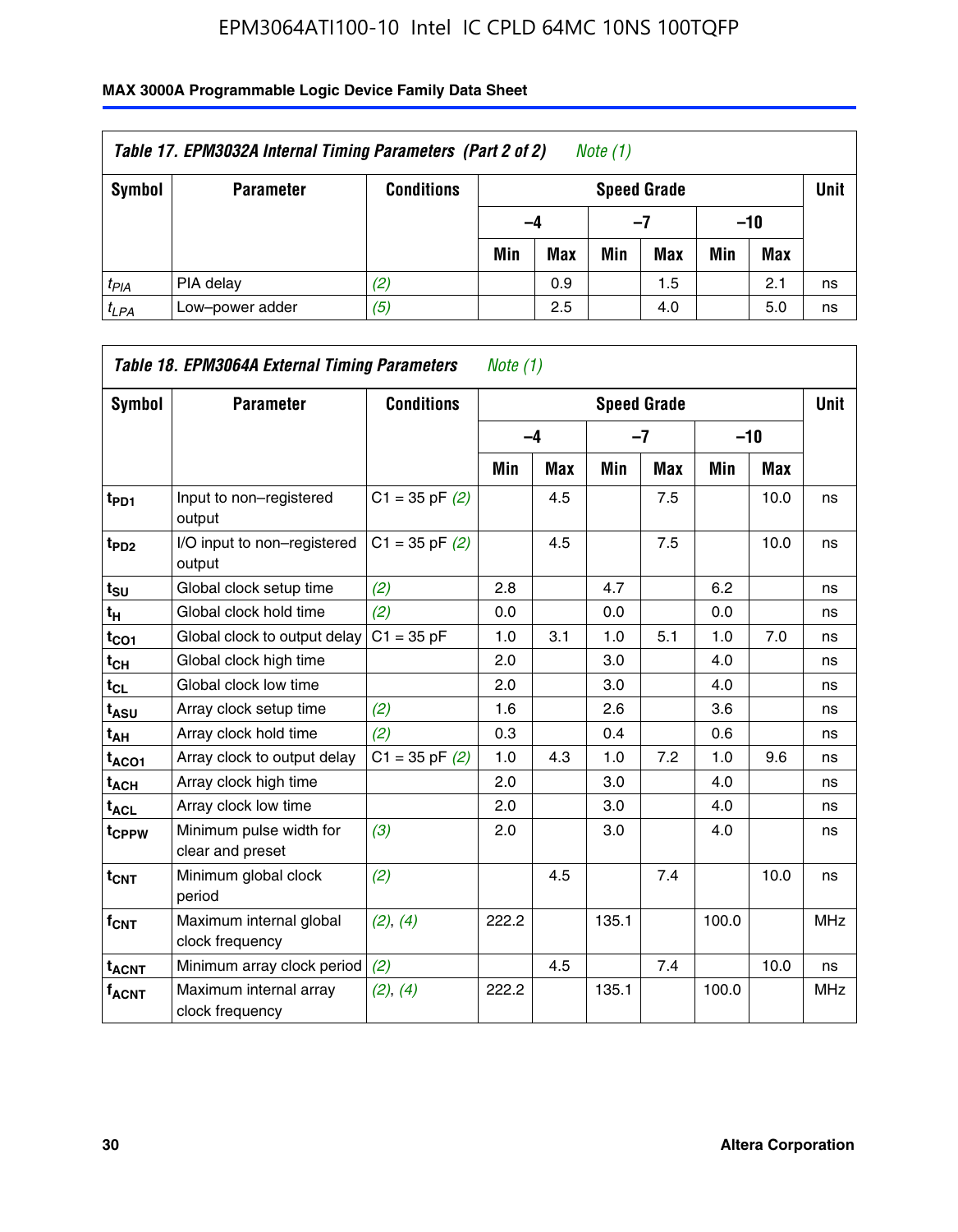| Table 17. EPM3032A Internal Timing Parameters (Part 2 of 2)<br>Note (1) |                  |                   |     |                    |     |     |     |       |    |  |  |
|-------------------------------------------------------------------------|------------------|-------------------|-----|--------------------|-----|-----|-----|-------|----|--|--|
| Symbol                                                                  | <b>Parameter</b> | <b>Conditions</b> |     | <b>Speed Grade</b> |     |     |     |       |    |  |  |
|                                                                         |                  |                   |     | -4                 |     | -7  |     | $-10$ |    |  |  |
|                                                                         |                  |                   | Min | <b>Max</b>         | Min | Max | Min | Max   |    |  |  |
| $t_{PIA}$                                                               | PIA delay        | (2)               |     | 0.9                |     | 1.5 |     | 2.1   | ns |  |  |
| $t_{LPA}$                                                               | Low-power adder  | (5)               |     | 2.5                |     | 4.0 |     | 5.0   | ns |  |  |

| Table 18. EPM3064A External Timing Parameters<br><i>Note</i> $(1)$ |                                             |                    |       |            |                    |            |       |      |             |
|--------------------------------------------------------------------|---------------------------------------------|--------------------|-------|------------|--------------------|------------|-------|------|-------------|
| Symbol                                                             | <b>Parameter</b>                            | <b>Conditions</b>  |       |            | <b>Speed Grade</b> |            |       |      | <b>Unit</b> |
|                                                                    |                                             |                    |       | $-4$       | $-7$               |            | $-10$ |      |             |
|                                                                    |                                             |                    | Min   | <b>Max</b> | <b>Min</b>         | <b>Max</b> | Min   | Max  |             |
| t <sub>PD1</sub>                                                   | Input to non-registered<br>output           | $C1 = 35$ pF $(2)$ |       | 4.5        |                    | 7.5        |       | 10.0 | ns          |
| t <sub>PD2</sub>                                                   | I/O input to non-registered<br>output       | $C1 = 35$ pF $(2)$ |       | 4.5        |                    | 7.5        |       | 10.0 | ns          |
| $t_{\text{SU}}$                                                    | Global clock setup time                     | (2)                | 2.8   |            | 4.7                |            | 6.2   |      | ns          |
| t <sub>H</sub>                                                     | Global clock hold time                      | (2)                | 0.0   |            | 0.0                |            | 0.0   |      | ns          |
| $t_{CO1}$                                                          | Global clock to output delay                | $C1 = 35 pF$       | 1.0   | 3.1        | 1.0                | 5.1        | 1.0   | 7.0  | ns          |
| $t_{CH}$                                                           | Global clock high time                      |                    | 2.0   |            | 3.0                |            | 4.0   |      | ns          |
| t <sub>CL</sub>                                                    | Global clock low time                       |                    | 2.0   |            | 3.0                |            | 4.0   |      | ns          |
| t <sub>ASU</sub>                                                   | Array clock setup time                      | (2)                | 1.6   |            | 2.6                |            | 3.6   |      | ns          |
| t <sub>АН</sub>                                                    | Array clock hold time                       | (2)                | 0.3   |            | 0.4                |            | 0.6   |      | ns          |
| t <sub>ACO1</sub>                                                  | Array clock to output delay                 | $C1 = 35$ pF $(2)$ | 1.0   | 4.3        | 1.0                | 7.2        | 1.0   | 9.6  | ns          |
| $t_{\sf ACH}$                                                      | Array clock high time                       |                    | 2.0   |            | 3.0                |            | 4.0   |      | ns          |
| $t_{\sf ACL}$                                                      | Array clock low time                        |                    | 2.0   |            | 3.0                |            | 4.0   |      | ns          |
| t <sub>CPPW</sub>                                                  | Minimum pulse width for<br>clear and preset | (3)                | 2.0   |            | 3.0                |            | 4.0   |      | ns          |
| $t_{CNT}$                                                          | Minimum global clock<br>period              | (2)                |       | 4.5        |                    | 7.4        |       | 10.0 | ns          |
| $f_{CNT}$                                                          | Maximum internal global<br>clock frequency  | (2), (4)           | 222.2 |            | 135.1              |            | 100.0 |      | <b>MHz</b>  |
| <b>t<sub>ACNT</sub></b>                                            | Minimum array clock period                  | (2)                |       | 4.5        |                    | 7.4        |       | 10.0 | ns          |
| $f_{ACNT}$                                                         | Maximum internal array<br>clock frequency   | (2), (4)           | 222.2 |            | 135.1              |            | 100.0 |      | <b>MHz</b>  |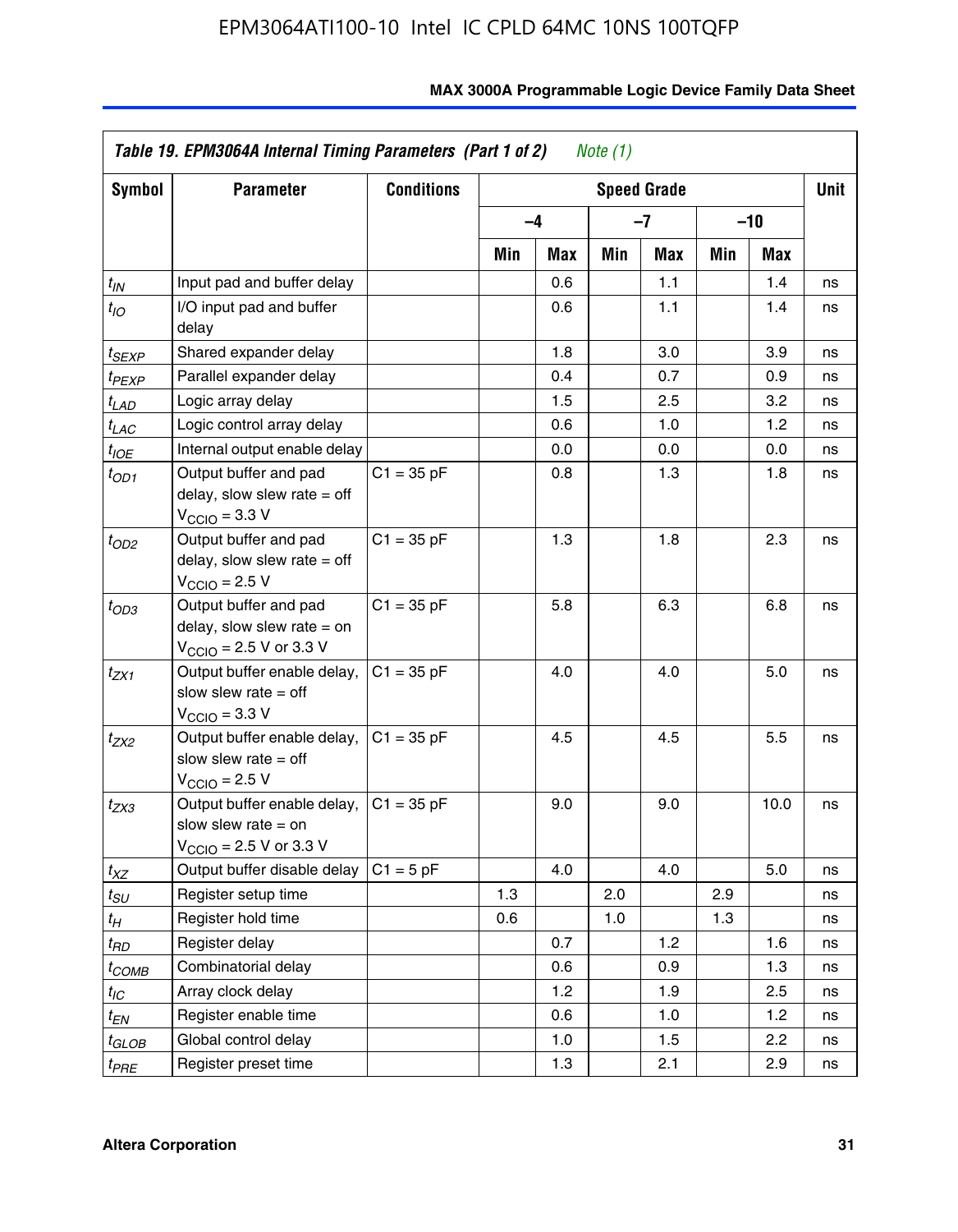| Symbol                | <b>Parameter</b>                                                                                             | <b>Conditions</b> |     |      |     | <b>Speed Grade</b> |     |            | <b>Unit</b> |
|-----------------------|--------------------------------------------------------------------------------------------------------------|-------------------|-----|------|-----|--------------------|-----|------------|-------------|
|                       |                                                                                                              |                   |     | $-4$ |     | $-7$               |     | -10        |             |
|                       |                                                                                                              |                   | Min | Max  | Min | Max                | Min | <b>Max</b> |             |
| $t_{IN}$              | Input pad and buffer delay                                                                                   |                   |     | 0.6  |     | 1.1                |     | 1.4        | ns          |
| $t_{IO}$              | I/O input pad and buffer<br>delay                                                                            |                   |     | 0.6  |     | 1.1                |     | 1.4        | ns          |
| $t_{SEXP}$            | Shared expander delay                                                                                        |                   |     | 1.8  |     | 3.0                |     | 3.9        | ns          |
| t <sub>PEXP</sub>     | Parallel expander delay                                                                                      |                   |     | 0.4  |     | 0.7                |     | 0.9        | ns          |
| $t_{LAD}$             | Logic array delay                                                                                            |                   |     | 1.5  |     | 2.5                |     | 3.2        | ns          |
| $t_{LAC}$             | Logic control array delay                                                                                    |                   |     | 0.6  |     | 1.0                |     | 1.2        | ns          |
| $t_{IOE}$             | Internal output enable delay                                                                                 |                   |     | 0.0  |     | 0.0                |     | 0.0        | ns          |
| $t_{OD1}$             | Output buffer and pad<br>delay, slow slew rate $=$ off<br>$V_{\text{CCIO}} = 3.3 \text{ V}$                  | $C1 = 35 pF$      |     | 0.8  |     | 1.3                |     | 1.8        | ns          |
| $t_{OD2}$             | Output buffer and pad<br>delay, slow slew rate $=$ off<br>$V_{\text{CCIO}}$ = 2.5 V                          | $C1 = 35 pF$      |     | 1.3  |     | 1.8                |     | 2.3        | ns          |
| $t_{OD3}$             | Output buffer and pad<br>delay, slow slew rate $=$ on<br>$V_{\text{CGIO}} = 2.5 \text{ V or } 3.3 \text{ V}$ | $C1 = 35 pF$      |     | 5.8  |     | 6.3                |     | 6.8        | ns          |
| $t_{ZX1}$             | Output buffer enable delay,<br>slow slew rate $=$ off<br>$V_{\text{CCIO}} = 3.3 V$                           | $C1 = 35 pF$      |     | 4.0  |     | 4.0                |     | 5.0        | ns          |
| t <sub>ZX2</sub>      | Output buffer enable delay,<br>slow slew rate $=$ off<br>$V_{\text{CCIO}} = 2.5 V$                           | $C1 = 35 pF$      |     | 4.5  |     | 4.5                |     | 5.5        | ns          |
| t <sub>ZX3</sub>      | Output buffer enable delay,<br>slow slew rate $=$ on<br>$V_{\text{CCIO}}$ = 2.5 V or 3.3 V                   | $C1 = 35 pF$      |     | 9.0  |     | 9.0                |     | 10.0       | ns          |
| $t_{XZ}$              | Output buffer disable delay                                                                                  | $C1 = 5$ pF       |     | 4.0  |     | 4.0                |     | 5.0        | ns          |
| $t_{\scriptstyle SU}$ | Register setup time                                                                                          |                   | 1.3 |      | 2.0 |                    | 2.9 |            | ns          |
| $t_{H}$               | Register hold time                                                                                           |                   | 0.6 |      | 1.0 |                    | 1.3 |            | ns          |
| t <sub>RD</sub>       | Register delay                                                                                               |                   |     | 0.7  |     | 1.2                |     | 1.6        | ns          |
| t <sub>COMB</sub>     | Combinatorial delay                                                                                          |                   |     | 0.6  |     | 0.9                |     | 1.3        | ns          |
| $t_{IC}$              | Array clock delay                                                                                            |                   |     | 1.2  |     | 1.9                |     | 2.5        | ns          |
| $t_{EN}$              | Register enable time                                                                                         |                   |     | 0.6  |     | 1.0                |     | 1.2        | ns          |
| t <sub>GLOB</sub>     | Global control delay                                                                                         |                   |     | 1.0  |     | 1.5                |     | 2.2        | ns          |
| t <sub>PRE</sub>      | Register preset time                                                                                         |                   |     | 1.3  |     | 2.1                |     | 2.9        | ns          |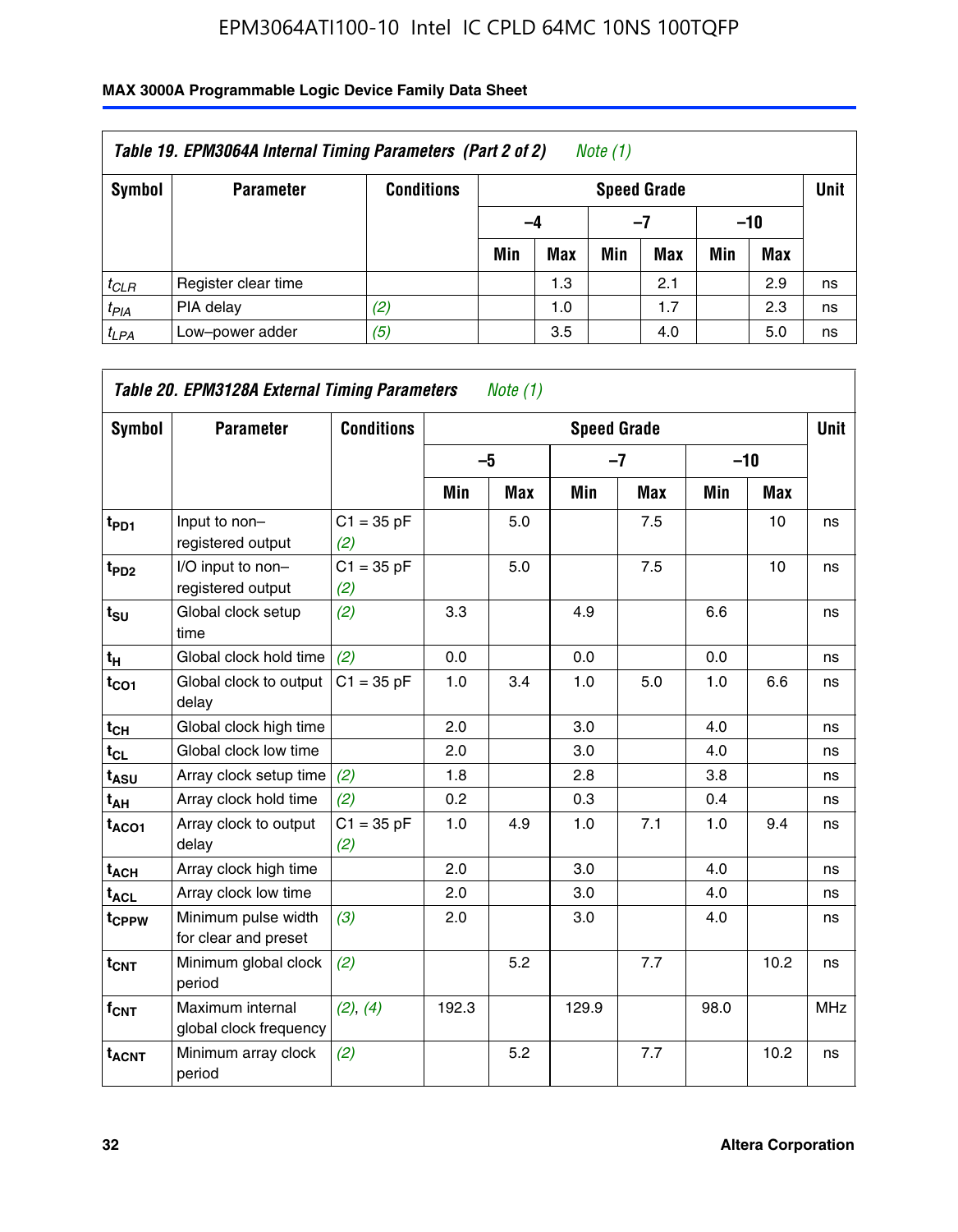| Table 19. EPM3064A Internal Timing Parameters (Part 2 of 2)<br>Note $(1)$ |                     |                   |     |                    |     |            |       |            |    |  |  |
|---------------------------------------------------------------------------|---------------------|-------------------|-----|--------------------|-----|------------|-------|------------|----|--|--|
| Symbol                                                                    | <b>Parameter</b>    | <b>Conditions</b> |     | <b>Speed Grade</b> |     |            |       |            |    |  |  |
|                                                                           |                     |                   | -4  |                    |     | -7         | $-10$ |            |    |  |  |
|                                                                           |                     |                   | Min | <b>Max</b>         | Min | <b>Max</b> | Min   | <b>Max</b> |    |  |  |
| $t_{CLR}$                                                                 | Register clear time |                   |     | 1.3                |     | 2.1        |       | 2.9        | ns |  |  |
| $t_{PIA}$                                                                 | PIA delay           | (2)               |     | 1.0                |     | 1.7        |       | 2.3        | ns |  |  |
| $t_{LPA}$                                                                 | Low-power adder     | (5)               |     | 3.5                |     | 4.0        |       | 5.0        | ns |  |  |

| Table 20. EPM3128A External Timing Parameters<br>Note $(1)$ |                                             |                     |              |            |                    |            |       |      |             |  |
|-------------------------------------------------------------|---------------------------------------------|---------------------|--------------|------------|--------------------|------------|-------|------|-------------|--|
| Symbol                                                      | <b>Parameter</b>                            | <b>Conditions</b>   |              |            | <b>Speed Grade</b> |            |       |      | <b>Unit</b> |  |
|                                                             |                                             |                     | $-5$<br>$-7$ |            |                    |            | $-10$ |      |             |  |
|                                                             |                                             |                     | Min          | <b>Max</b> | Min                | <b>Max</b> | Min   | Max  |             |  |
| t <sub>PD1</sub>                                            | Input to non-<br>registered output          | $C1 = 35 pF$<br>(2) |              | 5.0        |                    | 7.5        |       | 10   | ns          |  |
| $t_{PD2}$                                                   | I/O input to non-<br>registered output      | $C1 = 35 pF$<br>(2) |              | 5.0        |                    | 7.5        |       | 10   | ns          |  |
| $t_{\text{SU}}$                                             | Global clock setup<br>time                  | (2)                 | 3.3          |            | 4.9                |            | 6.6   |      | ns          |  |
| $t_H$                                                       | Global clock hold time                      | (2)                 | 0.0          |            | 0.0                |            | 0.0   |      | ns          |  |
| $t_{CO1}$                                                   | Global clock to output<br>delay             | $C1 = 35 pF$        | 1.0          | 3.4        | 1.0                | 5.0        | 1.0   | 6.6  | ns          |  |
| $t_{CH}$                                                    | Global clock high time                      |                     | 2.0          |            | 3.0                |            | 4.0   |      | ns          |  |
| $t_{CL}$                                                    | Global clock low time                       |                     | 2.0          |            | 3.0                |            | 4.0   |      | ns          |  |
| t <sub>ASU</sub>                                            | Array clock setup time                      | (2)                 | 1.8          |            | 2.8                |            | 3.8   |      | ns          |  |
| t <sub>AH</sub>                                             | Array clock hold time                       | (2)                 | 0.2          |            | 0.3                |            | 0.4   |      | ns          |  |
| t <sub>ACO1</sub>                                           | Array clock to output<br>delay              | $C1 = 35 pF$<br>(2) | 1.0          | 4.9        | 1.0                | 7.1        | 1.0   | 9.4  | ns          |  |
| $t_{ACH}$                                                   | Array clock high time                       |                     | 2.0          |            | 3.0                |            | 4.0   |      | ns          |  |
| t <sub>ACL</sub>                                            | Array clock low time                        |                     | 2.0          |            | 3.0                |            | 4.0   |      | ns          |  |
| t <sub>CPPW</sub>                                           | Minimum pulse width<br>for clear and preset | (3)                 | 2.0          |            | 3.0                |            | 4.0   |      | ns          |  |
| $t_{CNT}$                                                   | Minimum global clock<br>period              | (2)                 |              | 5.2        |                    | 7.7        |       | 10.2 | ns          |  |
| f <sub>CNT</sub>                                            | Maximum internal<br>global clock frequency  | (2), (4)            | 192.3        |            | 129.9              |            | 98.0  |      | <b>MHz</b>  |  |
| <b>t<sub>ACNT</sub></b>                                     | Minimum array clock<br>period               | (2)                 |              | 5.2        |                    | 7.7        |       | 10.2 | ns          |  |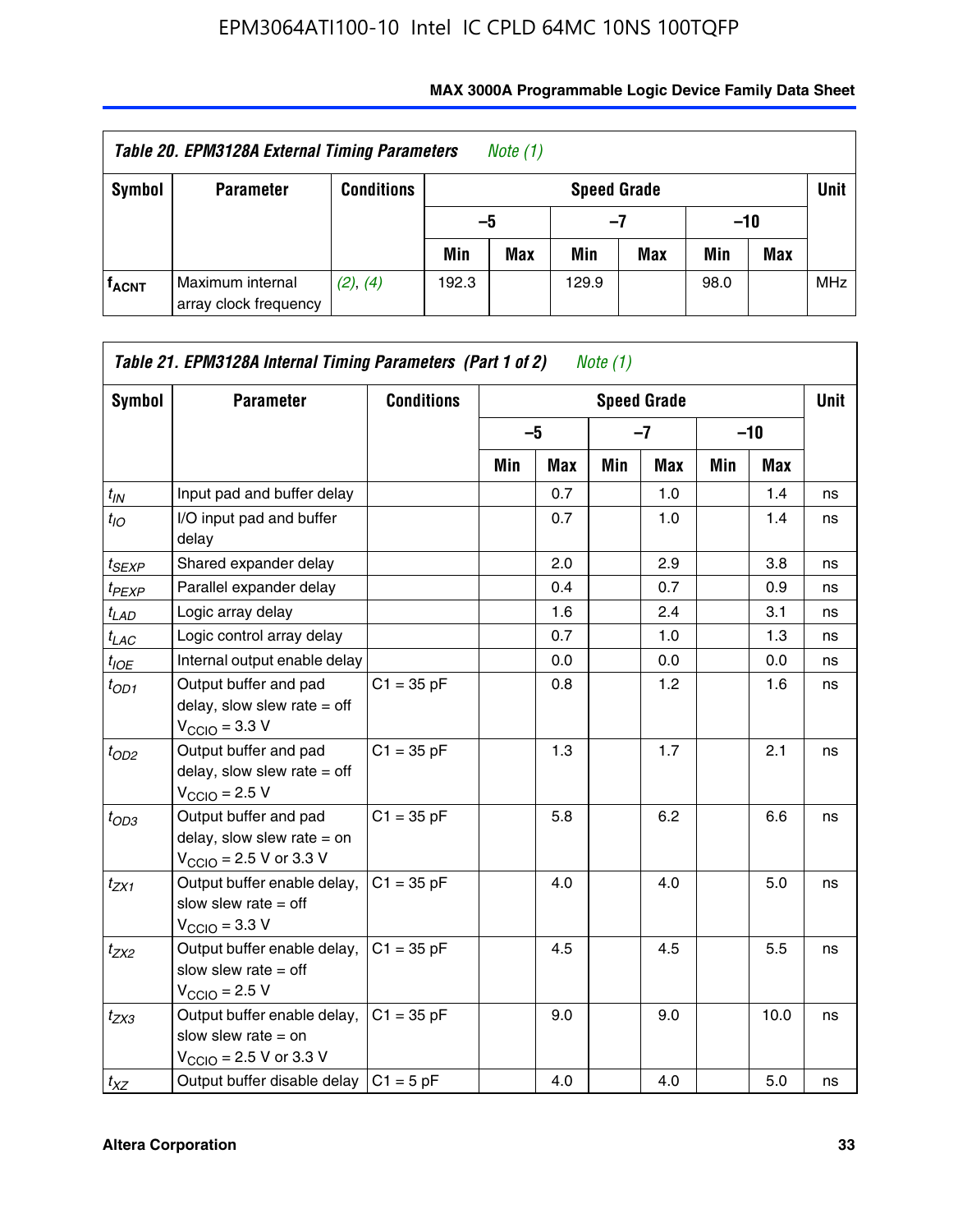| Table 20. EPM3128A External Timing Parameters<br>Note $(1)$ |                                           |                   |       |     |                    |     |       |     |             |
|-------------------------------------------------------------|-------------------------------------------|-------------------|-------|-----|--------------------|-----|-------|-----|-------------|
| Symbol                                                      | <b>Parameter</b>                          | <b>Conditions</b> |       |     | <b>Speed Grade</b> |     |       |     | <b>Unit</b> |
|                                                             |                                           |                   | -5    |     | -7                 |     | $-10$ |     |             |
|                                                             |                                           |                   | Min   | Max | Min                | Max | Min   | Max |             |
| <b>fACNT</b>                                                | Maximum internal<br>array clock frequency | (2), (4)          | 192.3 |     | 129.9              |     | 98.0  |     | <b>MHz</b>  |

| Symbol            | <b>Parameter</b>                                                                                             | <b>Conditions</b> |     |      |     | <b>Speed Grade</b> |     |            | <b>Unit</b> |
|-------------------|--------------------------------------------------------------------------------------------------------------|-------------------|-----|------|-----|--------------------|-----|------------|-------------|
|                   |                                                                                                              |                   |     | $-5$ |     | $-7$               |     | $-10$      |             |
|                   |                                                                                                              |                   | Min | Max  | Min | <b>Max</b>         | Min | <b>Max</b> |             |
| $t_{IN}$          | Input pad and buffer delay                                                                                   |                   |     | 0.7  |     | 1.0                |     | 1.4        | ns          |
| $t_{IO}$          | I/O input pad and buffer<br>delay                                                                            |                   |     | 0.7  |     | 1.0                |     | 1.4        | ns          |
| $t_{SEXP}$        | Shared expander delay                                                                                        |                   |     | 2.0  |     | 2.9                |     | 3.8        | ns          |
| t <sub>PEXP</sub> | Parallel expander delay                                                                                      |                   |     | 0.4  |     | 0.7                |     | 0.9        | ns          |
| $t_{LAD}$         | Logic array delay                                                                                            |                   |     | 1.6  |     | 2.4                |     | 3.1        | ns          |
| $t_{LAC}$         | Logic control array delay                                                                                    |                   |     | 0.7  |     | 1.0                |     | 1.3        | ns          |
| $t_{IOE}$         | Internal output enable delay                                                                                 |                   |     | 0.0  |     | 0.0                |     | 0.0        | ns          |
| $t_{OD1}$         | Output buffer and pad<br>delay, slow slew rate $=$ off<br>$V_{\text{CCIO}} = 3.3 V$                          | $C1 = 35 pF$      |     | 0.8  |     | 1.2                |     | 1.6        | ns          |
| $t_{OD2}$         | Output buffer and pad<br>delay, slow slew rate $=$ off<br>$V_{\text{CCIO}} = 2.5 V$                          | $C1 = 35 pF$      |     | 1.3  |     | 1.7                |     | 2.1        | ns          |
| $t_{OD3}$         | Output buffer and pad<br>delay, slow slew rate $=$ on<br>$V_{\text{CCIO}} = 2.5 \text{ V or } 3.3 \text{ V}$ | $C1 = 35 pF$      |     | 5.8  |     | 6.2                |     | 6.6        | ns          |
| $t_{ZX1}$         | Output buffer enable delay,<br>slow slew rate $=$ off<br>$V_{\text{CCIO}} = 3.3 V$                           | $C1 = 35 pF$      |     | 4.0  |     | 4.0                |     | 5.0        | ns          |
| $t_{ZX2}$         | Output buffer enable delay,<br>slow slew rate $=$ off<br>$V_{\text{CCIO}} = 2.5 V$                           | $C1 = 35 pF$      |     | 4.5  |     | 4.5                |     | 5.5        | ns          |
| $t_{ZX3}$         | Output buffer enable delay,<br>slow slew rate $=$ on<br>$V_{\text{CCIO}} = 2.5 \text{ V or } 3.3 \text{ V}$  | $C1 = 35 pF$      |     | 9.0  |     | 9.0                |     | 10.0       | ns          |
| $t_{XZ}$          | Output buffer disable delay                                                                                  | $C1 = 5pF$        |     | 4.0  |     | 4.0                |     | 5.0        | ns          |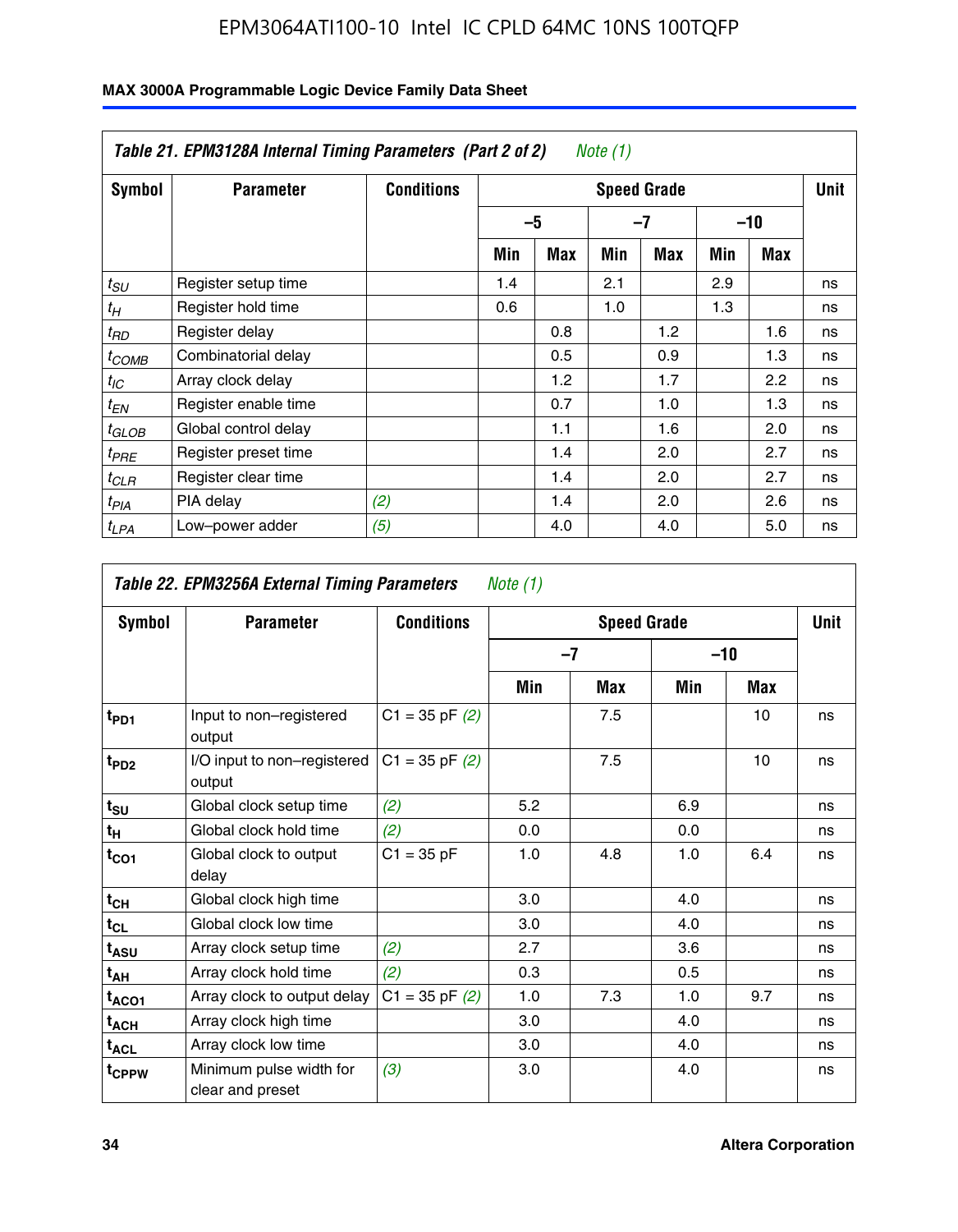| Table 21. EPM3128A Internal Timing Parameters (Part 2 of 2)<br>Note (1) |                      |                   |                    |      |     |     |     |       |    |  |
|-------------------------------------------------------------------------|----------------------|-------------------|--------------------|------|-----|-----|-----|-------|----|--|
| Symbol                                                                  | <b>Parameter</b>     | <b>Conditions</b> | <b>Speed Grade</b> |      |     |     |     |       |    |  |
|                                                                         |                      |                   |                    | $-5$ |     | -7  |     | $-10$ |    |  |
|                                                                         |                      |                   | Min                | Max  | Min | Max | Min | Max   |    |  |
| $t_{SU}$                                                                | Register setup time  |                   | 1.4                |      | 2.1 |     | 2.9 |       | ns |  |
| $t_H$                                                                   | Register hold time   |                   | 0.6                |      | 1.0 |     | 1.3 |       | ns |  |
| $t_{RD}$                                                                | Register delay       |                   |                    | 0.8  |     | 1.2 |     | 1.6   | ns |  |
| t <sub>COMB</sub>                                                       | Combinatorial delay  |                   |                    | 0.5  |     | 0.9 |     | 1.3   | ns |  |
| $t_{IC}$                                                                | Array clock delay    |                   |                    | 1.2  |     | 1.7 |     | 2.2   | ns |  |
| $t_{EN}$                                                                | Register enable time |                   |                    | 0.7  |     | 1.0 |     | 1.3   | ns |  |
| $t_{GLOB}$                                                              | Global control delay |                   |                    | 1.1  |     | 1.6 |     | 2.0   | ns |  |
| $t_{PRE}$                                                               | Register preset time |                   |                    | 1.4  |     | 2.0 |     | 2.7   | ns |  |
| ${}^t$ CLR                                                              | Register clear time  |                   |                    | 1.4  |     | 2.0 |     | 2.7   | ns |  |
| t <sub>PIA</sub>                                                        | PIA delay            | (2)               |                    | 1.4  |     | 2.0 |     | 2.6   | ns |  |
| $t_{LPA}$                                                               | Low-power adder      | (5)               |                    | 4.0  |     | 4.0 |     | 5.0   | ns |  |

| Table 22. EPM3256A External Timing Parameters<br>Note (1) |                                             |                    |     |                    |     |       |             |  |  |  |  |
|-----------------------------------------------------------|---------------------------------------------|--------------------|-----|--------------------|-----|-------|-------------|--|--|--|--|
| Symbol                                                    | <b>Parameter</b>                            | <b>Conditions</b>  |     | <b>Speed Grade</b> |     |       | <b>Unit</b> |  |  |  |  |
|                                                           |                                             |                    |     | $-7$               |     | $-10$ |             |  |  |  |  |
|                                                           |                                             |                    | Min | Max                | Min | Max   |             |  |  |  |  |
| t <sub>PD1</sub>                                          | Input to non-registered<br>output           | $C1 = 35$ pF $(2)$ |     | 7.5                |     | 10    | ns          |  |  |  |  |
| $t_{PD2}$                                                 | I/O input to non-registered<br>output       | $C1 = 35$ pF $(2)$ |     | 7.5                |     | 10    | ns          |  |  |  |  |
| $t_{\text{SU}}$                                           | Global clock setup time                     | (2)                | 5.2 |                    | 6.9 |       | ns          |  |  |  |  |
| t <sub>H</sub>                                            | Global clock hold time                      | (2)                | 0.0 |                    | 0.0 |       | ns          |  |  |  |  |
| $t_{CO1}$                                                 | Global clock to output<br>delay             | $C1 = 35 pF$       | 1.0 | 4.8                | 1.0 | 6.4   | ns          |  |  |  |  |
| $t_{CH}$                                                  | Global clock high time                      |                    | 3.0 |                    | 4.0 |       | ns          |  |  |  |  |
| $t_{CL}$                                                  | Global clock low time                       |                    | 3.0 |                    | 4.0 |       | ns          |  |  |  |  |
| $t_{ASU}$                                                 | Array clock setup time                      | (2)                | 2.7 |                    | 3.6 |       | ns          |  |  |  |  |
| $t_{AH}$                                                  | Array clock hold time                       | (2)                | 0.3 |                    | 0.5 |       | ns          |  |  |  |  |
| t <sub>ACO1</sub>                                         | Array clock to output delay                 | $C1 = 35$ pF $(2)$ | 1.0 | 7.3                | 1.0 | 9.7   | ns          |  |  |  |  |
| $t_{\sf ACH}$                                             | Array clock high time                       |                    | 3.0 |                    | 4.0 |       | ns          |  |  |  |  |
| $t_{\sf ACL}$                                             | Array clock low time                        |                    | 3.0 |                    | 4.0 |       | ns          |  |  |  |  |
| t <sub>CPPW</sub>                                         | Minimum pulse width for<br>clear and preset | (3)                | 3.0 |                    | 4.0 |       | ns          |  |  |  |  |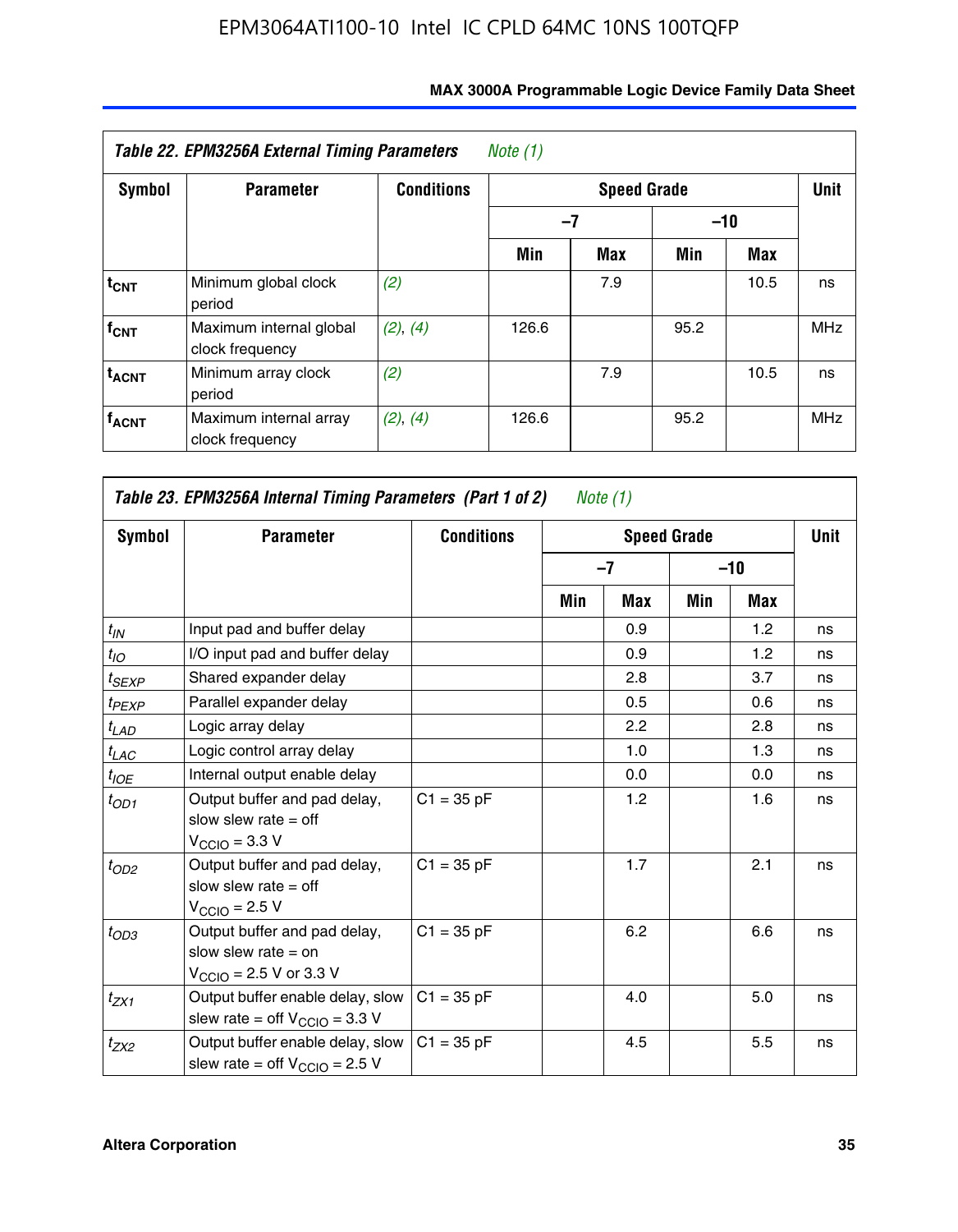| Table 22. EPM3256A External Timing Parameters<br>Note (1) |                                            |                   |       |            |             |      |            |  |  |  |
|-----------------------------------------------------------|--------------------------------------------|-------------------|-------|------------|-------------|------|------------|--|--|--|
| <b>Symbol</b>                                             | <b>Parameter</b>                           | <b>Conditions</b> |       |            | <b>Unit</b> |      |            |  |  |  |
|                                                           |                                            |                   |       | -7         |             |      |            |  |  |  |
|                                                           |                                            |                   | Min   | <b>Max</b> | Min         | Max  |            |  |  |  |
| $t_{CNT}$                                                 | Minimum global clock<br>period             | (2)               |       | 7.9        |             | 10.5 | ns         |  |  |  |
| $f_{CNT}$                                                 | Maximum internal global<br>clock frequency | (2), (4)          | 126.6 |            | 95.2        |      | <b>MHz</b> |  |  |  |
| <b>t<sub>ACNT</sub></b>                                   | Minimum array clock<br>period              | (2)               |       | 7.9        |             | 10.5 | ns         |  |  |  |
| <b>f<sub>ACNT</sub></b>                                   | Maximum internal array<br>clock frequency  | (2), (4)          | 126.6 |            | 95.2        |      | <b>MHz</b> |  |  |  |

| Symbol             | Table 23. EPM3256A Internal Timing Parameters (Part 1 of 2)<br><b>Parameter</b>                              | <b>Conditions</b> |     | Note $(1)$    | <b>Speed Grade</b> |     | <b>Unit</b> |
|--------------------|--------------------------------------------------------------------------------------------------------------|-------------------|-----|---------------|--------------------|-----|-------------|
|                    |                                                                                                              |                   |     | $-7$<br>$-10$ |                    |     |             |
|                    |                                                                                                              |                   | Min | <b>Max</b>    | Min                | Max |             |
| $t_{IN}$           | Input pad and buffer delay                                                                                   |                   |     | 0.9           |                    | 1.2 | ns          |
| $t_{IO}$           | I/O input pad and buffer delay                                                                               |                   |     | 0.9           |                    | 1.2 | ns          |
| t <sub>SEXP</sub>  | Shared expander delay                                                                                        |                   |     | 2.8           |                    | 3.7 | ns          |
| t <sub>PEXP</sub>  | Parallel expander delay                                                                                      |                   |     | 0.5           |                    | 0.6 | ns          |
| $t_{LAD}$          | Logic array delay                                                                                            |                   |     | 2.2           |                    | 2.8 | ns          |
| $t_{LAC}$          | Logic control array delay                                                                                    |                   |     | 1.0           |                    | 1.3 | ns          |
| $t_{\mathit{IOE}}$ | Internal output enable delay                                                                                 |                   |     | 0.0           |                    | 0.0 | ns          |
| $t_{OD1}$          | Output buffer and pad delay,<br>slow slew rate $=$ off<br>$V_{\text{CCIO}} = 3.3 V$                          | $C1 = 35 pF$      |     | 1.2           |                    | 1.6 | ns          |
| $t_{OD2}$          | Output buffer and pad delay,<br>slow slew rate $=$ off<br>$V_{\text{CCIO}} = 2.5 V$                          | $C1 = 35 pF$      |     | 1.7           |                    | 2.1 | ns          |
| $t_{OD3}$          | Output buffer and pad delay,<br>slow slew rate $=$ on<br>$V_{\text{CCIO}} = 2.5 \text{ V or } 3.3 \text{ V}$ | $C1 = 35 pF$      |     | 6.2           |                    | 6.6 | ns          |
| $t_{ZX1}$          | Output buffer enable delay, slow<br>slew rate = off $V_{\text{CCIO}} = 3.3$ V                                | $C1 = 35 pF$      |     | 4.0           |                    | 5.0 | ns          |
| $t_{ZX2}$          | Output buffer enable delay, slow<br>slew rate = off $V_{\text{CCIO}} = 2.5$ V                                | $C1 = 35 pF$      |     | 4.5           |                    | 5.5 | ns          |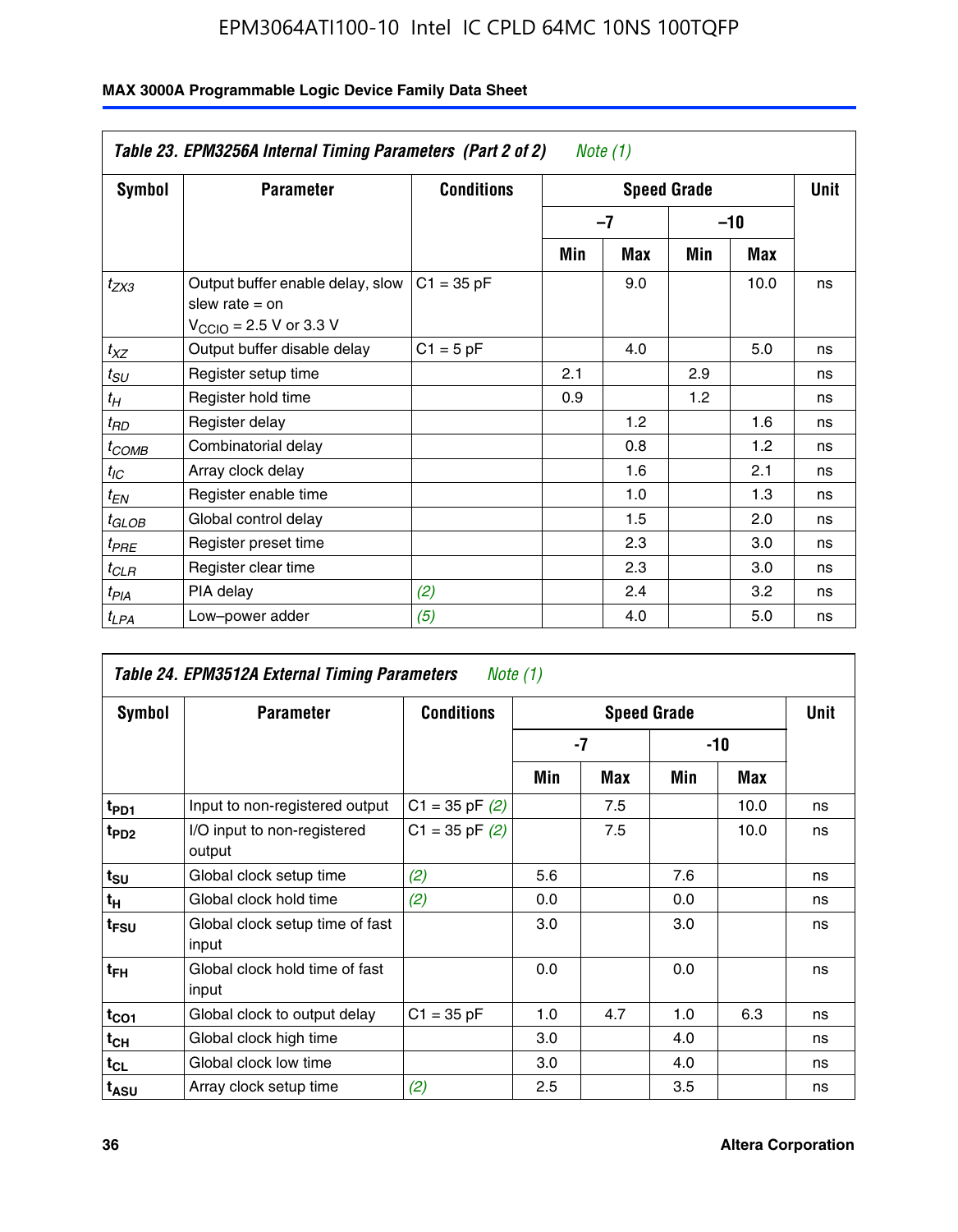| Table 23. EPM3256A Internal Timing Parameters (Part 2 of 2)<br>Note (1) |                                                                                                             |                   |     |     |                    |       |             |  |  |  |
|-------------------------------------------------------------------------|-------------------------------------------------------------------------------------------------------------|-------------------|-----|-----|--------------------|-------|-------------|--|--|--|
| <b>Symbol</b>                                                           | <b>Parameter</b>                                                                                            | <b>Conditions</b> |     |     | <b>Speed Grade</b> |       | <b>Unit</b> |  |  |  |
|                                                                         |                                                                                                             |                   |     | -7  |                    | $-10$ |             |  |  |  |
|                                                                         |                                                                                                             |                   | Min | Max | Min                | Max   |             |  |  |  |
| $t_{ZX3}$                                                               | Output buffer enable delay, slow<br>slew rate $=$ on<br>$V_{\text{CCIO}} = 2.5 \text{ V or } 3.3 \text{ V}$ | $C1 = 35 pF$      |     | 9.0 |                    | 10.0  | ns          |  |  |  |
| $t_{XZ}$                                                                | Output buffer disable delay                                                                                 | $C1 = 5$ pF       |     | 4.0 |                    | 5.0   | ns          |  |  |  |
| $t_{\scriptstyle SU}$                                                   | Register setup time                                                                                         |                   | 2.1 |     | 2.9                |       | ns          |  |  |  |
| $t_H$                                                                   | Register hold time                                                                                          |                   | 0.9 |     | 1.2                |       | ns          |  |  |  |
| $t_{RD}$                                                                | Register delay                                                                                              |                   |     | 1.2 |                    | 1.6   | ns          |  |  |  |
| $t_{COMB}$                                                              | Combinatorial delay                                                                                         |                   |     | 0.8 |                    | 1.2   | ns          |  |  |  |
| $t_{IC}$                                                                | Array clock delay                                                                                           |                   |     | 1.6 |                    | 2.1   | ns          |  |  |  |
| $t_{EN}$                                                                | Register enable time                                                                                        |                   |     | 1.0 |                    | 1.3   | ns          |  |  |  |
| t <sub>GLOB</sub>                                                       | Global control delay                                                                                        |                   |     | 1.5 |                    | 2.0   | ns          |  |  |  |
| $t_{PRE}$                                                               | Register preset time                                                                                        |                   |     | 2.3 |                    | 3.0   | ns          |  |  |  |
| $t_{CLR}$                                                               | Register clear time                                                                                         |                   |     | 2.3 |                    | 3.0   | ns          |  |  |  |
| t <sub>PIA</sub>                                                        | PIA delay                                                                                                   | (2)               |     | 2.4 |                    | 3.2   | ns          |  |  |  |
| $t_{LPA}$                                                               | Low-power adder                                                                                             | (5)               |     | 4.0 |                    | 5.0   | ns          |  |  |  |

| Table 24. EPM3512A External Timing Parameters<br>Note (1) |                                          |                    |                    |     |       |      |    |
|-----------------------------------------------------------|------------------------------------------|--------------------|--------------------|-----|-------|------|----|
| Symbol                                                    | <b>Parameter</b>                         | <b>Conditions</b>  | <b>Speed Grade</b> |     |       | Unit |    |
|                                                           |                                          |                    | -7                 |     | $-10$ |      |    |
|                                                           |                                          |                    | Min                | Max | Min   | Max  |    |
| t <sub>PD1</sub>                                          | Input to non-registered output           | $C1 = 35$ pF $(2)$ |                    | 7.5 |       | 10.0 | ns |
| $t_{PD2}$                                                 | I/O input to non-registered<br>output    | $C1 = 35 pF(2)$    |                    | 7.5 |       | 10.0 | ns |
| $t_{\text{SU}}$                                           | Global clock setup time                  | (2)                | 5.6                |     | 7.6   |      | ns |
| $t_H$                                                     | Global clock hold time                   | (2)                | 0.0                |     | 0.0   |      | ns |
| t <sub>FSU</sub>                                          | Global clock setup time of fast<br>input |                    | 3.0                |     | 3.0   |      | ns |
| t <sub>FH</sub>                                           | Global clock hold time of fast<br>input  |                    | 0.0                |     | 0.0   |      | ns |
| $t_{CO1}$                                                 | Global clock to output delay             | $C1 = 35 pF$       | 1.0                | 4.7 | 1.0   | 6.3  | ns |
| $t_{CH}$                                                  | Global clock high time                   |                    | 3.0                |     | 4.0   |      | ns |
| $t_{CL}$                                                  | Global clock low time                    |                    | 3.0                |     | 4.0   |      | ns |
| t <sub>ASU</sub>                                          | Array clock setup time                   | (2)                | 2.5                |     | 3.5   |      | ns |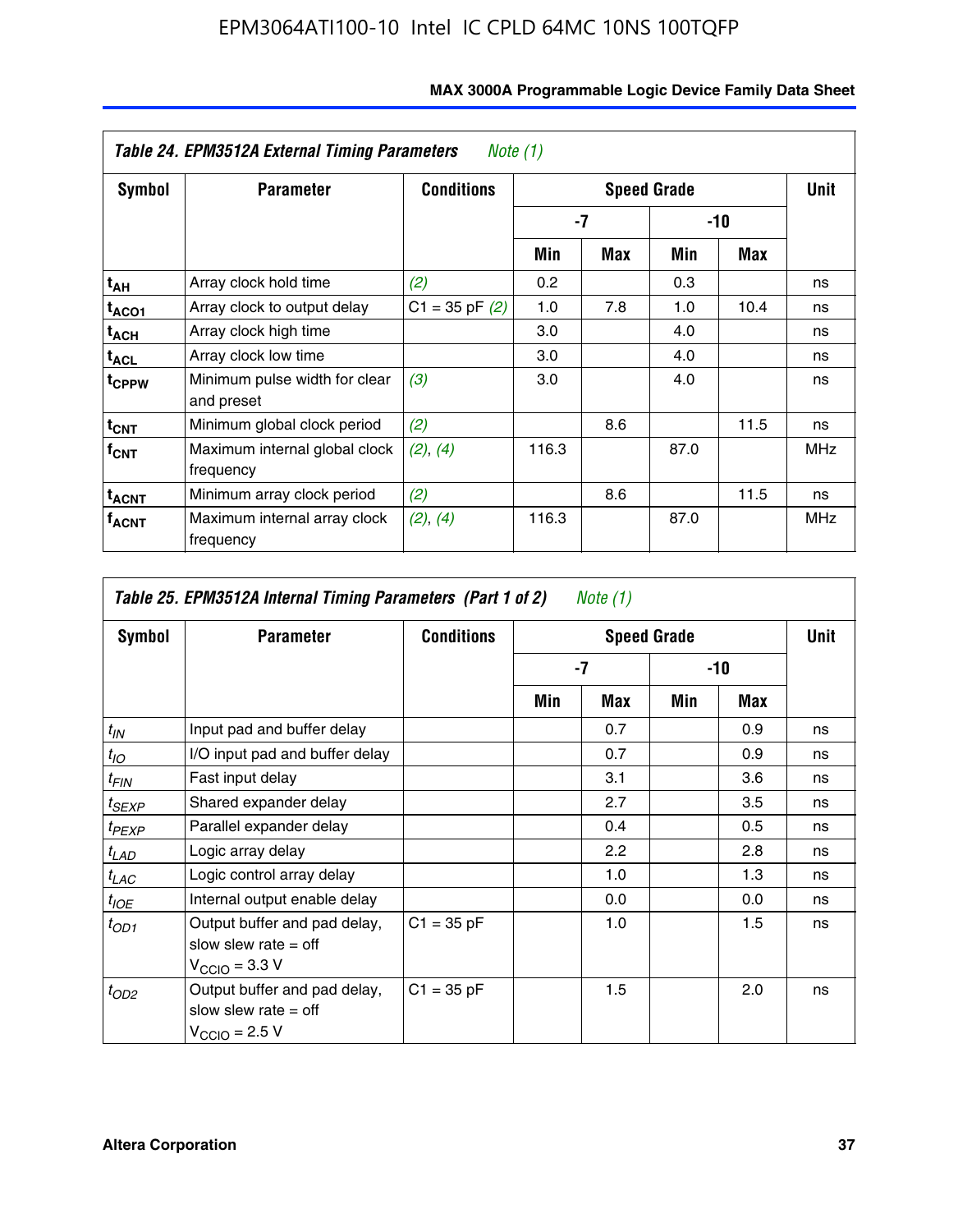| Table 24. EPM3512A External Timing Parameters<br>Note $(1)$ |                                             |                    |                  |      |       |            |            |
|-------------------------------------------------------------|---------------------------------------------|--------------------|------------------|------|-------|------------|------------|
| Symbol                                                      | <b>Parameter</b>                            | <b>Conditions</b>  |                  | Unit |       |            |            |
|                                                             |                                             |                    | -7               |      | $-10$ |            |            |
|                                                             |                                             |                    | Min              | Max  | Min   | <b>Max</b> |            |
| t <sub>АН</sub>                                             | Array clock hold time                       | (2)                | 0.2 <sub>0</sub> |      | 0.3   |            | ns         |
| t <sub>ACO1</sub>                                           | Array clock to output delay                 | $C1 = 35$ pF $(2)$ | 1.0              | 7.8  | 1.0   | 10.4       | ns         |
| $t_{\sf ACH}$                                               | Array clock high time                       |                    | 3.0              |      | 4.0   |            | ns         |
| $t_{\sf ACL}$                                               | Array clock low time                        |                    | 3.0              |      | 4.0   |            | ns         |
| t <sub>CPPW</sub>                                           | Minimum pulse width for clear<br>and preset | (3)                | 3.0              |      | 4.0   |            | ns         |
| $t_{CNT}$                                                   | Minimum global clock period                 | (2)                |                  | 8.6  |       | 11.5       | ns         |
| $f_{CNT}$                                                   | Maximum internal global clock<br>frequency  | (2), (4)           | 116.3            |      | 87.0  |            | <b>MHz</b> |
| $t_{ACNT}$                                                  | Minimum array clock period                  | (2)                |                  | 8.6  |       | 11.5       | ns         |
| <sup>T</sup> ACNT                                           | Maximum internal array clock<br>frequency   | (2), (4)           | 116.3            |      | 87.0  |            | <b>MHz</b> |

| Table 25. EPM3512A Internal Timing Parameters (Part 1 of 2) Note $(1)$ |                                                                                     |                   |     |      |       |     |    |
|------------------------------------------------------------------------|-------------------------------------------------------------------------------------|-------------------|-----|------|-------|-----|----|
| Symbol                                                                 | <b>Parameter</b>                                                                    | <b>Conditions</b> |     | Unit |       |     |    |
|                                                                        |                                                                                     |                   | -7  |      | $-10$ |     |    |
|                                                                        |                                                                                     |                   | Min | Max  | Min   | Max |    |
| $t_{IN}$                                                               | Input pad and buffer delay                                                          |                   |     | 0.7  |       | 0.9 | ns |
| $t_{IO}$                                                               | I/O input pad and buffer delay                                                      |                   |     | 0.7  |       | 0.9 | ns |
| $t_{FIN}$                                                              | Fast input delay                                                                    |                   |     | 3.1  |       | 3.6 | ns |
| $t_{SEXP}$                                                             | Shared expander delay                                                               |                   |     | 2.7  |       | 3.5 | ns |
| $t_{PEXP}$                                                             | Parallel expander delay                                                             |                   |     | 0.4  |       | 0.5 | ns |
| $t_{LAD}$                                                              | Logic array delay                                                                   |                   |     | 2.2  |       | 2.8 | ns |
| $t_{LAC}$                                                              | Logic control array delay                                                           |                   |     | 1.0  |       | 1.3 | ns |
| $t_{IOE}$                                                              | Internal output enable delay                                                        |                   |     | 0.0  |       | 0.0 | ns |
| $t_{OD1}$                                                              | Output buffer and pad delay,<br>slow slew rate $=$ off<br>$V_{\rm CClO}$ = 3.3 V    | $C1 = 35 pF$      |     | 1.0  |       | 1.5 | ns |
| $t_{OD2}$                                                              | Output buffer and pad delay,<br>slow slew rate $=$ off<br>$V_{\text{CCIO}} = 2.5 V$ | $C1 = 35 pF$      |     | 1.5  |       | 2.0 | ns |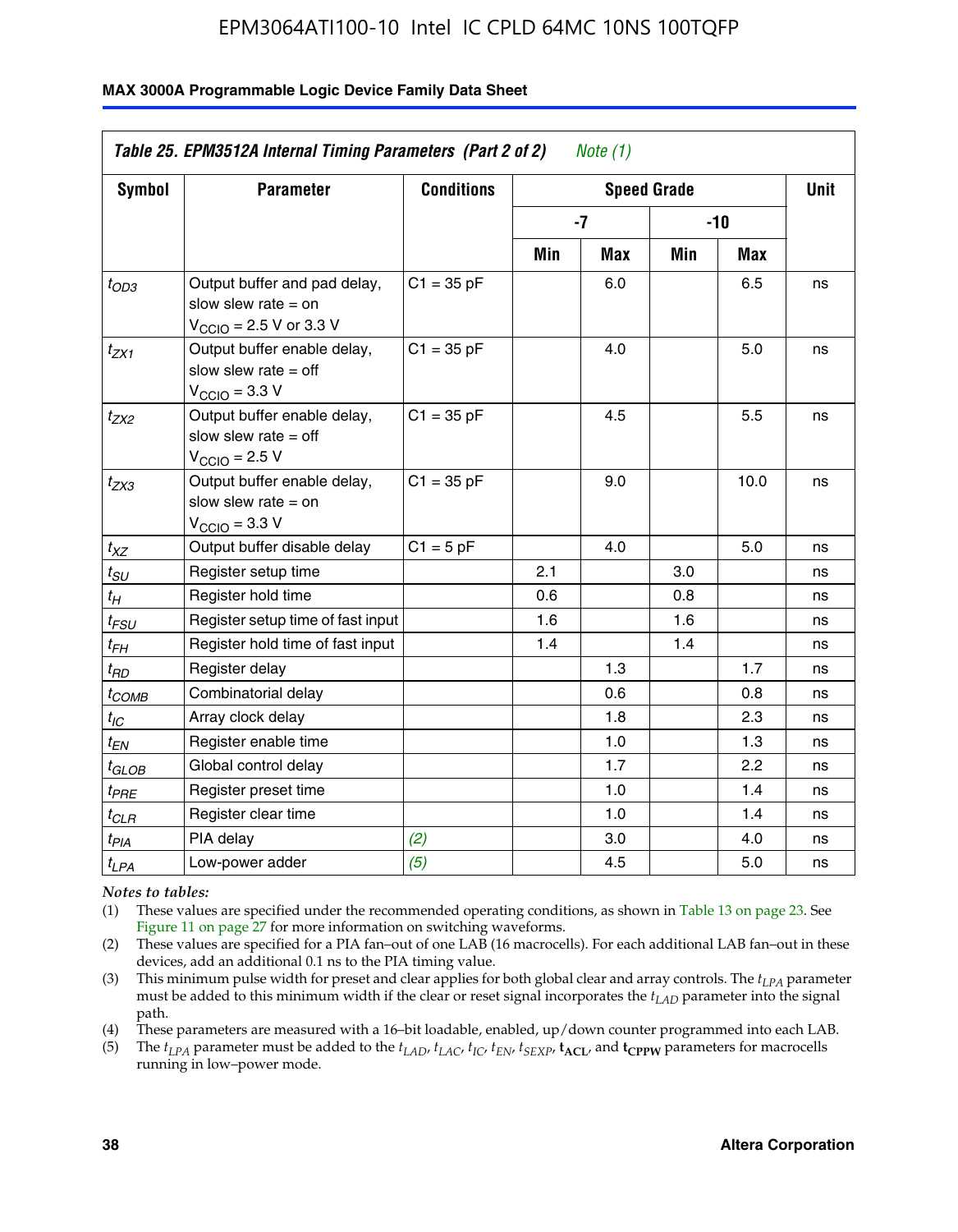#### **MAX 3000A Programmable Logic Device Family Data Sheet**

|                            | Table 25. EPM3512A Internal Timing Parameters (Part 2 of 2)<br>Note $(1)$                                    |                   |      |             |       |      |    |  |
|----------------------------|--------------------------------------------------------------------------------------------------------------|-------------------|------|-------------|-------|------|----|--|
| <b>Symbol</b>              | <b>Parameter</b>                                                                                             | <b>Conditions</b> |      | <b>Unit</b> |       |      |    |  |
|                            |                                                                                                              |                   | $-7$ |             | $-10$ |      |    |  |
|                            |                                                                                                              |                   | Min  | Max         | Min   | Max  |    |  |
| $t_{OD3}$                  | Output buffer and pad delay,<br>slow slew rate $=$ on<br>$V_{\text{CCIO}} = 2.5 \text{ V or } 3.3 \text{ V}$ | $C1 = 35 pF$      |      | 6.0         |       | 6.5  | ns |  |
| $t_{ZX1}$                  | Output buffer enable delay,<br>slow slew rate $=$ off<br>$V_{\text{CCIO}} = 3.3 \text{ V}$                   | $C1 = 35 pF$      |      | 4.0         |       | 5.0  | ns |  |
| $t_{ZX2}$                  | Output buffer enable delay,<br>slow slew rate $=$ off<br>$V_{\text{CCIO}} = 2.5 V$                           | $C1 = 35 pF$      |      | 4.5         |       | 5.5  | ns |  |
| $t_{ZX3}$                  | Output buffer enable delay,<br>slow slew rate $=$ on<br>$V_{\text{CCIO}} = 3.3 V$                            | $C1 = 35 pF$      |      | 9.0         |       | 10.0 | ns |  |
| $t_{XZ}$                   | Output buffer disable delay                                                                                  | $C1 = 5pF$        |      | 4.0         |       | 5.0  | ns |  |
| $t_{SU}$                   | Register setup time                                                                                          |                   | 2.1  |             | 3.0   |      | ns |  |
| $t_H$                      | Register hold time                                                                                           |                   | 0.6  |             | 0.8   |      | ns |  |
| $t_{\textit{FSU}}$         | Register setup time of fast input                                                                            |                   | 1.6  |             | 1.6   |      | ns |  |
| $t_{FH}$                   | Register hold time of fast input                                                                             |                   | 1.4  |             | 1.4   |      | ns |  |
| $t_{RD}$                   | Register delay                                                                                               |                   |      | 1.3         |       | 1.7  | ns |  |
| $t_{COMB}$                 | Combinatorial delay                                                                                          |                   |      | 0.6         |       | 0.8  | ns |  |
| $t_{IC}$                   | Array clock delay                                                                                            |                   |      | 1.8         |       | 2.3  | ns |  |
| $t_{EN}$                   | Register enable time                                                                                         |                   |      | 1.0         |       | 1.3  | ns |  |
| $t_{\scriptstyle\rm GLOB}$ | Global control delay                                                                                         |                   |      | 1.7         |       | 2.2  | ns |  |
| $t_{PRE}$                  | Register preset time                                                                                         |                   |      | 1.0         |       | 1.4  | ns |  |
| $t_{CLR}$                  | Register clear time                                                                                          |                   |      | 1.0         |       | 1.4  | ns |  |
| $t_{PIA}$                  | PIA delay                                                                                                    | (2)               |      | 3.0         |       | 4.0  | ns |  |
| $t_{LPA}$                  | Low-power adder                                                                                              | (5)               |      | 4.5         |       | 5.0  | ns |  |

*Notes to tables:*

(1) These values are specified under the recommended operating conditions, as shown in Table 13 on page 23. See Figure 11 on page 27 for more information on switching waveforms.

(2) These values are specified for a PIA fan–out of one LAB (16 macrocells). For each additional LAB fan–out in these devices, add an additional 0.1 ns to the PIA timing value.

(3) This minimum pulse width for preset and clear applies for both global clear and array controls. The *tLPA* parameter must be added to this minimum width if the clear or reset signal incorporates the *tLAD* parameter into the signal path.

(4) These parameters are measured with a 16–bit loadable, enabled, up/down counter programmed into each LAB.

(5) The  $t_{LPA}$  parameter must be added to the  $t_{LAD}$ ,  $t_{LAC}$ ,  $t_{IC}$ ,  $t_{EN}$ ,  $t_{SEXP}$ ,  $t_{ACL}$ , and  $t_{CPPW}$  parameters for macrocells running in low–power mode.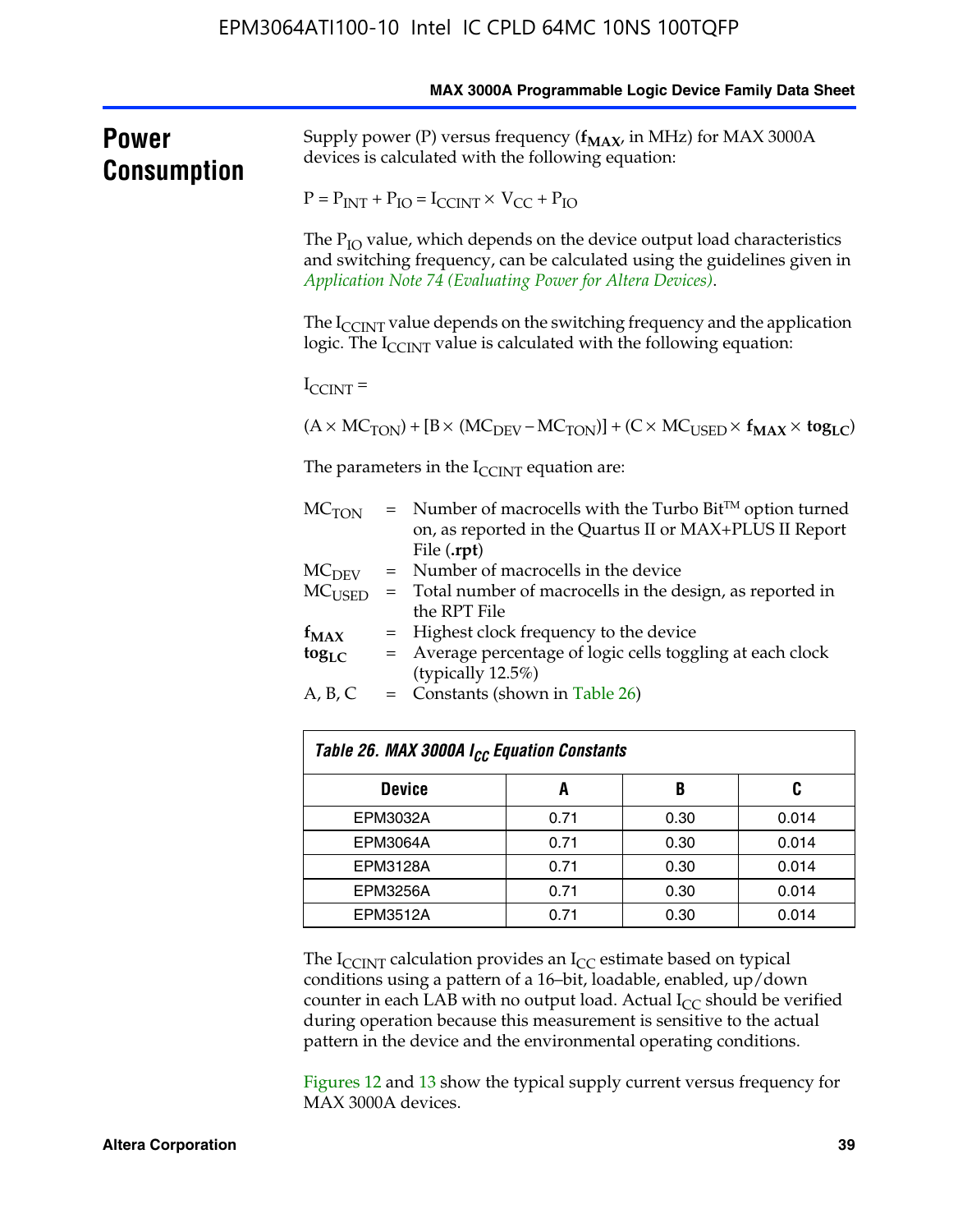|                             |                                                                                                                             |                                                                                                                                                                       |      |                                                                                                                                                         | MAX 3000A Programmable Logic Device Family Data Sheet |  |  |  |
|-----------------------------|-----------------------------------------------------------------------------------------------------------------------------|-----------------------------------------------------------------------------------------------------------------------------------------------------------------------|------|---------------------------------------------------------------------------------------------------------------------------------------------------------|-------------------------------------------------------|--|--|--|
| Power<br><b>Consumption</b> | Supply power (P) versus frequency ( $f_{MAX}$ , in MHz) for MAX 3000A<br>devices is calculated with the following equation: |                                                                                                                                                                       |      |                                                                                                                                                         |                                                       |  |  |  |
|                             |                                                                                                                             | $P = P_{INT} + P_{IO} = I_{CCINT} \times V_{CC} + P_{IO}$                                                                                                             |      |                                                                                                                                                         |                                                       |  |  |  |
|                             |                                                                                                                             | Application Note 74 (Evaluating Power for Altera Devices).                                                                                                            |      | The $P_{IO}$ value, which depends on the device output load characteristics<br>and switching frequency, can be calculated using the guidelines given in |                                                       |  |  |  |
|                             |                                                                                                                             | The $I_{\text{CCINT}}$ value depends on the switching frequency and the application<br>logic. The $I_{\text{CCINT}}$ value is calculated with the following equation: |      |                                                                                                                                                         |                                                       |  |  |  |
|                             | $I_{\text{CCINT}}$ =                                                                                                        |                                                                                                                                                                       |      |                                                                                                                                                         |                                                       |  |  |  |
|                             |                                                                                                                             | $(A \times MC_{TON}) + [B \times (MC_{DEV} - MC_{TON})] + (C \times MC_{USER} \times f_{MAX} \times tog_{LC})$                                                        |      |                                                                                                                                                         |                                                       |  |  |  |
|                             |                                                                                                                             | The parameters in the $I_{\text{CCINT}}$ equation are:                                                                                                                |      |                                                                                                                                                         |                                                       |  |  |  |
|                             | MC <sub>TON</sub>                                                                                                           | $=$ Number of macrocells with the Turbo Bit <sup>TM</sup> option turned<br>on, as reported in the Quartus II or MAX+PLUS II Report                                    |      |                                                                                                                                                         |                                                       |  |  |  |
|                             | MC <sub>DEFV</sub>                                                                                                          | File (.rpt)<br>= Number of macrocells in the device                                                                                                                   |      |                                                                                                                                                         |                                                       |  |  |  |
|                             | $MC_{LISED}$                                                                                                                | = Total number of macrocells in the design, as reported in<br>the RPT File                                                                                            |      |                                                                                                                                                         |                                                       |  |  |  |
|                             | $f_{MAX}$                                                                                                                   | Highest clock frequency to the device<br>$=$                                                                                                                          |      |                                                                                                                                                         |                                                       |  |  |  |
|                             | $\log_{LC}$                                                                                                                 | = Average percentage of logic cells toggling at each clock<br>(typically 12.5%)                                                                                       |      |                                                                                                                                                         |                                                       |  |  |  |
|                             | A, B, C<br>$=$ Constants (shown in Table 26)                                                                                |                                                                                                                                                                       |      |                                                                                                                                                         |                                                       |  |  |  |
|                             |                                                                                                                             | Table 26. MAX 3000A I <sub>CC</sub> Equation Constants                                                                                                                |      |                                                                                                                                                         |                                                       |  |  |  |
|                             |                                                                                                                             | <b>Device</b>                                                                                                                                                         | A    | B                                                                                                                                                       | C                                                     |  |  |  |
|                             |                                                                                                                             | EPM3032A                                                                                                                                                              |      | 0.30                                                                                                                                                    | 0.014                                                 |  |  |  |
|                             |                                                                                                                             | <b>EPM3064A</b>                                                                                                                                                       | 0.71 | 0.30                                                                                                                                                    | 0.014                                                 |  |  |  |
|                             |                                                                                                                             | <b>EPM3128A</b>                                                                                                                                                       | 0.71 | 0.30                                                                                                                                                    | 0.014                                                 |  |  |  |
|                             |                                                                                                                             | FPM3256A                                                                                                                                                              | 0.71 | 0.30                                                                                                                                                    | 0.014                                                 |  |  |  |

The  $I_{\text{CCINT}}$  calculation provides an  $I_{\text{CC}}$  estimate based on typical conditions using a pattern of a 16–bit, loadable, enabled, up/down counter in each LAB with no output load. Actual  $I_{CC}$  should be verified during operation because this measurement is sensitive to the actual pattern in the device and the environmental operating conditions.

EPM3512A 0.71 0.30 0.014

Figures 12 and 13 show the typical supply current versus frequency for MAX 3000A devices.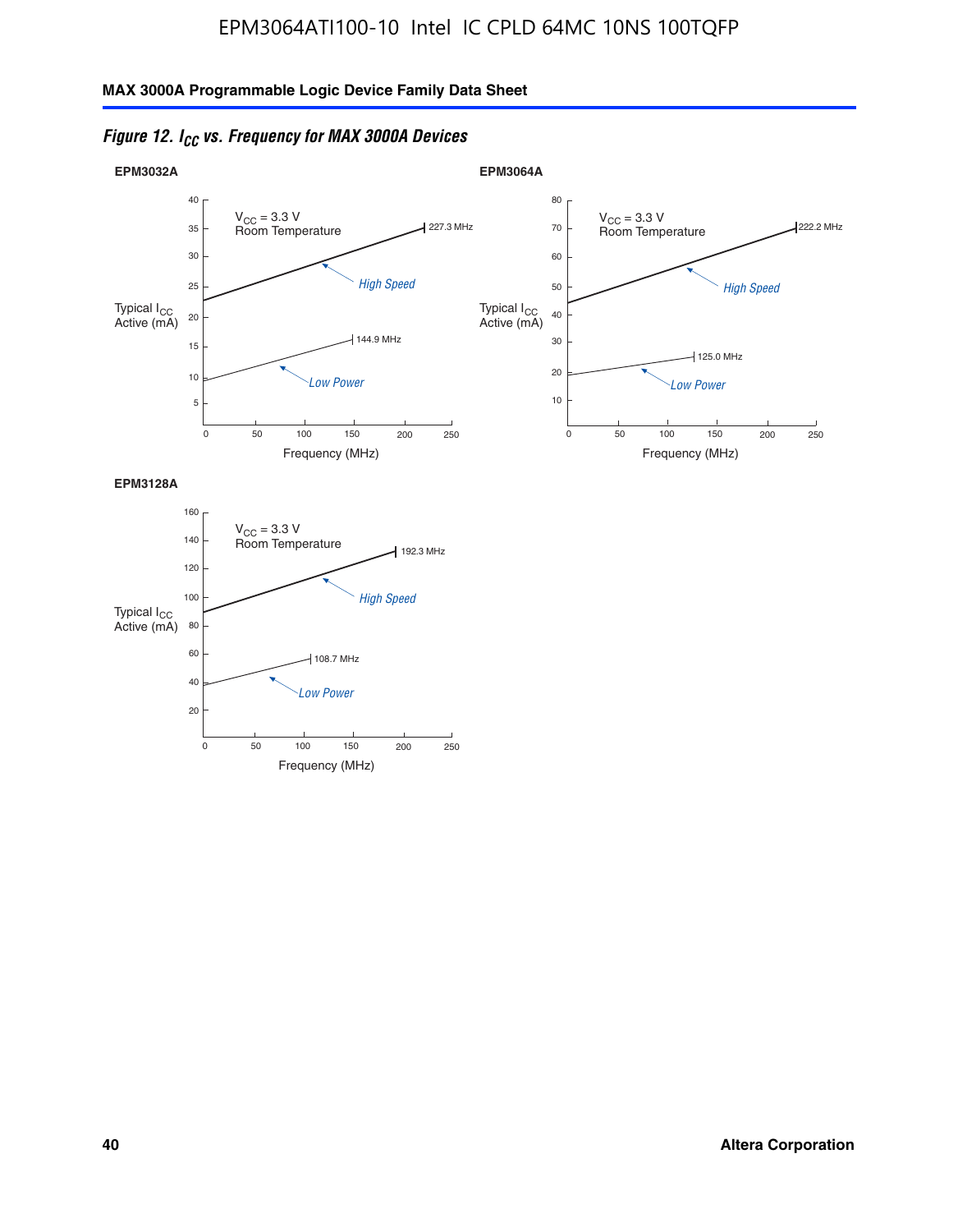



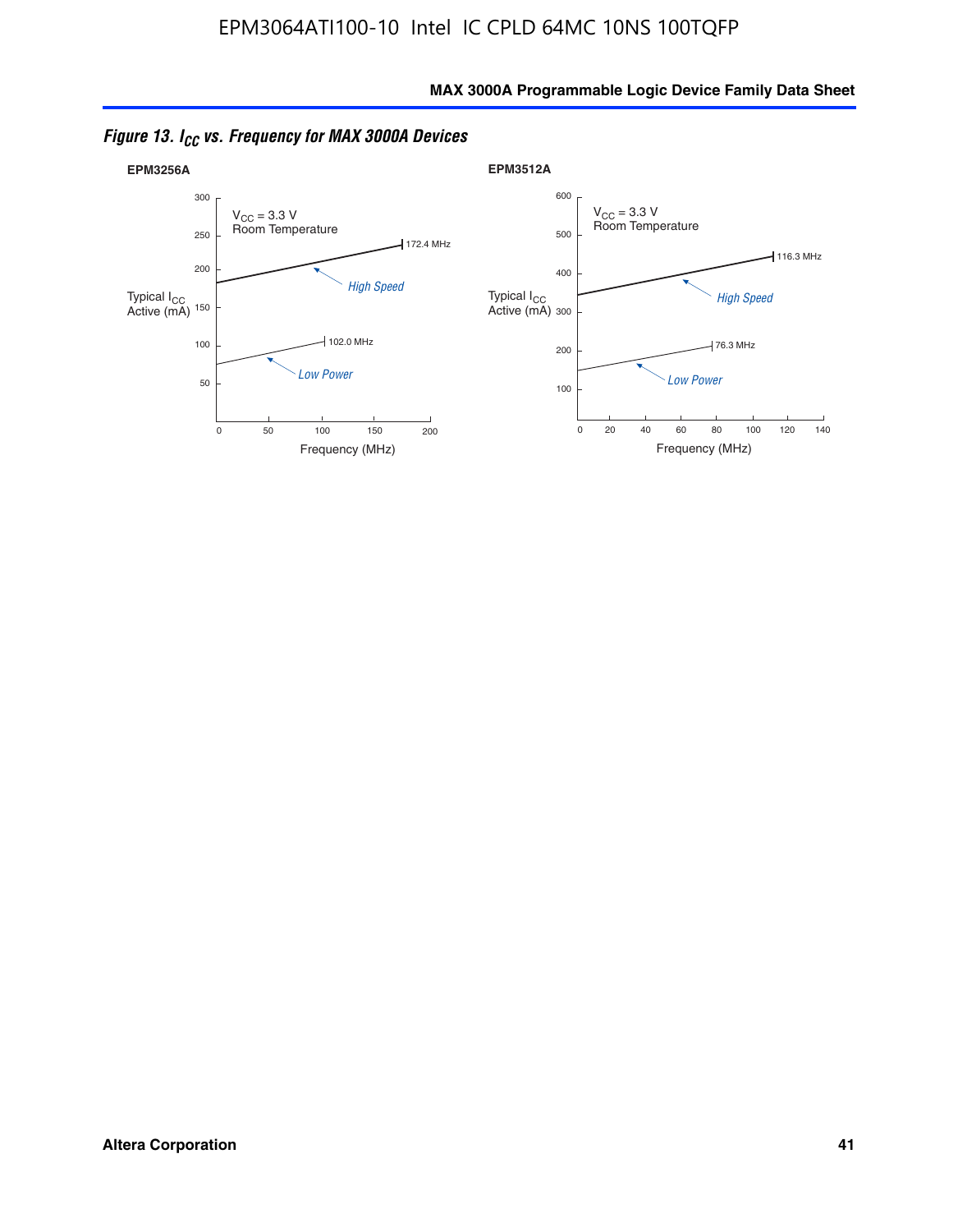

*Figure 13. ICC vs. Frequency for MAX 3000A Devices*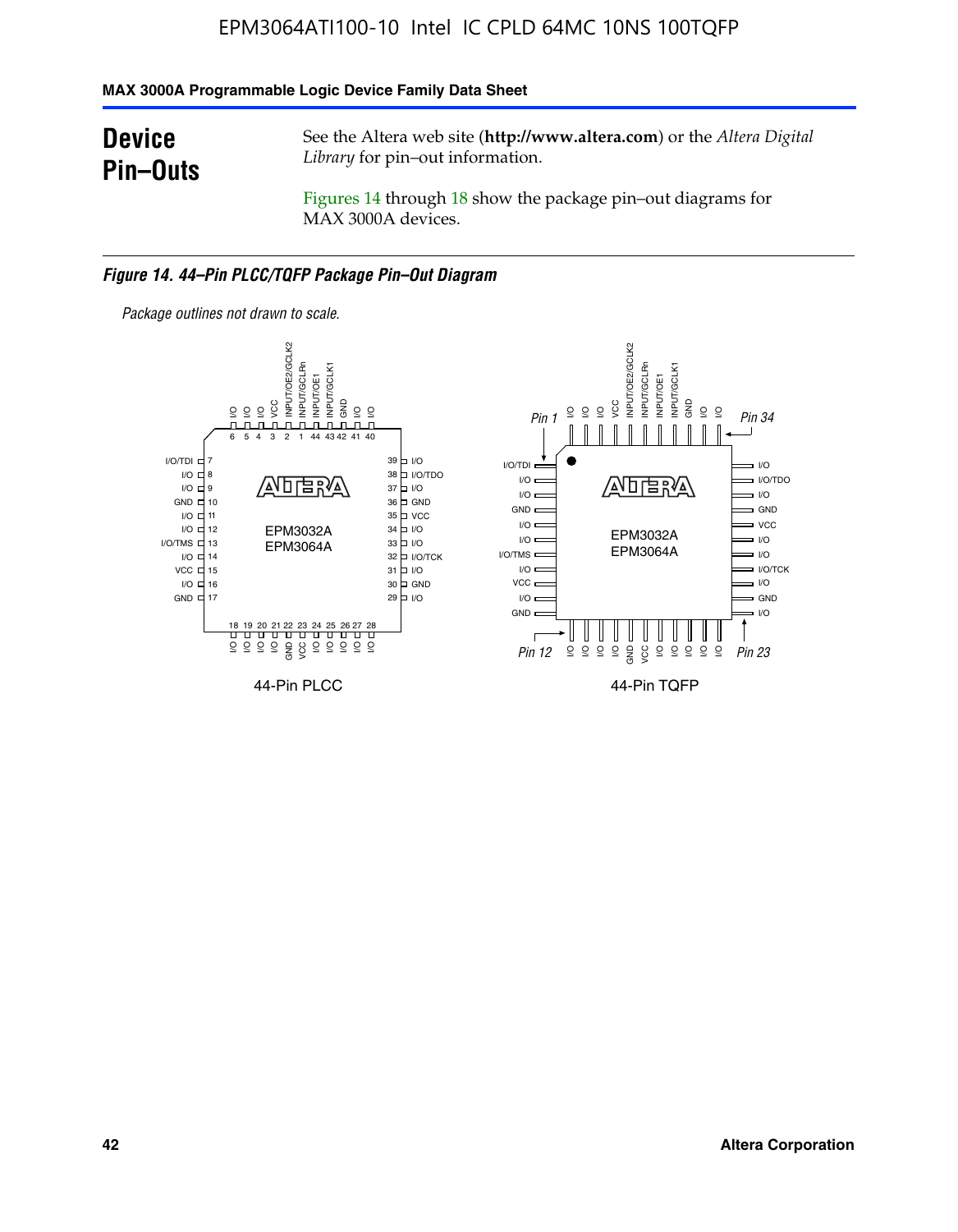#### **MAX 3000A Programmable Logic Device Family Data Sheet**

### **Device Pin–Outs**

See the Altera web site (**http://www.altera.com**) or the *Altera Digital Library* for pin–out information.

Figures 14 through 18 show the package pin–out diagrams for MAX 3000A devices.

#### *Figure 14. 44–Pin PLCC/TQFP Package Pin–Out Diagram*



**42 Altera Corporation**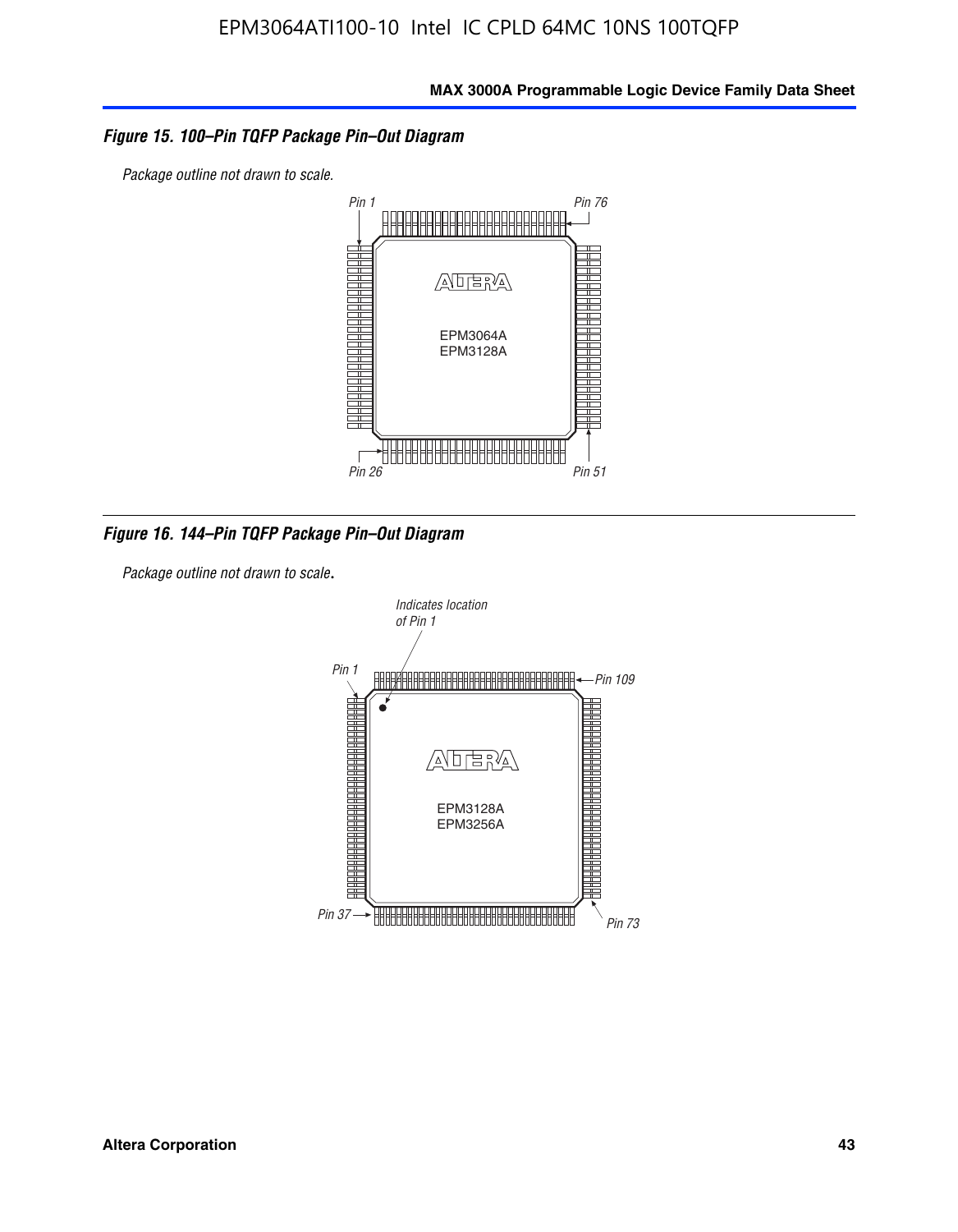#### *Figure 15. 100–Pin TQFP Package Pin–Out Diagram*

*Package outline not drawn to scale.*



*Figure 16. 144–Pin TQFP Package Pin–Out Diagram*

*Package outline not drawn to scale*.

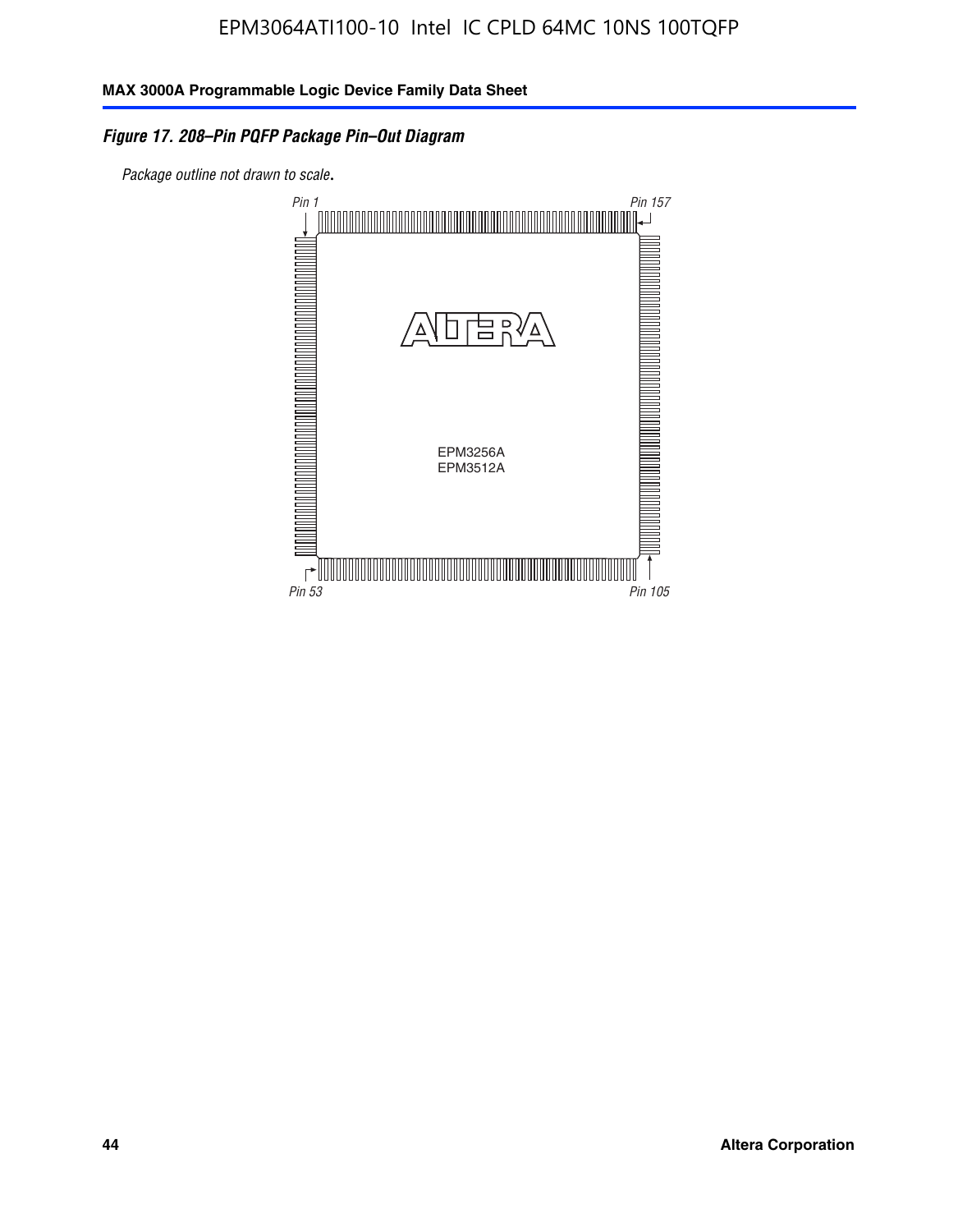#### *Figure 17. 208–Pin PQFP Package Pin–Out Diagram*

*Package outline not drawn to scale*.

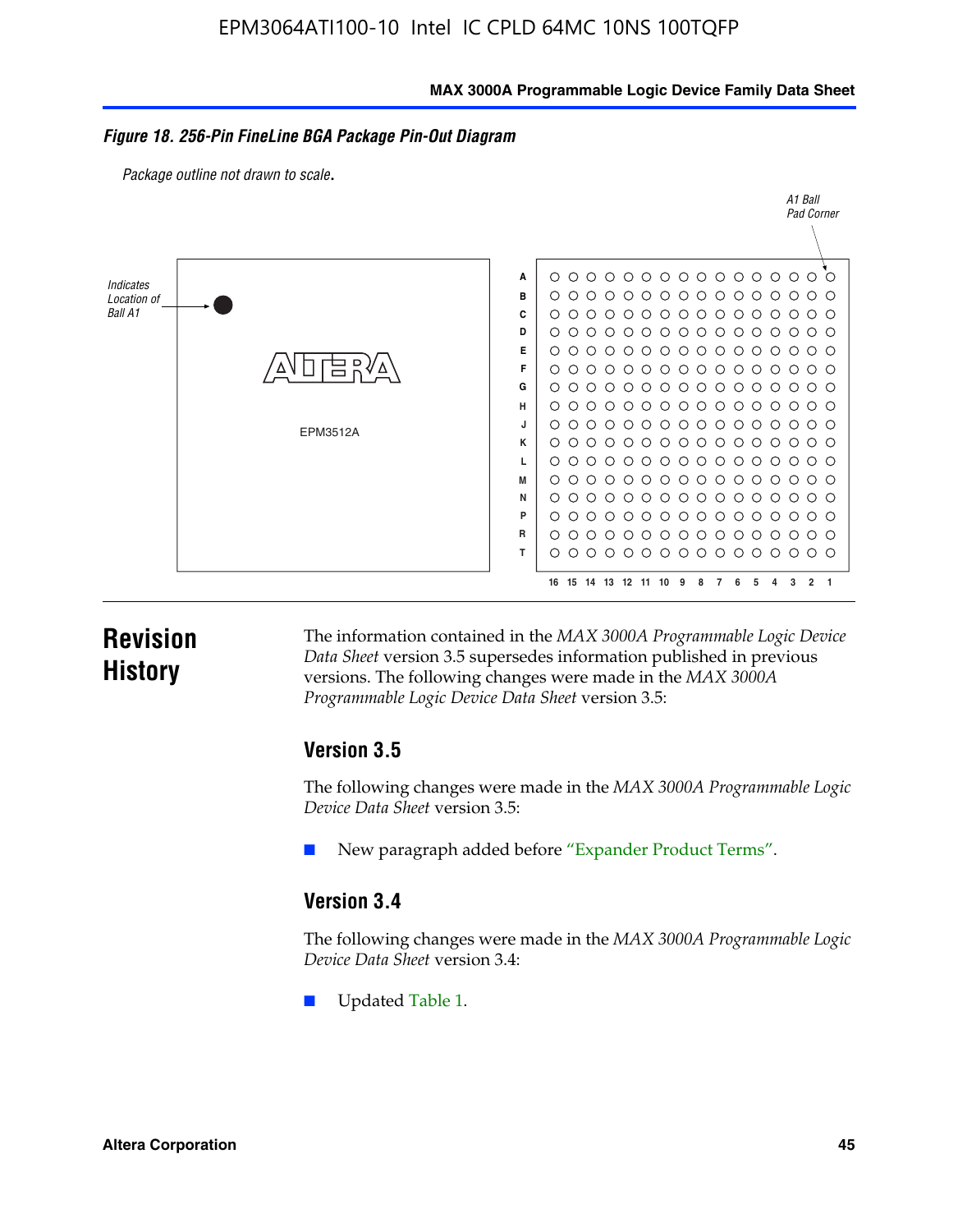#### **MAX 3000A Programmable Logic Device Family Data Sheet**

#### *Figure 18. 256-Pin FineLine BGA Package Pin-Out Diagram*

*Package outline not drawn to scale*.



### **Revision History**

The information contained in the *MAX 3000A Programmable Logic Device Data Sheet* version 3.5 supersedes information published in previous versions. The following changes were made in the *MAX 3000A Programmable Logic Device Data Sheet* version 3.5:

#### **Version 3.5**

The following changes were made in the *MAX 3000A Programmable Logic Device Data Sheet* version 3.5:

New paragraph added before "Expander Product Terms".

#### **Version 3.4**

The following changes were made in the *MAX 3000A Programmable Logic Device Data Sheet* version 3.4:

Updated Table 1.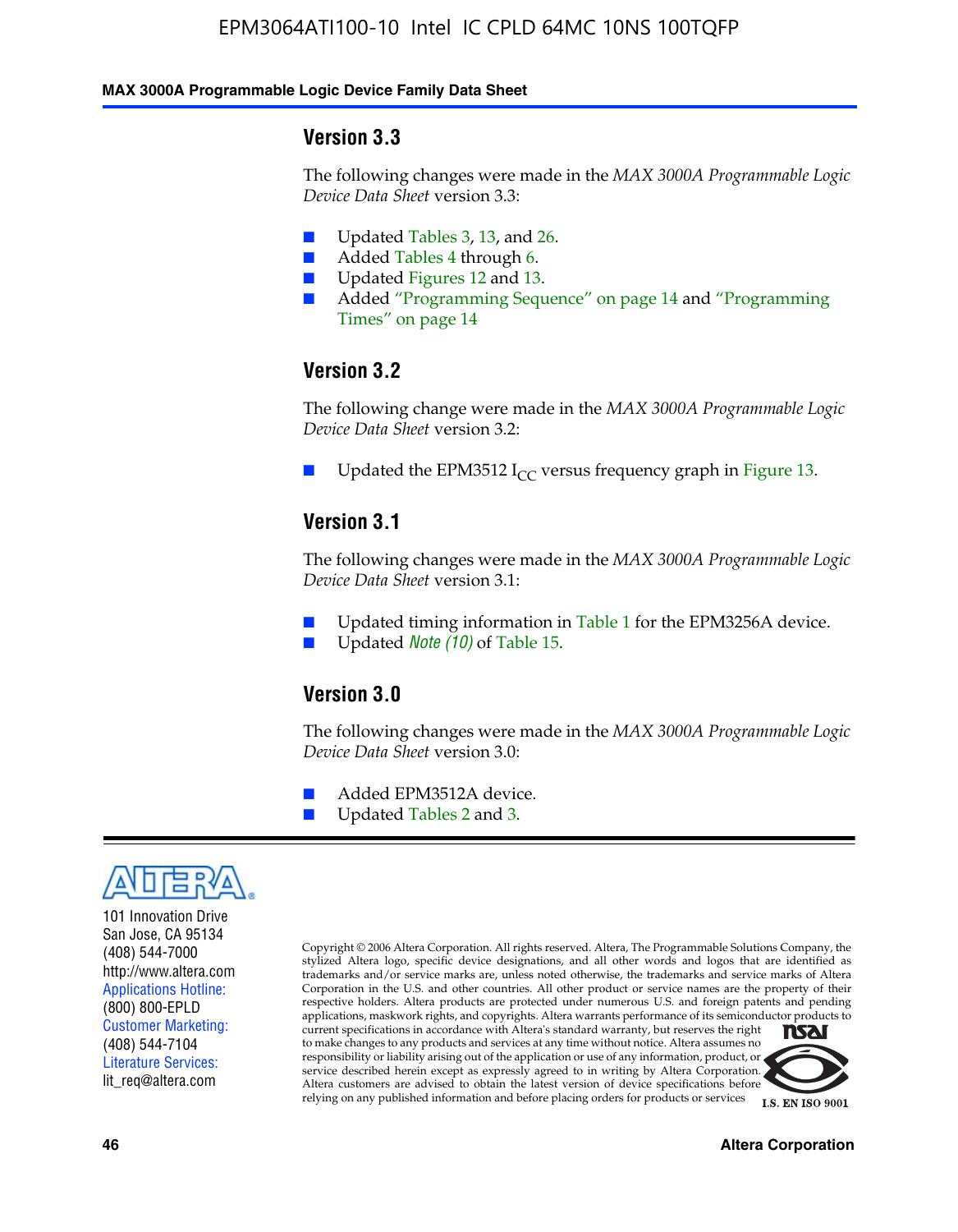#### **MAX 3000A Programmable Logic Device Family Data Sheet**

#### **Version 3.3**

The following changes were made in the *MAX 3000A Programmable Logic Device Data Sheet* version 3.3:

- Updated Tables 3, 13, and 26.
- Added Tables 4 through 6.
- Updated Figures 12 and 13.
- Added "Programming Sequence" on page 14 and "Programming Times" on page 14

#### **Version 3.2**

The following change were made in the *MAX 3000A Programmable Logic Device Data Sheet* version 3.2:

Updated the EPM3512 I<sub>CC</sub> versus frequency graph in Figure 13.

#### **Version 3.1**

The following changes were made in the *MAX 3000A Programmable Logic Device Data Sheet* version 3.1:

- Updated timing information in Table 1 for the EPM3256A device.
- Updated *Note* (10) of Table 15.

#### **Version 3.0**

The following changes were made in the *MAX 3000A Programmable Logic Device Data Sheet* version 3.0:

- Added EPM3512A device.
- Updated Tables 2 and 3.



101 Innovation Drive San Jose, CA 95134 (408) 544-7000 http://www.altera.com Applications Hotline: (800) 800-EPLD Customer Marketing: (408) 544-7104 Literature Services: lit\_req@altera.com

Copyright © 2006 Altera Corporation. All rights reserved. Altera, The Programmable Solutions Company, the stylized Altera logo, specific device designations, and all other words and logos that are identified as trademarks and/or service marks are, unless noted otherwise, the trademarks and service marks of Altera Corporation in the U.S. and other countries. All other product or service names are the property of their respective holders. Altera products are protected under numerous U.S. and foreign patents and pending applications, maskwork rights, and copyrights. Altera warrants performance of its semiconductor products to current specifications in accordance with Altera's standard warranty, but reserves the right **NSAI** to make changes to any products and services at any time without notice. Altera assumes no responsibility or liability arising out of the application or use of any information, product, or

service described herein except as expressly agreed to in writing by Altera Corporation. Altera customers are advised to obtain the latest version of device specifications before relying on any published information and before placing orders for products or services